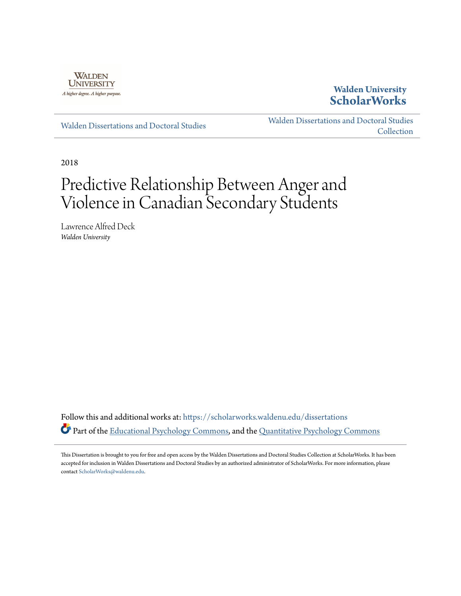

## **Walden University [ScholarWorks](https://scholarworks.waldenu.edu?utm_source=scholarworks.waldenu.edu%2Fdissertations%2F6008&utm_medium=PDF&utm_campaign=PDFCoverPages)**

[Walden Dissertations and Doctoral Studies](https://scholarworks.waldenu.edu/dissertations?utm_source=scholarworks.waldenu.edu%2Fdissertations%2F6008&utm_medium=PDF&utm_campaign=PDFCoverPages)

[Walden Dissertations and Doctoral Studies](https://scholarworks.waldenu.edu/dissanddoc?utm_source=scholarworks.waldenu.edu%2Fdissertations%2F6008&utm_medium=PDF&utm_campaign=PDFCoverPages) **[Collection](https://scholarworks.waldenu.edu/dissanddoc?utm_source=scholarworks.waldenu.edu%2Fdissertations%2F6008&utm_medium=PDF&utm_campaign=PDFCoverPages)** 

2018

# Predictive Relationship Between Anger and Violence in Canadian Secondary Students

Lawrence Alfred Deck *Walden University*

Follow this and additional works at: [https://scholarworks.waldenu.edu/dissertations](https://scholarworks.waldenu.edu/dissertations?utm_source=scholarworks.waldenu.edu%2Fdissertations%2F6008&utm_medium=PDF&utm_campaign=PDFCoverPages) Part of the [Educational Psychology Commons,](http://network.bepress.com/hgg/discipline/798?utm_source=scholarworks.waldenu.edu%2Fdissertations%2F6008&utm_medium=PDF&utm_campaign=PDFCoverPages) and the [Quantitative Psychology Commons](http://network.bepress.com/hgg/discipline/1041?utm_source=scholarworks.waldenu.edu%2Fdissertations%2F6008&utm_medium=PDF&utm_campaign=PDFCoverPages)

This Dissertation is brought to you for free and open access by the Walden Dissertations and Doctoral Studies Collection at ScholarWorks. It has been accepted for inclusion in Walden Dissertations and Doctoral Studies by an authorized administrator of ScholarWorks. For more information, please contact [ScholarWorks@waldenu.edu](mailto:ScholarWorks@waldenu.edu).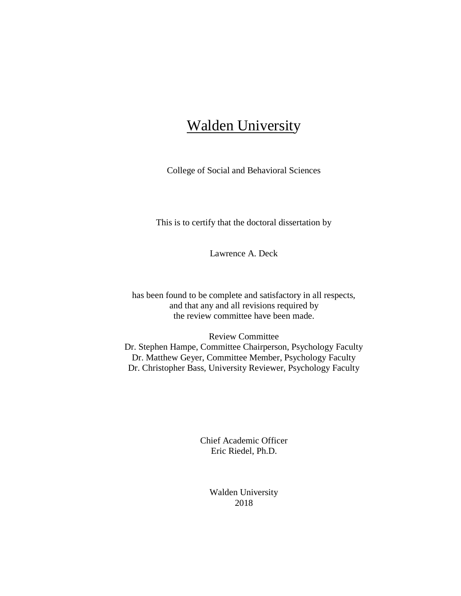## **Walden University**

College of Social and Behavioral Sciences

This is to certify that the doctoral dissertation by

Lawrence A. Deck

has been found to be complete and satisfactory in all respects, and that any and all revisions required by the review committee have been made.

Review Committee Dr. Stephen Hampe, Committee Chairperson, Psychology Faculty Dr. Matthew Geyer, Committee Member, Psychology Faculty Dr. Christopher Bass, University Reviewer, Psychology Faculty

> Chief Academic Officer Eric Riedel, Ph.D.

> > Walden University 2018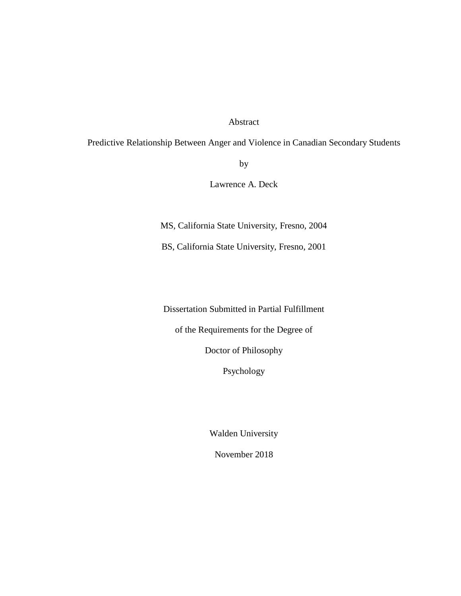### Abstract

Predictive Relationship Between Anger and Violence in Canadian Secondary Students

by

Lawrence A. Deck

MS, California State University, Fresno, 2004

BS, California State University, Fresno, 2001

Dissertation Submitted in Partial Fulfillment

of the Requirements for the Degree of

Doctor of Philosophy

Psychology

Walden University

November 2018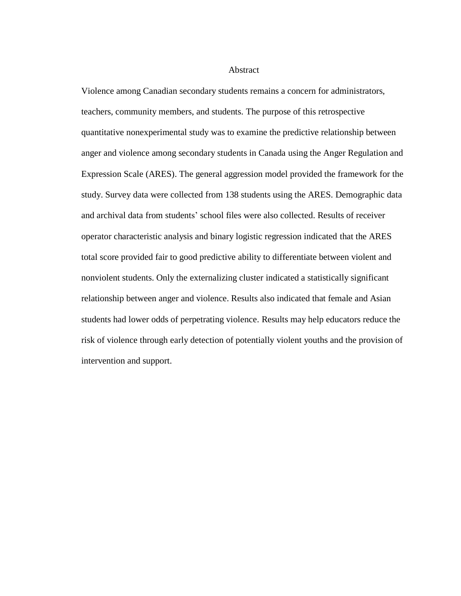#### Abstract

Violence among Canadian secondary students remains a concern for administrators, teachers, community members, and students. The purpose of this retrospective quantitative nonexperimental study was to examine the predictive relationship between anger and violence among secondary students in Canada using the Anger Regulation and Expression Scale (ARES). The general aggression model provided the framework for the study. Survey data were collected from 138 students using the ARES. Demographic data and archival data from students' school files were also collected. Results of receiver operator characteristic analysis and binary logistic regression indicated that the ARES total score provided fair to good predictive ability to differentiate between violent and nonviolent students. Only the externalizing cluster indicated a statistically significant relationship between anger and violence. Results also indicated that female and Asian students had lower odds of perpetrating violence. Results may help educators reduce the risk of violence through early detection of potentially violent youths and the provision of intervention and support.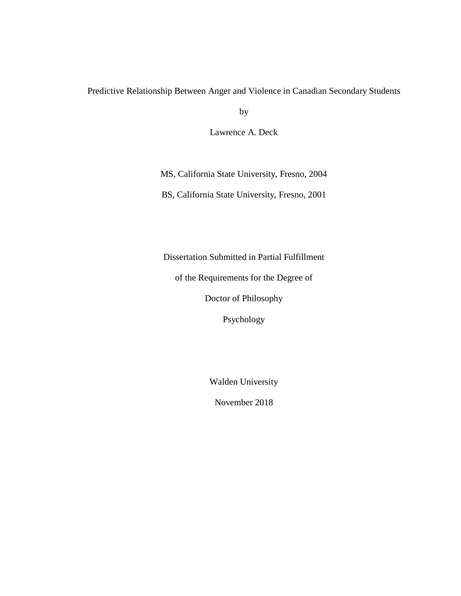### Predictive Relationship Between Anger and Violence in Canadian Secondary Students

by

Lawrence A. Deck

MS, California State University, Fresno, 2004

BS, California State University, Fresno, 2001

Dissertation Submitted in Partial Fulfillment

of the Requirements for the Degree of

Doctor of Philosophy

Psychology

Walden University

November 2018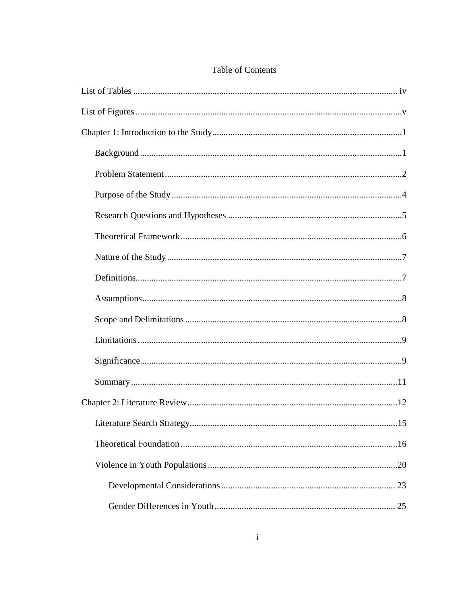## Table of Contents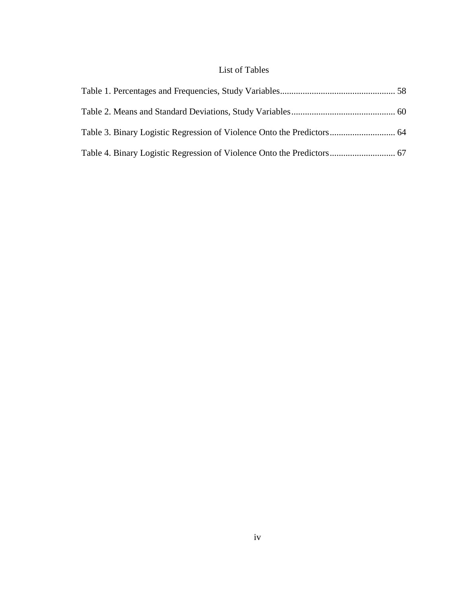## List of Tables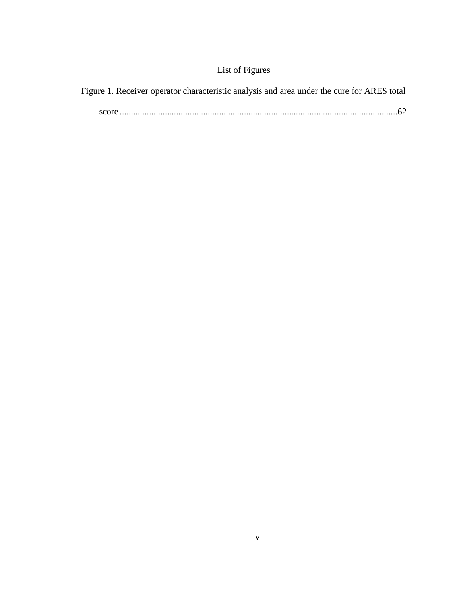## List of Figures

|  |  | Figure 1. Receiver operator characteristic analysis and area under the cure for ARES total |  |  |  |  |  |
|--|--|--------------------------------------------------------------------------------------------|--|--|--|--|--|
|  |  |                                                                                            |  |  |  |  |  |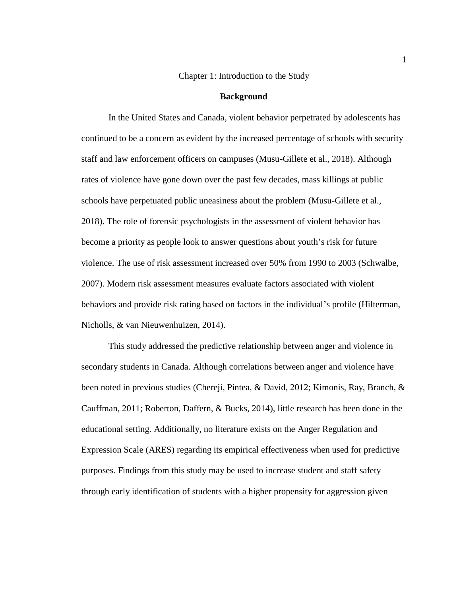#### Chapter 1: Introduction to the Study

#### **Background**

In the United States and Canada, violent behavior perpetrated by adolescents has continued to be a concern as evident by the increased percentage of schools with security staff and law enforcement officers on campuses (Musu-Gillete et al., 2018). Although rates of violence have gone down over the past few decades, mass killings at public schools have perpetuated public uneasiness about the problem (Musu-Gillete et al., 2018). The role of forensic psychologists in the assessment of violent behavior has become a priority as people look to answer questions about youth's risk for future violence. The use of risk assessment increased over 50% from 1990 to 2003 (Schwalbe, 2007). Modern risk assessment measures evaluate factors associated with violent behaviors and provide risk rating based on factors in the individual's profile (Hilterman, Nicholls, & van Nieuwenhuizen, 2014).

This study addressed the predictive relationship between anger and violence in secondary students in Canada. Although correlations between anger and violence have been noted in previous studies (Chereji, Pintea, & David, 2012; Kimonis, Ray, Branch, & Cauffman, 2011; Roberton, Daffern, & Bucks, 2014), little research has been done in the educational setting. Additionally, no literature exists on the Anger Regulation and Expression Scale (ARES) regarding its empirical effectiveness when used for predictive purposes. Findings from this study may be used to increase student and staff safety through early identification of students with a higher propensity for aggression given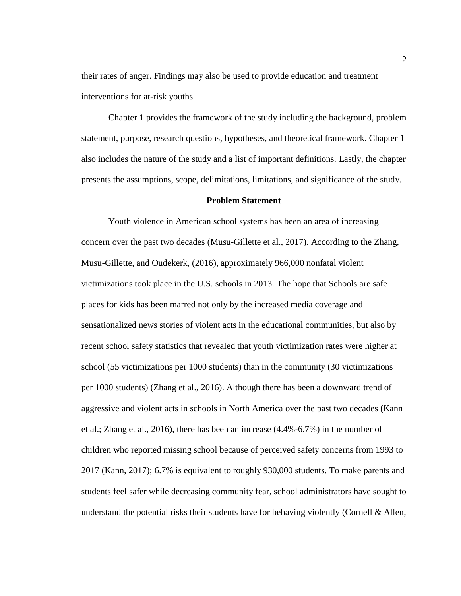their rates of anger. Findings may also be used to provide education and treatment interventions for at-risk youths.

Chapter 1 provides the framework of the study including the background, problem statement, purpose, research questions, hypotheses, and theoretical framework. Chapter 1 also includes the nature of the study and a list of important definitions. Lastly, the chapter presents the assumptions, scope, delimitations, limitations, and significance of the study.

#### **Problem Statement**

Youth violence in American school systems has been an area of increasing concern over the past two decades (Musu-Gillette et al., 2017). According to the Zhang, Musu-Gillette, and Oudekerk, (2016), approximately 966,000 nonfatal violent victimizations took place in the U.S. schools in 2013. The hope that Schools are safe places for kids has been marred not only by the increased media coverage and sensationalized news stories of violent acts in the educational communities, but also by recent school safety statistics that revealed that youth victimization rates were higher at school (55 victimizations per 1000 students) than in the community (30 victimizations per 1000 students) (Zhang et al., 2016). Although there has been a downward trend of aggressive and violent acts in schools in North America over the past two decades (Kann et al.; Zhang et al., 2016), there has been an increase (4.4%-6.7%) in the number of children who reported missing school because of perceived safety concerns from 1993 to 2017 (Kann, 2017); 6.7% is equivalent to roughly 930,000 students. To make parents and students feel safer while decreasing community fear, school administrators have sought to understand the potential risks their students have for behaving violently (Cornell & Allen,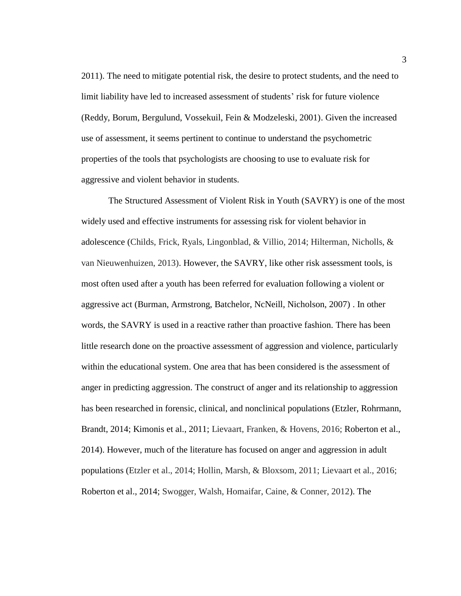2011). The need to mitigate potential risk, the desire to protect students, and the need to limit liability have led to increased assessment of students' risk for future violence (Reddy, Borum, Bergulund, Vossekuil, Fein & Modzeleski, 2001). Given the increased use of assessment, it seems pertinent to continue to understand the psychometric properties of the tools that psychologists are choosing to use to evaluate risk for aggressive and violent behavior in students.

The Structured Assessment of Violent Risk in Youth (SAVRY) is one of the most widely used and effective instruments for assessing risk for violent behavior in adolescence (Childs, Frick, Ryals, Lingonblad, & Villio, 2014; Hilterman, Nicholls, & van Nieuwenhuizen, 2013). However, the SAVRY, like other risk assessment tools, is most often used after a youth has been referred for evaluation following a violent or aggressive act (Burman, Armstrong, Batchelor, NcNeill, Nicholson, 2007) . In other words, the SAVRY is used in a reactive rather than proactive fashion. There has been little research done on the proactive assessment of aggression and violence, particularly within the educational system. One area that has been considered is the assessment of anger in predicting aggression. The construct of anger and its relationship to aggression has been researched in forensic, clinical, and nonclinical populations (Etzler, Rohrmann, Brandt, 2014; Kimonis et al., 2011; Lievaart, Franken, & Hovens, 2016; Roberton et al., 2014). However, much of the literature has focused on anger and aggression in adult populations (Etzler et al., 2014; Hollin, Marsh, & Bloxsom, 2011; Lievaart et al., 2016; Roberton et al., 2014; Swogger, Walsh, Homaifar, Caine, & Conner, 2012). The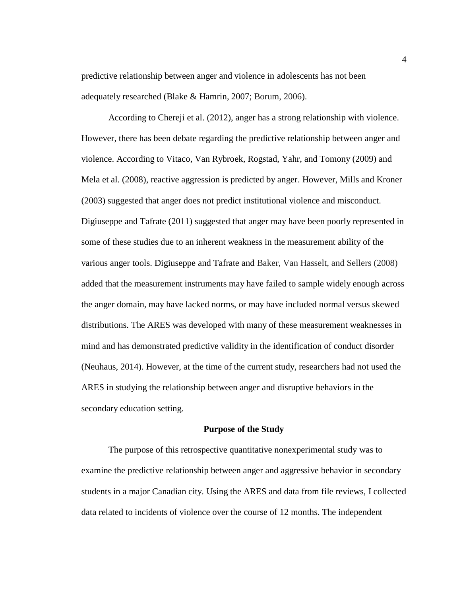predictive relationship between anger and violence in adolescents has not been adequately researched (Blake & Hamrin, 2007; Borum, 2006).

According to Chereji et al. (2012), anger has a strong relationship with violence. However, there has been debate regarding the predictive relationship between anger and violence. According to Vitaco, Van Rybroek, Rogstad, Yahr, and Tomony (2009) and Mela et al. (2008), reactive aggression is predicted by anger. However, Mills and Kroner (2003) suggested that anger does not predict institutional violence and misconduct. Digiuseppe and Tafrate (2011) suggested that anger may have been poorly represented in some of these studies due to an inherent weakness in the measurement ability of the various anger tools. Digiuseppe and Tafrate and Baker, Van Hasselt, and Sellers (2008) added that the measurement instruments may have failed to sample widely enough across the anger domain, may have lacked norms, or may have included normal versus skewed distributions. The ARES was developed with many of these measurement weaknesses in mind and has demonstrated predictive validity in the identification of conduct disorder (Neuhaus, 2014). However, at the time of the current study, researchers had not used the ARES in studying the relationship between anger and disruptive behaviors in the secondary education setting.

#### **Purpose of the Study**

The purpose of this retrospective quantitative nonexperimental study was to examine the predictive relationship between anger and aggressive behavior in secondary students in a major Canadian city. Using the ARES and data from file reviews, I collected data related to incidents of violence over the course of 12 months. The independent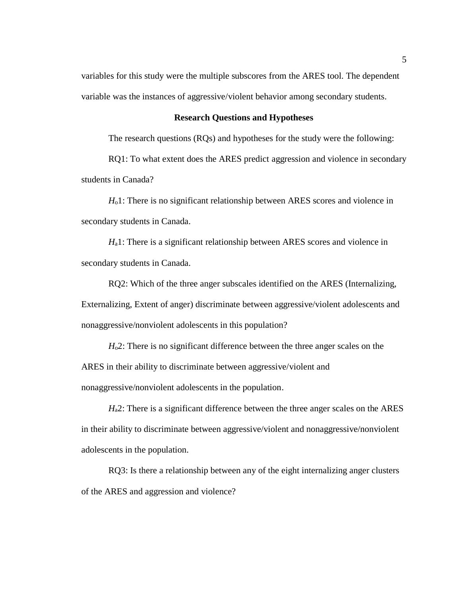variables for this study were the multiple subscores from the ARES tool. The dependent variable was the instances of aggressive/violent behavior among secondary students.

#### **Research Questions and Hypotheses**

The research questions (RQs) and hypotheses for the study were the following:

RQ1: To what extent does the ARES predict aggression and violence in secondary students in Canada?

*H*o1: There is no significant relationship between ARES scores and violence in secondary students in Canada.

*H*<sub>a</sub>1: There is a significant relationship between ARES scores and violence in secondary students in Canada.

RQ2: Which of the three anger subscales identified on the ARES (Internalizing, Externalizing, Extent of anger) discriminate between aggressive/violent adolescents and nonaggressive/nonviolent adolescents in this population?

*H*o2: There is no significant difference between the three anger scales on the ARES in their ability to discriminate between aggressive/violent and nonaggressive/nonviolent adolescents in the population.

*H*a2: There is a significant difference between the three anger scales on the ARES in their ability to discriminate between aggressive/violent and nonaggressive/nonviolent adolescents in the population.

RQ3: Is there a relationship between any of the eight internalizing anger clusters of the ARES and aggression and violence?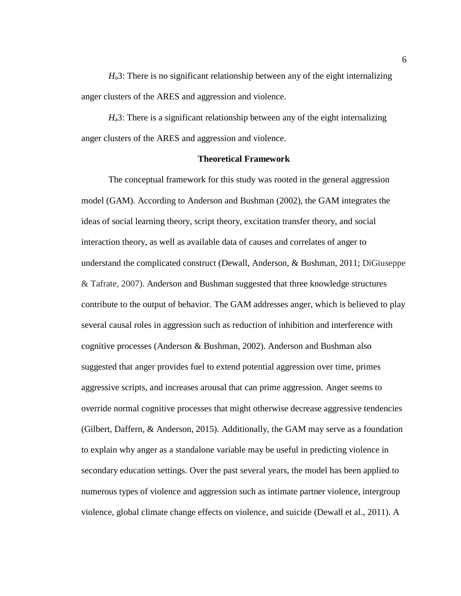*H*o3: There is no significant relationship between any of the eight internalizing anger clusters of the ARES and aggression and violence.

*H*<sub>a</sub>3: There is a significant relationship between any of the eight internalizing anger clusters of the ARES and aggression and violence.

#### **Theoretical Framework**

The conceptual framework for this study was rooted in the general aggression model (GAM). According to Anderson and Bushman (2002), the GAM integrates the ideas of social learning theory, script theory, excitation transfer theory, and social interaction theory, as well as available data of causes and correlates of anger to understand the complicated construct (Dewall, Anderson, & Bushman, 2011; DiGiuseppe & Tafrate, 2007). Anderson and Bushman suggested that three knowledge structures contribute to the output of behavior. The GAM addresses anger, which is believed to play several causal roles in aggression such as reduction of inhibition and interference with cognitive processes (Anderson & Bushman, 2002). Anderson and Bushman also suggested that anger provides fuel to extend potential aggression over time, primes aggressive scripts, and increases arousal that can prime aggression. Anger seems to override normal cognitive processes that might otherwise decrease aggressive tendencies (Gilbert, Daffern, & Anderson, 2015). Additionally, the GAM may serve as a foundation to explain why anger as a standalone variable may be useful in predicting violence in secondary education settings. Over the past several years, the model has been applied to numerous types of violence and aggression such as intimate partner violence, intergroup violence, global climate change effects on violence, and suicide (Dewall et al., 2011). A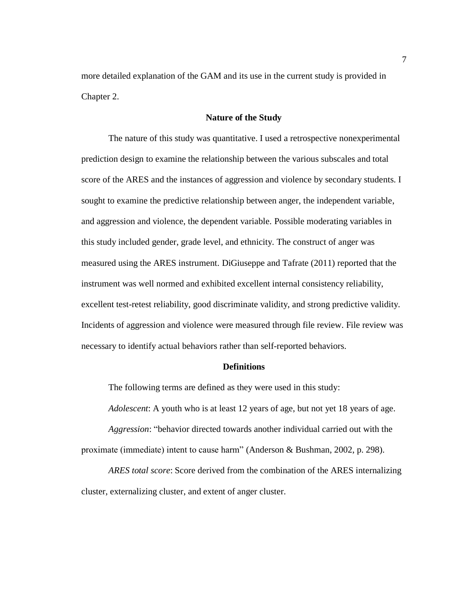more detailed explanation of the GAM and its use in the current study is provided in Chapter 2.

#### **Nature of the Study**

The nature of this study was quantitative. I used a retrospective nonexperimental prediction design to examine the relationship between the various subscales and total score of the ARES and the instances of aggression and violence by secondary students. I sought to examine the predictive relationship between anger, the independent variable, and aggression and violence, the dependent variable. Possible moderating variables in this study included gender, grade level, and ethnicity. The construct of anger was measured using the ARES instrument. DiGiuseppe and Tafrate (2011) reported that the instrument was well normed and exhibited excellent internal consistency reliability, excellent test-retest reliability, good discriminate validity, and strong predictive validity. Incidents of aggression and violence were measured through file review. File review was necessary to identify actual behaviors rather than self-reported behaviors.

#### **Definitions**

The following terms are defined as they were used in this study:

*Adolescent*: A youth who is at least 12 years of age, but not yet 18 years of age.

*Aggression*: "behavior directed towards another individual carried out with the proximate (immediate) intent to cause harm" (Anderson & Bushman, 2002, p. 298).

*ARES total score*: Score derived from the combination of the ARES internalizing cluster, externalizing cluster, and extent of anger cluster.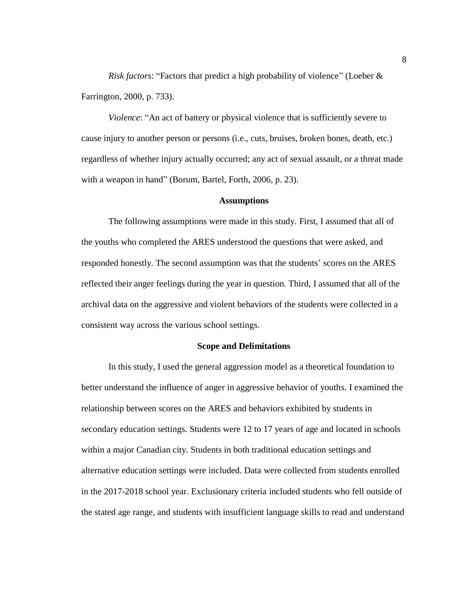*Risk factors*: "Factors that predict a high probability of violence" (Loeber & Farrington, 2000, p. 733).

*Violence*: "An act of battery or physical violence that is sufficiently severe to cause injury to another person or persons (i.e., cuts, bruises, broken bones, death, etc.) regardless of whether injury actually occurred; any act of sexual assault, or a threat made with a weapon in hand" (Borum, Bartel, Forth, 2006, p. 23).

#### **Assumptions**

The following assumptions were made in this study. First, I assumed that all of the youths who completed the ARES understood the questions that were asked, and responded honestly. The second assumption was that the students' scores on the ARES reflected their anger feelings during the year in question. Third, I assumed that all of the archival data on the aggressive and violent behaviors of the students were collected in a consistent way across the various school settings.

#### **Scope and Delimitations**

In this study, I used the general aggression model as a theoretical foundation to better understand the influence of anger in aggressive behavior of youths. I examined the relationship between scores on the ARES and behaviors exhibited by students in secondary education settings. Students were 12 to 17 years of age and located in schools within a major Canadian city. Students in both traditional education settings and alternative education settings were included. Data were collected from students enrolled in the 2017-2018 school year. Exclusionary criteria included students who fell outside of the stated age range, and students with insufficient language skills to read and understand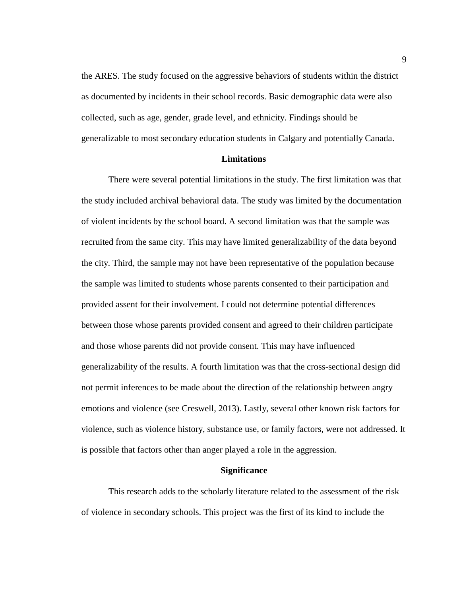the ARES. The study focused on the aggressive behaviors of students within the district as documented by incidents in their school records. Basic demographic data were also collected, such as age, gender, grade level, and ethnicity. Findings should be generalizable to most secondary education students in Calgary and potentially Canada.

#### **Limitations**

There were several potential limitations in the study. The first limitation was that the study included archival behavioral data. The study was limited by the documentation of violent incidents by the school board. A second limitation was that the sample was recruited from the same city. This may have limited generalizability of the data beyond the city. Third, the sample may not have been representative of the population because the sample was limited to students whose parents consented to their participation and provided assent for their involvement. I could not determine potential differences between those whose parents provided consent and agreed to their children participate and those whose parents did not provide consent. This may have influenced generalizability of the results. A fourth limitation was that the cross-sectional design did not permit inferences to be made about the direction of the relationship between angry emotions and violence (see Creswell, 2013). Lastly, several other known risk factors for violence, such as violence history, substance use, or family factors, were not addressed. It is possible that factors other than anger played a role in the aggression.

#### **Significance**

This research adds to the scholarly literature related to the assessment of the risk of violence in secondary schools. This project was the first of its kind to include the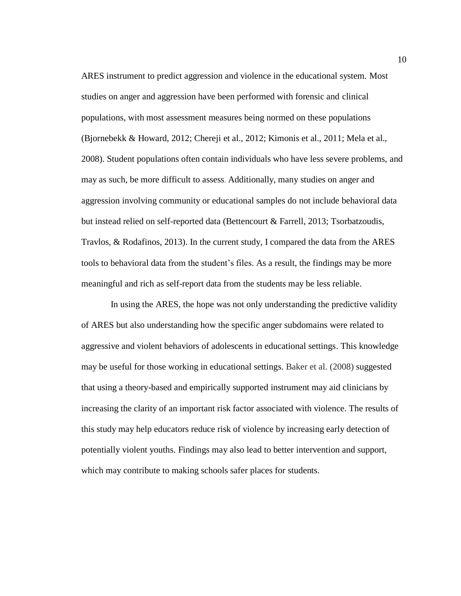ARES instrument to predict aggression and violence in the educational system. Most studies on anger and aggression have been performed with forensic and clinical populations, with most assessment measures being normed on these populations (Bjornebekk & Howard, 2012; Chereji et al., 2012; Kimonis et al., 2011; Mela et al., 2008). Student populations often contain individuals who have less severe problems, and may as such, be more difficult to assess. Additionally, many studies on anger and aggression involving community or educational samples do not include behavioral data but instead relied on self-reported data (Bettencourt & Farrell, 2013; Tsorbatzoudis, Travlos, & Rodafinos, 2013). In the current study, I compared the data from the ARES tools to behavioral data from the student's files. As a result, the findings may be more meaningful and rich as self-report data from the students may be less reliable.

In using the ARES, the hope was not only understanding the predictive validity of ARES but also understanding how the specific anger subdomains were related to aggressive and violent behaviors of adolescents in educational settings. This knowledge may be useful for those working in educational settings. Baker et al. (2008) suggested that using a theory-based and empirically supported instrument may aid clinicians by increasing the clarity of an important risk factor associated with violence. The results of this study may help educators reduce risk of violence by increasing early detection of potentially violent youths. Findings may also lead to better intervention and support, which may contribute to making schools safer places for students.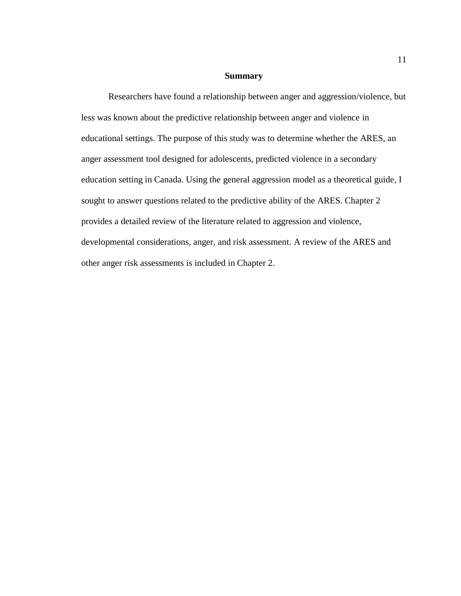#### **Summary**

Researchers have found a relationship between anger and aggression/violence, but less was known about the predictive relationship between anger and violence in educational settings. The purpose of this study was to determine whether the ARES, an anger assessment tool designed for adolescents, predicted violence in a secondary education setting in Canada. Using the general aggression model as a theoretical guide, I sought to answer questions related to the predictive ability of the ARES. Chapter 2 provides a detailed review of the literature related to aggression and violence, developmental considerations, anger, and risk assessment. A review of the ARES and other anger risk assessments is included in Chapter 2.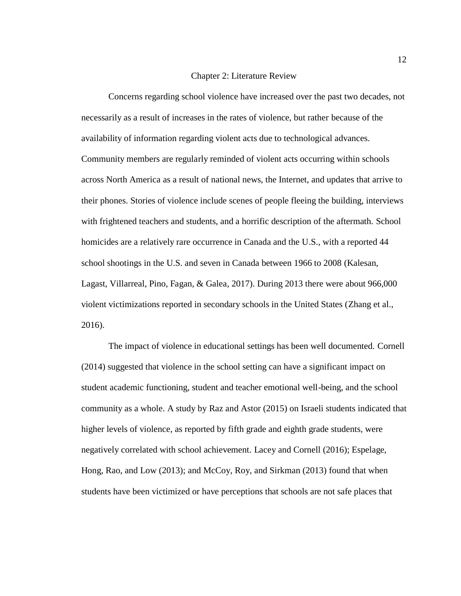#### Chapter 2: Literature Review

Concerns regarding school violence have increased over the past two decades, not necessarily as a result of increases in the rates of violence, but rather because of the availability of information regarding violent acts due to technological advances. Community members are regularly reminded of violent acts occurring within schools across North America as a result of national news, the Internet, and updates that arrive to their phones. Stories of violence include scenes of people fleeing the building, interviews with frightened teachers and students, and a horrific description of the aftermath. School homicides are a relatively rare occurrence in Canada and the U.S., with a reported 44 school shootings in the U.S. and seven in Canada between 1966 to 2008 (Kalesan, Lagast, Villarreal, Pino, Fagan, & Galea, 2017). During 2013 there were about 966,000 violent victimizations reported in secondary schools in the United States (Zhang et al., 2016).

The impact of violence in educational settings has been well documented. Cornell (2014) suggested that violence in the school setting can have a significant impact on student academic functioning, student and teacher emotional well-being, and the school community as a whole. A study by Raz and Astor (2015) on Israeli students indicated that higher levels of violence, as reported by fifth grade and eighth grade students, were negatively correlated with school achievement. Lacey and Cornell (2016); Espelage, Hong, Rao, and Low (2013); and McCoy, Roy, and Sirkman (2013) found that when students have been victimized or have perceptions that schools are not safe places that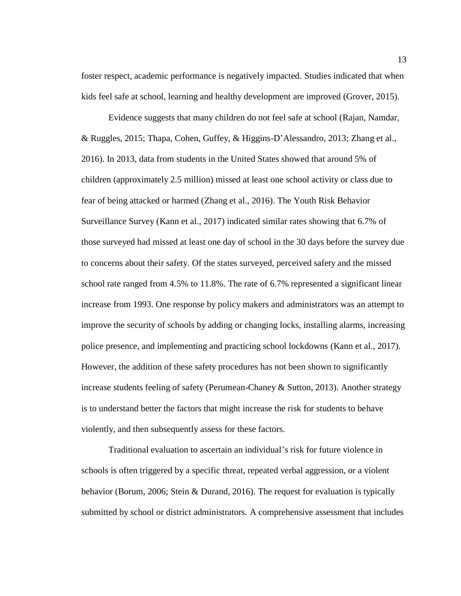foster respect, academic performance is negatively impacted. Studies indicated that when kids feel safe at school, learning and healthy development are improved (Grover, 2015).

Evidence suggests that many children do not feel safe at school (Rajan, Namdar, & Ruggles, 2015; Thapa, Cohen, Guffey, & Higgins-D'Alessandro, 2013; Zhang et al., 2016). In 2013, data from students in the United States showed that around 5% of children (approximately 2.5 million) missed at least one school activity or class due to fear of being attacked or harmed (Zhang et al., 2016). The Youth Risk Behavior Surveillance Survey (Kann et al., 2017) indicated similar rates showing that 6.7% of those surveyed had missed at least one day of school in the 30 days before the survey due to concerns about their safety. Of the states surveyed, perceived safety and the missed school rate ranged from 4.5% to 11.8%. The rate of 6.7% represented a significant linear increase from 1993. One response by policy makers and administrators was an attempt to improve the security of schools by adding or changing locks, installing alarms, increasing police presence, and implementing and practicing school lockdowns (Kann et al., 2017). However, the addition of these safety procedures has not been shown to significantly increase students feeling of safety (Perumean-Chaney & Sutton, 2013). Another strategy is to understand better the factors that might increase the risk for students to behave violently, and then subsequently assess for these factors.

Traditional evaluation to ascertain an individual's risk for future violence in schools is often triggered by a specific threat, repeated verbal aggression, or a violent behavior (Borum, 2006; Stein & Durand, 2016). The request for evaluation is typically submitted by school or district administrators. A comprehensive assessment that includes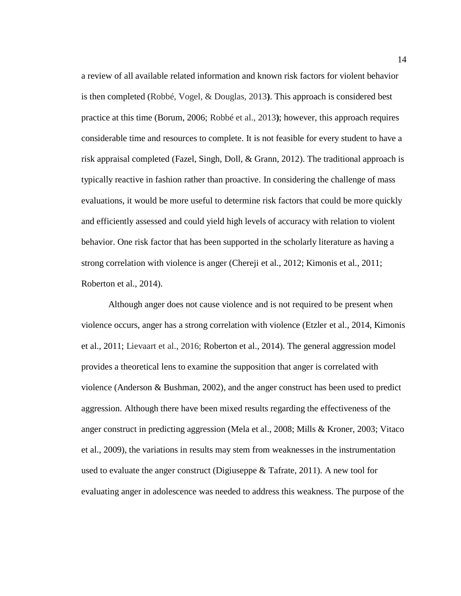a review of all available related information and known risk factors for violent behavior is then completed (Robbé, Vogel, & Douglas, 2013**)**. This approach is considered best practice at this time (Borum, 2006; Robbé et al., 2013**)**; however, this approach requires considerable time and resources to complete. It is not feasible for every student to have a risk appraisal completed (Fazel, Singh, Doll, & Grann, 2012). The traditional approach is typically reactive in fashion rather than proactive. In considering the challenge of mass evaluations, it would be more useful to determine risk factors that could be more quickly and efficiently assessed and could yield high levels of accuracy with relation to violent behavior. One risk factor that has been supported in the scholarly literature as having a strong correlation with violence is anger (Chereji et al., 2012; Kimonis et al., 2011; Roberton et al., 2014).

Although anger does not cause violence and is not required to be present when violence occurs, anger has a strong correlation with violence (Etzler et al., 2014, Kimonis et al., 2011; Lievaart et al., 2016; Roberton et al., 2014). The general aggression model provides a theoretical lens to examine the supposition that anger is correlated with violence (Anderson & Bushman, 2002), and the anger construct has been used to predict aggression. Although there have been mixed results regarding the effectiveness of the anger construct in predicting aggression (Mela et al., 2008; Mills & Kroner, 2003; Vitaco et al., 2009), the variations in results may stem from weaknesses in the instrumentation used to evaluate the anger construct (Digiuseppe  $\&$  Tafrate, 2011). A new tool for evaluating anger in adolescence was needed to address this weakness. The purpose of the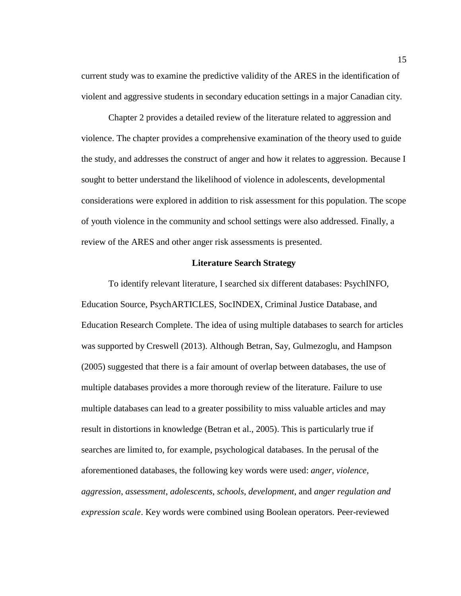current study was to examine the predictive validity of the ARES in the identification of violent and aggressive students in secondary education settings in a major Canadian city.

Chapter 2 provides a detailed review of the literature related to aggression and violence. The chapter provides a comprehensive examination of the theory used to guide the study, and addresses the construct of anger and how it relates to aggression. Because I sought to better understand the likelihood of violence in adolescents, developmental considerations were explored in addition to risk assessment for this population. The scope of youth violence in the community and school settings were also addressed. Finally, a review of the ARES and other anger risk assessments is presented.

#### **Literature Search Strategy**

To identify relevant literature, I searched six different databases: PsychINFO, Education Source, PsychARTICLES, SocINDEX, Criminal Justice Database, and Education Research Complete. The idea of using multiple databases to search for articles was supported by Creswell (2013). Although Betran, Say, Gulmezoglu, and Hampson (2005) suggested that there is a fair amount of overlap between databases, the use of multiple databases provides a more thorough review of the literature. Failure to use multiple databases can lead to a greater possibility to miss valuable articles and may result in distortions in knowledge (Betran et al., 2005). This is particularly true if searches are limited to, for example, psychological databases. In the perusal of the aforementioned databases, the following key words were used: *anger*, *violence*, *aggression*, *assessment*, *adolescents*, *schools*, *development*, and *anger regulation and expression scale*. Key words were combined using Boolean operators. Peer-reviewed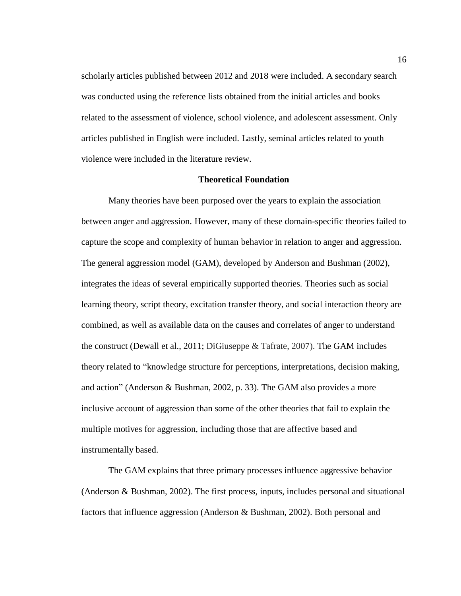scholarly articles published between 2012 and 2018 were included. A secondary search was conducted using the reference lists obtained from the initial articles and books related to the assessment of violence, school violence, and adolescent assessment. Only articles published in English were included. Lastly, seminal articles related to youth violence were included in the literature review.

#### **Theoretical Foundation**

Many theories have been purposed over the years to explain the association between anger and aggression. However, many of these domain-specific theories failed to capture the scope and complexity of human behavior in relation to anger and aggression. The general aggression model (GAM), developed by Anderson and Bushman (2002), integrates the ideas of several empirically supported theories. Theories such as social learning theory, script theory, excitation transfer theory, and social interaction theory are combined, as well as available data on the causes and correlates of anger to understand the construct (Dewall et al., 2011; DiGiuseppe & Tafrate, 2007). The GAM includes theory related to "knowledge structure for perceptions, interpretations, decision making, and action" (Anderson & Bushman, 2002, p. 33). The GAM also provides a more inclusive account of aggression than some of the other theories that fail to explain the multiple motives for aggression, including those that are affective based and instrumentally based.

The GAM explains that three primary processes influence aggressive behavior (Anderson & Bushman, 2002). The first process, inputs, includes personal and situational factors that influence aggression (Anderson & Bushman, 2002). Both personal and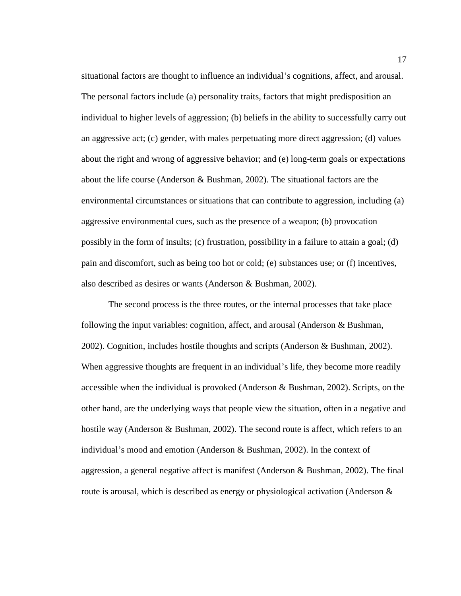situational factors are thought to influence an individual's cognitions, affect, and arousal. The personal factors include (a) personality traits, factors that might predisposition an individual to higher levels of aggression; (b) beliefs in the ability to successfully carry out an aggressive act; (c) gender, with males perpetuating more direct aggression; (d) values about the right and wrong of aggressive behavior; and (e) long-term goals or expectations about the life course (Anderson & Bushman, 2002). The situational factors are the environmental circumstances or situations that can contribute to aggression, including (a) aggressive environmental cues, such as the presence of a weapon; (b) provocation possibly in the form of insults; (c) frustration, possibility in a failure to attain a goal; (d) pain and discomfort, such as being too hot or cold; (e) substances use; or (f) incentives, also described as desires or wants (Anderson & Bushman, 2002).

The second process is the three routes, or the internal processes that take place following the input variables: cognition, affect, and arousal (Anderson & Bushman, 2002). Cognition, includes hostile thoughts and scripts (Anderson & Bushman, 2002). When aggressive thoughts are frequent in an individual's life, they become more readily accessible when the individual is provoked (Anderson & Bushman, 2002). Scripts, on the other hand, are the underlying ways that people view the situation, often in a negative and hostile way (Anderson & Bushman, 2002). The second route is affect, which refers to an individual's mood and emotion (Anderson & Bushman, 2002). In the context of aggression, a general negative affect is manifest (Anderson & Bushman, 2002). The final route is arousal, which is described as energy or physiological activation (Anderson &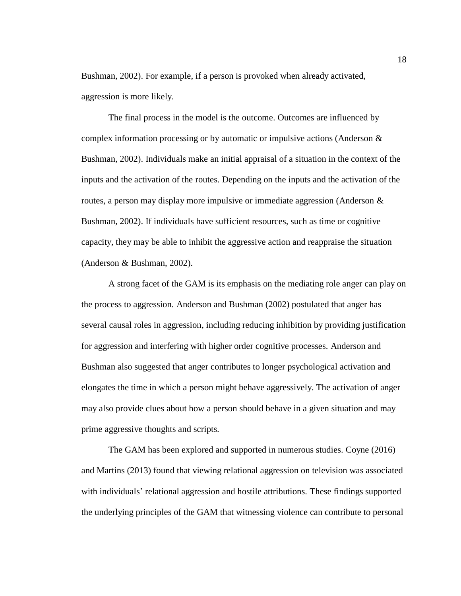Bushman, 2002). For example, if a person is provoked when already activated, aggression is more likely.

The final process in the model is the outcome. Outcomes are influenced by complex information processing or by automatic or impulsive actions (Anderson & Bushman, 2002). Individuals make an initial appraisal of a situation in the context of the inputs and the activation of the routes. Depending on the inputs and the activation of the routes, a person may display more impulsive or immediate aggression (Anderson  $\&$ Bushman, 2002). If individuals have sufficient resources, such as time or cognitive capacity, they may be able to inhibit the aggressive action and reappraise the situation (Anderson & Bushman, 2002).

A strong facet of the GAM is its emphasis on the mediating role anger can play on the process to aggression. Anderson and Bushman (2002) postulated that anger has several causal roles in aggression, including reducing inhibition by providing justification for aggression and interfering with higher order cognitive processes. Anderson and Bushman also suggested that anger contributes to longer psychological activation and elongates the time in which a person might behave aggressively. The activation of anger may also provide clues about how a person should behave in a given situation and may prime aggressive thoughts and scripts.

The GAM has been explored and supported in numerous studies. Coyne (2016) and Martins (2013) found that viewing relational aggression on television was associated with individuals' relational aggression and hostile attributions. These findings supported the underlying principles of the GAM that witnessing violence can contribute to personal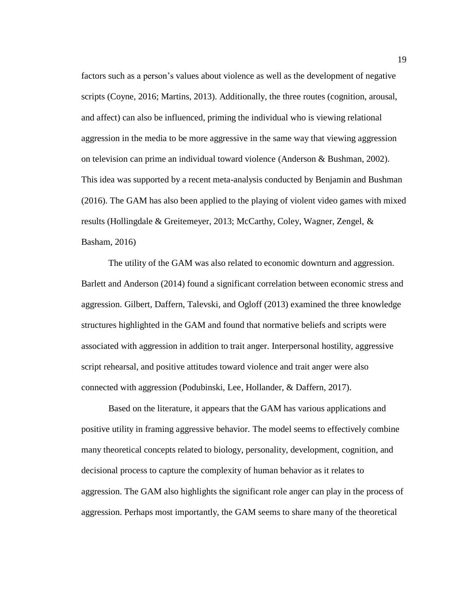factors such as a person's values about violence as well as the development of negative scripts (Coyne, 2016; Martins, 2013). Additionally, the three routes (cognition, arousal, and affect) can also be influenced, priming the individual who is viewing relational aggression in the media to be more aggressive in the same way that viewing aggression on television can prime an individual toward violence (Anderson & Bushman, 2002). This idea was supported by a recent meta-analysis conducted by Benjamin and Bushman (2016). The GAM has also been applied to the playing of violent video games with mixed results (Hollingdale & Greitemeyer, 2013; McCarthy, Coley, Wagner, Zengel, & Basham, 2016)

The utility of the GAM was also related to economic downturn and aggression. Barlett and Anderson (2014) found a significant correlation between economic stress and aggression. Gilbert, Daffern, Talevski, and Ogloff (2013) examined the three knowledge structures highlighted in the GAM and found that normative beliefs and scripts were associated with aggression in addition to trait anger. Interpersonal hostility, aggressive script rehearsal, and positive attitudes toward violence and trait anger were also connected with aggression (Podubinski, Lee, Hollander, & Daffern, 2017).

Based on the literature, it appears that the GAM has various applications and positive utility in framing aggressive behavior. The model seems to effectively combine many theoretical concepts related to biology, personality, development, cognition, and decisional process to capture the complexity of human behavior as it relates to aggression. The GAM also highlights the significant role anger can play in the process of aggression. Perhaps most importantly, the GAM seems to share many of the theoretical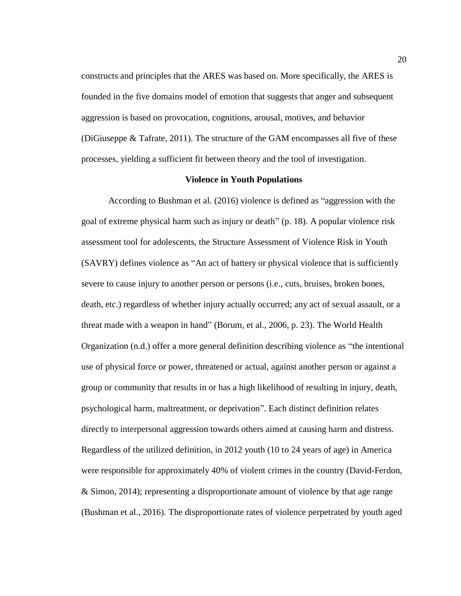constructs and principles that the ARES was based on. More specifically, the ARES is founded in the five domains model of emotion that suggests that anger and subsequent aggression is based on provocation, cognitions, arousal, motives, and behavior (DiGiuseppe & Tafrate, 2011). The structure of the GAM encompasses all five of these processes, yielding a sufficient fit between theory and the tool of investigation.

#### **Violence in Youth Populations**

According to Bushman et al. (2016) violence is defined as "aggression with the goal of extreme physical harm such as injury or death" (p. 18). A popular violence risk assessment tool for adolescents, the Structure Assessment of Violence Risk in Youth (SAVRY) defines violence as "An act of battery or physical violence that is sufficiently severe to cause injury to another person or persons (i.e., cuts, bruises, broken bones, death, etc.) regardless of whether injury actually occurred; any act of sexual assault, or a threat made with a weapon in hand" (Borum, et al., 2006, p. 23). The World Health Organization (n.d.) offer a more general definition describing violence as "the intentional use of physical force or power, threatened or actual, against another person or against a group or community that results in or has a high likelihood of resulting in injury, death, psychological harm, maltreatment, or deprivation". Each distinct definition relates directly to interpersonal aggression towards others aimed at causing harm and distress. Regardless of the utilized definition, in 2012 youth (10 to 24 years of age) in America were responsible for approximately 40% of violent crimes in the country (David-Ferdon, & Simon, 2014); representing a disproportionate amount of violence by that age range (Bushman et al., 2016). The disproportionate rates of violence perpetrated by youth aged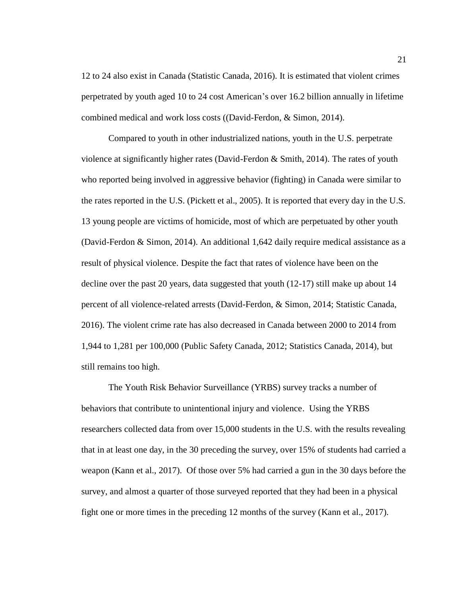12 to 24 also exist in Canada (Statistic Canada, 2016). It is estimated that violent crimes perpetrated by youth aged 10 to 24 cost American's over 16.2 billion annually in lifetime combined medical and work loss costs ((David-Ferdon, & Simon, 2014).

Compared to youth in other industrialized nations, youth in the U.S. perpetrate violence at significantly higher rates (David-Ferdon & Smith, 2014). The rates of youth who reported being involved in aggressive behavior (fighting) in Canada were similar to the rates reported in the U.S. (Pickett et al., 2005). It is reported that every day in the U.S. 13 young people are victims of homicide, most of which are perpetuated by other youth (David-Ferdon & Simon, 2014). An additional 1,642 daily require medical assistance as a result of physical violence. Despite the fact that rates of violence have been on the decline over the past 20 years, data suggested that youth (12-17) still make up about 14 percent of all violence-related arrests (David-Ferdon, & Simon, 2014; Statistic Canada, 2016). The violent crime rate has also decreased in Canada between 2000 to 2014 from 1,944 to 1,281 per 100,000 (Public Safety Canada, 2012; Statistics Canada, 2014), but still remains too high.

The Youth Risk Behavior Surveillance (YRBS) survey tracks a number of behaviors that contribute to unintentional injury and violence. Using the YRBS researchers collected data from over 15,000 students in the U.S. with the results revealing that in at least one day, in the 30 preceding the survey, over 15% of students had carried a weapon (Kann et al., 2017). Of those over 5% had carried a gun in the 30 days before the survey, and almost a quarter of those surveyed reported that they had been in a physical fight one or more times in the preceding 12 months of the survey (Kann et al., 2017).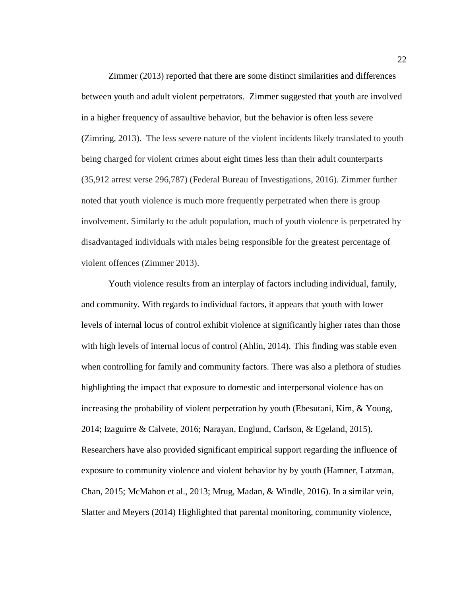Zimmer (2013) reported that there are some distinct similarities and differences between youth and adult violent perpetrators. Zimmer suggested that youth are involved in a higher frequency of assaultive behavior, but the behavior is often less severe (Zimring, 2013). The less severe nature of the violent incidents likely translated to youth being charged for violent crimes about eight times less than their adult counterparts (35,912 arrest verse 296,787) (Federal Bureau of Investigations, 2016). Zimmer further noted that youth violence is much more frequently perpetrated when there is group involvement. Similarly to the adult population, much of youth violence is perpetrated by disadvantaged individuals with males being responsible for the greatest percentage of violent offences (Zimmer 2013).

Youth violence results from an interplay of factors including individual, family, and community. With regards to individual factors, it appears that youth with lower levels of internal locus of control exhibit violence at significantly higher rates than those with high levels of internal locus of control (Ahlin, 2014). This finding was stable even when controlling for family and community factors. There was also a plethora of studies highlighting the impact that exposure to domestic and interpersonal violence has on increasing the probability of violent perpetration by youth (Ebesutani, Kim, & Young, 2014; Izaguirre & Calvete, 2016; Narayan, Englund, Carlson, & Egeland, 2015). Researchers have also provided significant empirical support regarding the influence of exposure to community violence and violent behavior by by youth (Hamner, Latzman, Chan, 2015; McMahon et al., 2013; Mrug, Madan, & Windle, 2016). In a similar vein, Slatter and Meyers (2014) Highlighted that parental monitoring, community violence,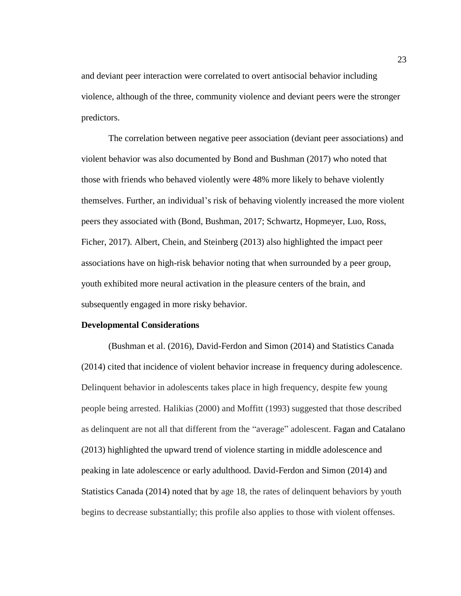and deviant peer interaction were correlated to overt antisocial behavior including violence, although of the three, community violence and deviant peers were the stronger predictors.

The correlation between negative peer association (deviant peer associations) and violent behavior was also documented by Bond and Bushman (2017) who noted that those with friends who behaved violently were 48% more likely to behave violently themselves. Further, an individual's risk of behaving violently increased the more violent peers they associated with (Bond, Bushman, 2017; Schwartz, Hopmeyer, Luo, Ross, Ficher, 2017). Albert, Chein, and Steinberg (2013) also highlighted the impact peer associations have on high-risk behavior noting that when surrounded by a peer group, youth exhibited more neural activation in the pleasure centers of the brain, and subsequently engaged in more risky behavior.

#### **Developmental Considerations**

(Bushman et al. (2016), David-Ferdon and Simon (2014) and Statistics Canada (2014) cited that incidence of violent behavior increase in frequency during adolescence. Delinquent behavior in adolescents takes place in high frequency, despite few young people being arrested. Halikias (2000) and Moffitt (1993) suggested that those described as delinquent are not all that different from the "average" adolescent. Fagan and Catalano (2013) highlighted the upward trend of violence starting in middle adolescence and peaking in late adolescence or early adulthood. David-Ferdon and Simon (2014) and Statistics Canada (2014) noted that by age 18, the rates of delinquent behaviors by youth begins to decrease substantially; this profile also applies to those with violent offenses.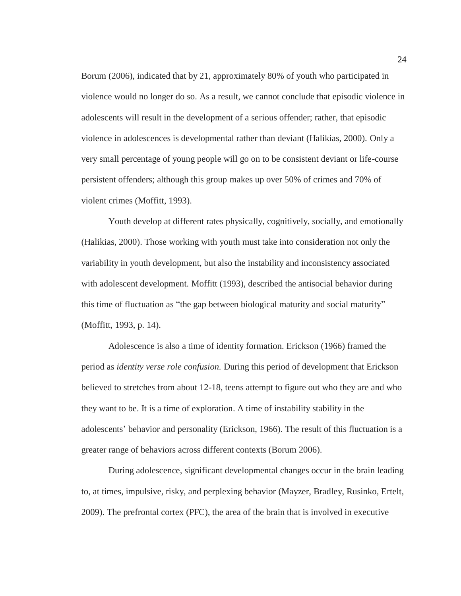Borum (2006), indicated that by 21, approximately 80% of youth who participated in violence would no longer do so. As a result, we cannot conclude that episodic violence in adolescents will result in the development of a serious offender; rather, that episodic violence in adolescences is developmental rather than deviant (Halikias, 2000). Only a very small percentage of young people will go on to be consistent deviant or life-course persistent offenders; although this group makes up over 50% of crimes and 70% of violent crimes (Moffitt, 1993).

Youth develop at different rates physically, cognitively, socially, and emotionally (Halikias, 2000). Those working with youth must take into consideration not only the variability in youth development, but also the instability and inconsistency associated with adolescent development. Moffitt (1993), described the antisocial behavior during this time of fluctuation as "the gap between biological maturity and social maturity" (Moffitt, 1993, p. 14).

Adolescence is also a time of identity formation. Erickson (1966) framed the period as *identity verse role confusion.* During this period of development that Erickson believed to stretches from about 12-18, teens attempt to figure out who they are and who they want to be. It is a time of exploration. A time of instability stability in the adolescents' behavior and personality (Erickson, 1966). The result of this fluctuation is a greater range of behaviors across different contexts (Borum 2006).

During adolescence, significant developmental changes occur in the brain leading to, at times, impulsive, risky, and perplexing behavior (Mayzer, Bradley, Rusinko, Ertelt, 2009). The prefrontal cortex (PFC), the area of the brain that is involved in executive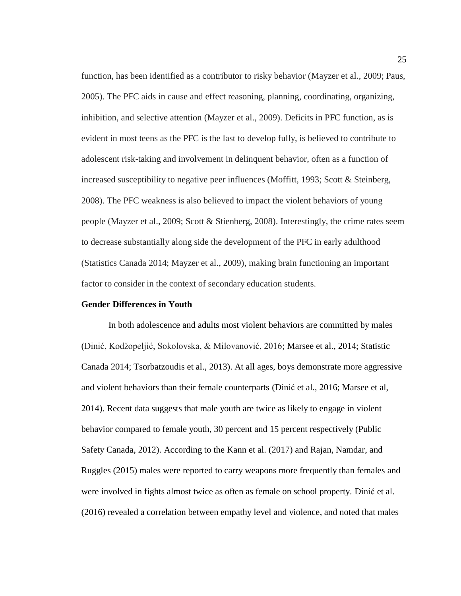function, has been identified as a contributor to risky behavior (Mayzer et al., 2009; Paus, 2005). The PFC aids in cause and effect reasoning, planning, coordinating, organizing, inhibition, and selective attention (Mayzer et al., 2009). Deficits in PFC function, as is evident in most teens as the PFC is the last to develop fully, is believed to contribute to adolescent risk-taking and involvement in delinquent behavior, often as a function of increased susceptibility to negative peer influences (Moffitt, 1993; Scott & Steinberg, 2008). The PFC weakness is also believed to impact the violent behaviors of young people (Mayzer et al., 2009; Scott & Stienberg, 2008). Interestingly, the crime rates seem to decrease substantially along side the development of the PFC in early adulthood (Statistics Canada 2014; Mayzer et al., 2009), making brain functioning an important factor to consider in the context of secondary education students.

#### **Gender Differences in Youth**

In both adolescence and adults most violent behaviors are committed by males (Dinić, Kodžopeljić, Sokolovska, & Milovanović, 2016; Marsee et al., 2014; Statistic Canada 2014; Tsorbatzoudis et al., 2013). At all ages, boys demonstrate more aggressive and violent behaviors than their female counterparts (Dinić et al., 2016; Marsee et al, 2014). Recent data suggests that male youth are twice as likely to engage in violent behavior compared to female youth, 30 percent and 15 percent respectively (Public Safety Canada, 2012). According to the Kann et al. (2017) and Rajan, Namdar, and Ruggles (2015) males were reported to carry weapons more frequently than females and were involved in fights almost twice as often as female on school property. Dinić et al. (2016) revealed a correlation between empathy level and violence, and noted that males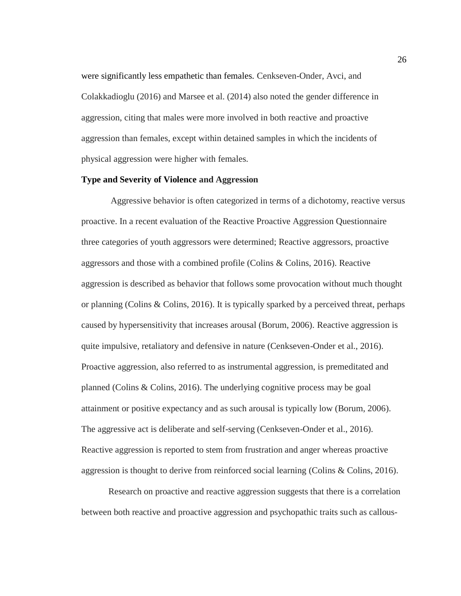were significantly less empathetic than females. Cenkseven-Onder, Avci, and Colakkadioglu (2016) and Marsee et al. (2014) also noted the gender difference in aggression, citing that males were more involved in both reactive and proactive aggression than females, except within detained samples in which the incidents of physical aggression were higher with females.

#### **Type and Severity of Violence and Aggression**

Aggressive behavior is often categorized in terms of a dichotomy, reactive versus proactive. In a recent evaluation of the Reactive Proactive Aggression Questionnaire three categories of youth aggressors were determined; Reactive aggressors, proactive aggressors and those with a combined profile (Colins & Colins, 2016). Reactive aggression is described as behavior that follows some provocation without much thought or planning (Colins & Colins, 2016). It is typically sparked by a perceived threat, perhaps caused by hypersensitivity that increases arousal (Borum, 2006). Reactive aggression is quite impulsive, retaliatory and defensive in nature (Cenkseven-Onder et al., 2016). Proactive aggression, also referred to as instrumental aggression, is premeditated and planned (Colins & Colins, 2016). The underlying cognitive process may be goal attainment or positive expectancy and as such arousal is typically low (Borum, 2006). The aggressive act is deliberate and self-serving (Cenkseven-Onder et al., 2016). Reactive aggression is reported to stem from frustration and anger whereas proactive aggression is thought to derive from reinforced social learning (Colins & Colins, 2016).

Research on proactive and reactive aggression suggests that there is a correlation between both reactive and proactive aggression and psychopathic traits such as callous-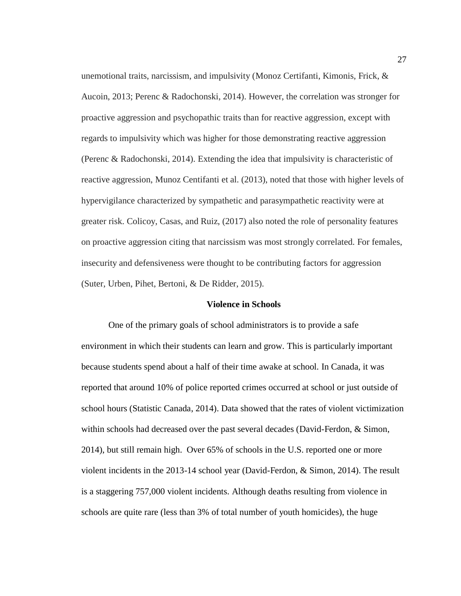unemotional traits, narcissism, and impulsivity (Monoz Certifanti, Kimonis, Frick, & Aucoin, 2013; Perenc & Radochonski, 2014). However, the correlation was stronger for proactive aggression and psychopathic traits than for reactive aggression, except with regards to impulsivity which was higher for those demonstrating reactive aggression (Perenc & Radochonski, 2014). Extending the idea that impulsivity is characteristic of reactive aggression, Munoz Centifanti et al. (2013), noted that those with higher levels of hypervigilance characterized by sympathetic and parasympathetic reactivity were at greater risk. Colicoy, Casas, and Ruiz, (2017) also noted the role of personality features on proactive aggression citing that narcissism was most strongly correlated. For females, insecurity and defensiveness were thought to be contributing factors for aggression (Suter, Urben, Pihet, Bertoni, & De Ridder, 2015).

### **Violence in Schools**

One of the primary goals of school administrators is to provide a safe environment in which their students can learn and grow. This is particularly important because students spend about a half of their time awake at school. In Canada, it was reported that around 10% of police reported crimes occurred at school or just outside of school hours (Statistic Canada, 2014). Data showed that the rates of violent victimization within schools had decreased over the past several decades (David-Ferdon, & Simon, 2014), but still remain high. Over 65% of schools in the U.S. reported one or more violent incidents in the 2013-14 school year (David-Ferdon, & Simon, 2014). The result is a staggering 757,000 violent incidents. Although deaths resulting from violence in schools are quite rare (less than 3% of total number of youth homicides), the huge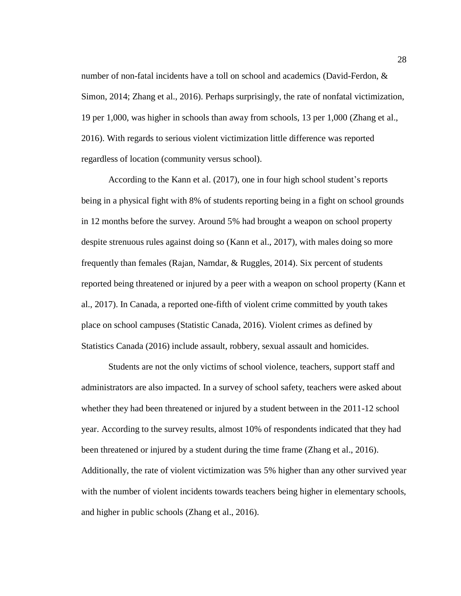number of non-fatal incidents have a toll on school and academics (David-Ferdon, & Simon, 2014; Zhang et al., 2016). Perhaps surprisingly, the rate of nonfatal victimization, 19 per 1,000, was higher in schools than away from schools, 13 per 1,000 (Zhang et al., 2016). With regards to serious violent victimization little difference was reported regardless of location (community versus school).

According to the Kann et al. (2017), one in four high school student's reports being in a physical fight with 8% of students reporting being in a fight on school grounds in 12 months before the survey. Around 5% had brought a weapon on school property despite strenuous rules against doing so (Kann et al., 2017), with males doing so more frequently than females (Rajan, Namdar, & Ruggles, 2014). Six percent of students reported being threatened or injured by a peer with a weapon on school property (Kann et al., 2017). In Canada, a reported one-fifth of violent crime committed by youth takes place on school campuses (Statistic Canada, 2016). Violent crimes as defined by Statistics Canada (2016) include assault, robbery, sexual assault and homicides.

Students are not the only victims of school violence, teachers, support staff and administrators are also impacted. In a survey of school safety, teachers were asked about whether they had been threatened or injured by a student between in the 2011-12 school year. According to the survey results, almost 10% of respondents indicated that they had been threatened or injured by a student during the time frame (Zhang et al., 2016). Additionally, the rate of violent victimization was 5% higher than any other survived year with the number of violent incidents towards teachers being higher in elementary schools, and higher in public schools (Zhang et al., 2016).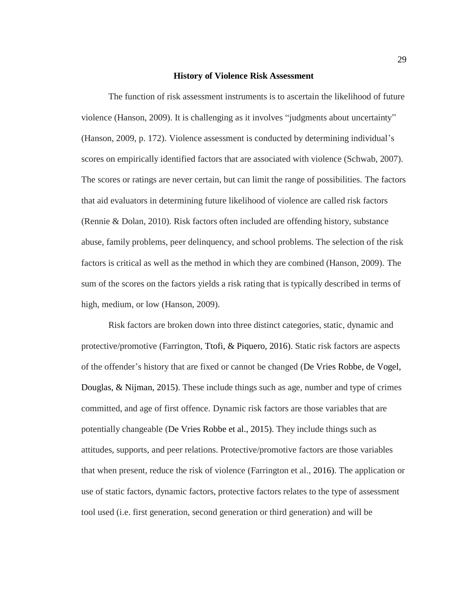### **History of Violence Risk Assessment**

The function of risk assessment instruments is to ascertain the likelihood of future violence (Hanson, 2009). It is challenging as it involves "judgments about uncertainty" (Hanson, 2009, p. 172). Violence assessment is conducted by determining individual's scores on empirically identified factors that are associated with violence (Schwab, 2007). The scores or ratings are never certain, but can limit the range of possibilities. The factors that aid evaluators in determining future likelihood of violence are called risk factors (Rennie & Dolan, 2010). Risk factors often included are offending history, substance abuse, family problems, peer delinquency, and school problems. The selection of the risk factors is critical as well as the method in which they are combined (Hanson, 2009). The sum of the scores on the factors yields a risk rating that is typically described in terms of high, medium, or low (Hanson, 2009).

Risk factors are broken down into three distinct categories, static, dynamic and protective/promotive (Farrington, Ttofi, & Piquero, 2016). Static risk factors are aspects of the offender's history that are fixed or cannot be changed (De Vries Robbe, de Vogel, Douglas, & Nijman, 2015). These include things such as age, number and type of crimes committed, and age of first offence. Dynamic risk factors are those variables that are potentially changeable (De Vries Robbe et al., 2015). They include things such as attitudes, supports, and peer relations. Protective/promotive factors are those variables that when present, reduce the risk of violence (Farrington et al., 2016). The application or use of static factors, dynamic factors, protective factors relates to the type of assessment tool used (i.e. first generation, second generation or third generation) and will be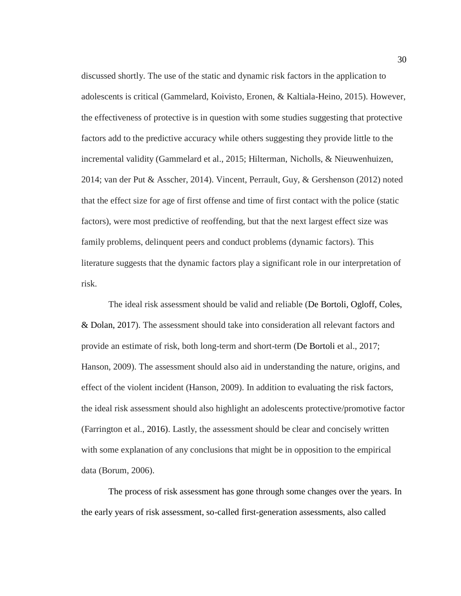discussed shortly. The use of the static and dynamic risk factors in the application to adolescents is critical (Gammelard, Koivisto, Eronen, & Kaltiala-Heino, 2015). However, the effectiveness of protective is in question with some studies suggesting that protective factors add to the predictive accuracy while others suggesting they provide little to the incremental validity (Gammelard et al., 2015; Hilterman, Nicholls, & Nieuwenhuizen, 2014; van der Put & Asscher, 2014). Vincent, Perrault, Guy, & Gershenson (2012) noted that the effect size for age of first offense and time of first contact with the police (static factors), were most predictive of reoffending, but that the next largest effect size was family problems, delinquent peers and conduct problems (dynamic factors). This literature suggests that the dynamic factors play a significant role in our interpretation of risk.

The ideal risk assessment should be valid and reliable (De Bortoli, Ogloff, Coles, & Dolan, 2017). The assessment should take into consideration all relevant factors and provide an estimate of risk, both long-term and short-term (De Bortoli et al., 2017; Hanson, 2009). The assessment should also aid in understanding the nature, origins, and effect of the violent incident (Hanson, 2009). In addition to evaluating the risk factors, the ideal risk assessment should also highlight an adolescents protective/promotive factor (Farrington et al., 2016). Lastly, the assessment should be clear and concisely written with some explanation of any conclusions that might be in opposition to the empirical data (Borum, 2006).

The process of risk assessment has gone through some changes over the years. In the early years of risk assessment, so-called first-generation assessments, also called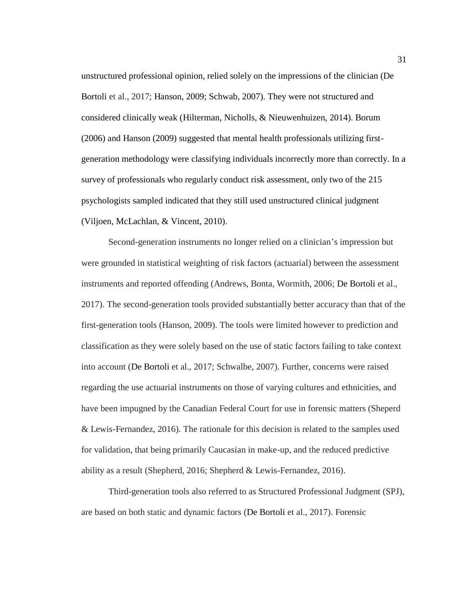unstructured professional opinion, relied solely on the impressions of the clinician (De Bortoli et al., 2017; Hanson, 2009; Schwab, 2007). They were not structured and considered clinically weak (Hilterman, Nicholls, & Nieuwenhuizen, 2014). Borum (2006) and Hanson (2009) suggested that mental health professionals utilizing firstgeneration methodology were classifying individuals incorrectly more than correctly. In a survey of professionals who regularly conduct risk assessment, only two of the 215 psychologists sampled indicated that they still used unstructured clinical judgment (Viljoen, McLachlan, & Vincent, 2010).

Second-generation instruments no longer relied on a clinician's impression but were grounded in statistical weighting of risk factors (actuarial) between the assessment instruments and reported offending (Andrews, Bonta, Wormith, 2006; De Bortoli et al., 2017). The second-generation tools provided substantially better accuracy than that of the first-generation tools (Hanson, 2009). The tools were limited however to prediction and classification as they were solely based on the use of static factors failing to take context into account (De Bortoli et al., 2017; Schwalbe, 2007). Further, concerns were raised regarding the use actuarial instruments on those of varying cultures and ethnicities, and have been impugned by the Canadian Federal Court for use in forensic matters (Sheperd & Lewis-Fernandez, 2016). The rationale for this decision is related to the samples used for validation, that being primarily Caucasian in make-up, and the reduced predictive ability as a result (Shepherd, 2016; Shepherd & Lewis-Fernandez, 2016).

Third-generation tools also referred to as Structured Professional Judgment (SPJ), are based on both static and dynamic factors (De Bortoli et al., 2017). Forensic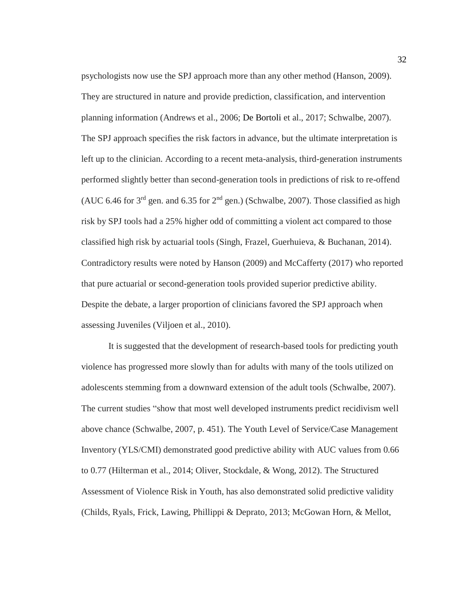psychologists now use the SPJ approach more than any other method (Hanson, 2009). They are structured in nature and provide prediction, classification, and intervention planning information (Andrews et al., 2006; De Bortoli et al., 2017; Schwalbe, 2007). The SPJ approach specifies the risk factors in advance, but the ultimate interpretation is left up to the clinician. According to a recent meta-analysis, third-generation instruments performed slightly better than second-generation tools in predictions of risk to re-offend (AUC 6.46 for  $3<sup>rd</sup>$  gen. and 6.35 for  $2<sup>nd</sup>$  gen.) (Schwalbe, 2007). Those classified as high risk by SPJ tools had a 25% higher odd of committing a violent act compared to those classified high risk by actuarial tools (Singh, Frazel, Guerhuieva, & Buchanan, 2014). Contradictory results were noted by Hanson (2009) and McCafferty (2017) who reported that pure actuarial or second-generation tools provided superior predictive ability. Despite the debate, a larger proportion of clinicians favored the SPJ approach when assessing Juveniles (Viljoen et al., 2010).

It is suggested that the development of research-based tools for predicting youth violence has progressed more slowly than for adults with many of the tools utilized on adolescents stemming from a downward extension of the adult tools (Schwalbe, 2007). The current studies "show that most well developed instruments predict recidivism well above chance (Schwalbe, 2007, p. 451). The Youth Level of Service/Case Management Inventory (YLS/CMI) demonstrated good predictive ability with AUC values from 0.66 to 0.77 (Hilterman et al., 2014; Oliver, Stockdale, & Wong, 2012). The Structured Assessment of Violence Risk in Youth, has also demonstrated solid predictive validity (Childs, Ryals, Frick, Lawing, Phillippi & Deprato, 2013; McGowan Horn, & Mellot,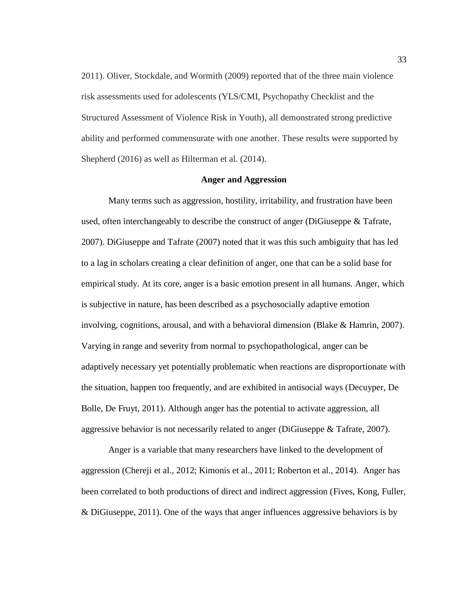2011). Oliver, Stockdale, and Wormith (2009) reported that of the three main violence risk assessments used for adolescents (YLS/CMI, Psychopathy Checklist and the Structured Assessment of Violence Risk in Youth), all demonstrated strong predictive ability and performed commensurate with one another. These results were supported by Shepherd (2016) as well as Hilterman et al. (2014).

# **Anger and Aggression**

Many terms such as aggression, hostility, irritability, and frustration have been used, often interchangeably to describe the construct of anger (DiGiuseppe & Tafrate, 2007). DiGiuseppe and Tafrate (2007) noted that it was this such ambiguity that has led to a lag in scholars creating a clear definition of anger, one that can be a solid base for empirical study. At its core, anger is a basic emotion present in all humans. Anger, which is subjective in nature, has been described as a psychosocially adaptive emotion involving, cognitions, arousal, and with a behavioral dimension (Blake & Hamrin, 2007). Varying in range and severity from normal to psychopathological, anger can be adaptively necessary yet potentially problematic when reactions are disproportionate with the situation, happen too frequently, and are exhibited in antisocial ways (Decuyper, De Bolle, De Fruyt, 2011). Although anger has the potential to activate aggression, all aggressive behavior is not necessarily related to anger (DiGiuseppe & Tafrate, 2007).

Anger is a variable that many researchers have linked to the development of aggression (Chereji et al., 2012; Kimonis et al., 2011; Roberton et al., 2014). Anger has been correlated to both productions of direct and indirect aggression (Fives, Kong, Fuller, & DiGiuseppe, 2011). One of the ways that anger influences aggressive behaviors is by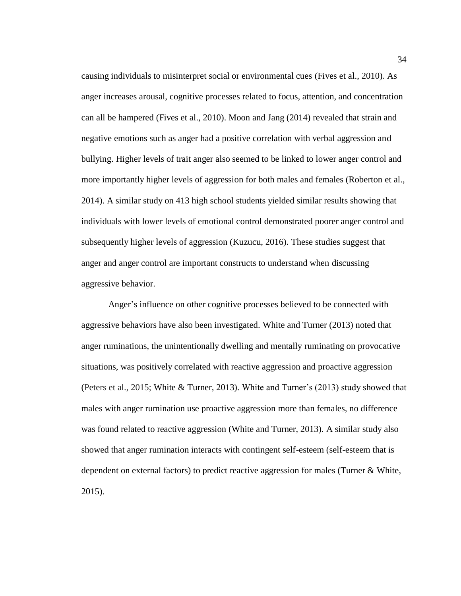causing individuals to misinterpret social or environmental cues (Fives et al., 2010). As anger increases arousal, cognitive processes related to focus, attention, and concentration can all be hampered (Fives et al., 2010). Moon and Jang (2014) revealed that strain and negative emotions such as anger had a positive correlation with verbal aggression and bullying. Higher levels of trait anger also seemed to be linked to lower anger control and more importantly higher levels of aggression for both males and females (Roberton et al., 2014). A similar study on 413 high school students yielded similar results showing that individuals with lower levels of emotional control demonstrated poorer anger control and subsequently higher levels of aggression (Kuzucu, 2016). These studies suggest that anger and anger control are important constructs to understand when discussing aggressive behavior.

Anger's influence on other cognitive processes believed to be connected with aggressive behaviors have also been investigated. White and Turner (2013) noted that anger ruminations, the unintentionally dwelling and mentally ruminating on provocative situations, was positively correlated with reactive aggression and proactive aggression (Peters et al., 2015; White & Turner, 2013). White and Turner's (2013) study showed that males with anger rumination use proactive aggression more than females, no difference was found related to reactive aggression (White and Turner, 2013). A similar study also showed that anger rumination interacts with contingent self-esteem (self-esteem that is dependent on external factors) to predict reactive aggression for males (Turner & White, 2015).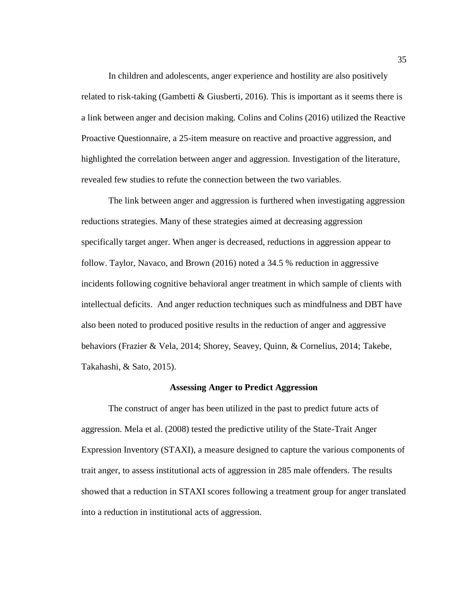In children and adolescents, anger experience and hostility are also positively related to risk-taking (Gambetti & Giusberti, 2016). This is important as it seems there is a link between anger and decision making. Colins and Colins (2016) utilized the Reactive Proactive Questionnaire, a 25-item measure on reactive and proactive aggression, and highlighted the correlation between anger and aggression. Investigation of the literature, revealed few studies to refute the connection between the two variables.

The link between anger and aggression is furthered when investigating aggression reductions strategies. Many of these strategies aimed at decreasing aggression specifically target anger. When anger is decreased, reductions in aggression appear to follow. Taylor, Navaco, and Brown (2016) noted a 34.5 % reduction in aggressive incidents following cognitive behavioral anger treatment in which sample of clients with intellectual deficits. And anger reduction techniques such as mindfulness and DBT have also been noted to produced positive results in the reduction of anger and aggressive behaviors (Frazier & Vela, 2014; Shorey, Seavey, Quinn, & Cornelius, 2014; Takebe, Takahashi, & Sato, 2015).

#### **Assessing Anger to Predict Aggression**

The construct of anger has been utilized in the past to predict future acts of aggression. Mela et al. (2008) tested the predictive utility of the State-Trait Anger Expression Inventory (STAXI), a measure designed to capture the various components of trait anger, to assess institutional acts of aggression in 285 male offenders. The results showed that a reduction in STAXI scores following a treatment group for anger translated into a reduction in institutional acts of aggression.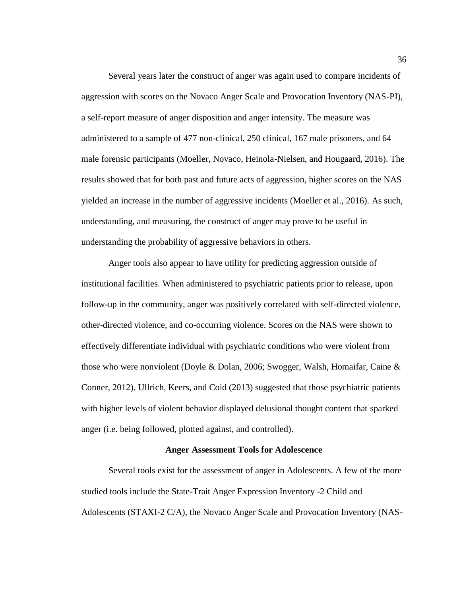Several years later the construct of anger was again used to compare incidents of aggression with scores on the Novaco Anger Scale and Provocation Inventory (NAS-PI), a self-report measure of anger disposition and anger intensity. The measure was administered to a sample of 477 non-clinical, 250 clinical, 167 male prisoners, and 64 male forensic participants (Moeller, Novaco, Heinola-Nielsen, and Hougaard, 2016). The results showed that for both past and future acts of aggression, higher scores on the NAS yielded an increase in the number of aggressive incidents (Moeller et al., 2016). As such, understanding, and measuring, the construct of anger may prove to be useful in understanding the probability of aggressive behaviors in others.

Anger tools also appear to have utility for predicting aggression outside of institutional facilities. When administered to psychiatric patients prior to release, upon follow-up in the community, anger was positively correlated with self-directed violence, other-directed violence, and co-occurring violence. Scores on the NAS were shown to effectively differentiate individual with psychiatric conditions who were violent from those who were nonviolent (Doyle & Dolan, 2006; Swogger, Walsh, Homaifar, Caine & Conner, 2012). Ullrich, Keers, and Coid (2013) suggested that those psychiatric patients with higher levels of violent behavior displayed delusional thought content that sparked anger (i.e. being followed, plotted against, and controlled).

#### **Anger Assessment Tools for Adolescence**

Several tools exist for the assessment of anger in Adolescents. A few of the more studied tools include the State-Trait Anger Expression Inventory -2 Child and Adolescents (STAXI-2 C/A), the Novaco Anger Scale and Provocation Inventory (NAS-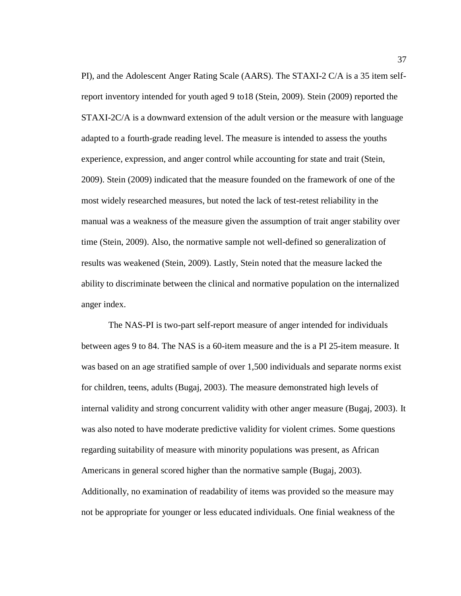PI), and the Adolescent Anger Rating Scale (AARS). The STAXI-2 C/A is a 35 item selfreport inventory intended for youth aged 9 to18 (Stein, 2009). Stein (2009) reported the STAXI-2C/A is a downward extension of the adult version or the measure with language adapted to a fourth-grade reading level. The measure is intended to assess the youths experience, expression, and anger control while accounting for state and trait (Stein, 2009). Stein (2009) indicated that the measure founded on the framework of one of the most widely researched measures, but noted the lack of test-retest reliability in the manual was a weakness of the measure given the assumption of trait anger stability over time (Stein, 2009). Also, the normative sample not well-defined so generalization of results was weakened (Stein, 2009). Lastly, Stein noted that the measure lacked the ability to discriminate between the clinical and normative population on the internalized anger index.

The NAS-PI is two-part self-report measure of anger intended for individuals between ages 9 to 84. The NAS is a 60-item measure and the is a PI 25-item measure. It was based on an age stratified sample of over 1,500 individuals and separate norms exist for children, teens, adults (Bugaj, 2003). The measure demonstrated high levels of internal validity and strong concurrent validity with other anger measure (Bugaj, 2003). It was also noted to have moderate predictive validity for violent crimes. Some questions regarding suitability of measure with minority populations was present, as African Americans in general scored higher than the normative sample (Bugaj, 2003). Additionally, no examination of readability of items was provided so the measure may not be appropriate for younger or less educated individuals. One finial weakness of the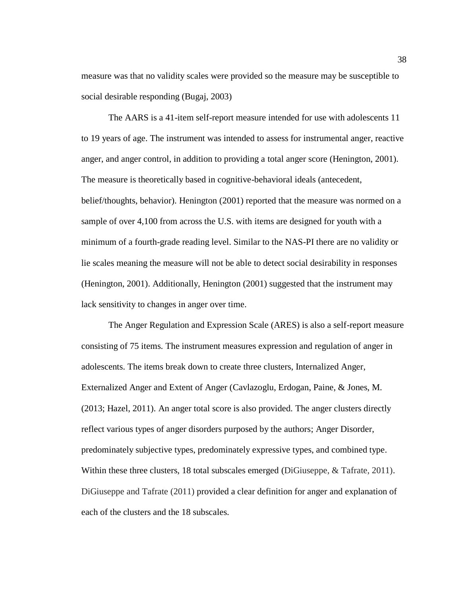measure was that no validity scales were provided so the measure may be susceptible to social desirable responding (Bugaj, 2003)

The AARS is a 41-item self-report measure intended for use with adolescents 11 to 19 years of age. The instrument was intended to assess for instrumental anger, reactive anger, and anger control, in addition to providing a total anger score (Henington, 2001). The measure is theoretically based in cognitive-behavioral ideals (antecedent, belief/thoughts, behavior). Henington (2001) reported that the measure was normed on a sample of over 4,100 from across the U.S. with items are designed for youth with a minimum of a fourth-grade reading level. Similar to the NAS-PI there are no validity or lie scales meaning the measure will not be able to detect social desirability in responses (Henington, 2001). Additionally, Henington (2001) suggested that the instrument may lack sensitivity to changes in anger over time.

The Anger Regulation and Expression Scale (ARES) is also a self-report measure consisting of 75 items. The instrument measures expression and regulation of anger in adolescents. The items break down to create three clusters, Internalized Anger, Externalized Anger and Extent of Anger (Cavlazoglu, Erdogan, Paine, & Jones, M. (2013; Hazel, 2011). An anger total score is also provided. The anger clusters directly reflect various types of anger disorders purposed by the authors; Anger Disorder, predominately subjective types, predominately expressive types, and combined type. Within these three clusters, 18 total subscales emerged (DiGiuseppe, & Tafrate, 2011). DiGiuseppe and Tafrate (2011) provided a clear definition for anger and explanation of each of the clusters and the 18 subscales.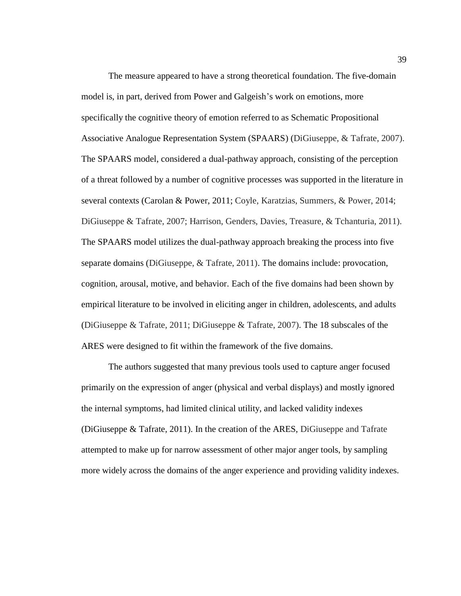The measure appeared to have a strong theoretical foundation. The five-domain model is, in part, derived from Power and Galgeish's work on emotions, more specifically the cognitive theory of emotion referred to as Schematic Propositional Associative Analogue Representation System (SPAARS) (DiGiuseppe, & Tafrate, 2007). The SPAARS model, considered a dual-pathway approach, consisting of the perception of a threat followed by a number of cognitive processes was supported in the literature in several contexts (Carolan & Power, 2011; Coyle, Karatzias, Summers, & Power, 2014; DiGiuseppe & Tafrate, 2007; Harrison, Genders, Davies, Treasure, & Tchanturia, 2011). The SPAARS model utilizes the dual-pathway approach breaking the process into five separate domains (DiGiuseppe, & Tafrate, 2011). The domains include: provocation, cognition, arousal, motive, and behavior. Each of the five domains had been shown by empirical literature to be involved in eliciting anger in children, adolescents, and adults (DiGiuseppe & Tafrate, 2011; DiGiuseppe & Tafrate, 2007). The 18 subscales of the ARES were designed to fit within the framework of the five domains.

The authors suggested that many previous tools used to capture anger focused primarily on the expression of anger (physical and verbal displays) and mostly ignored the internal symptoms, had limited clinical utility, and lacked validity indexes (DiGiuseppe & Tafrate, 2011). In the creation of the ARES, DiGiuseppe and Tafrate attempted to make up for narrow assessment of other major anger tools, by sampling more widely across the domains of the anger experience and providing validity indexes.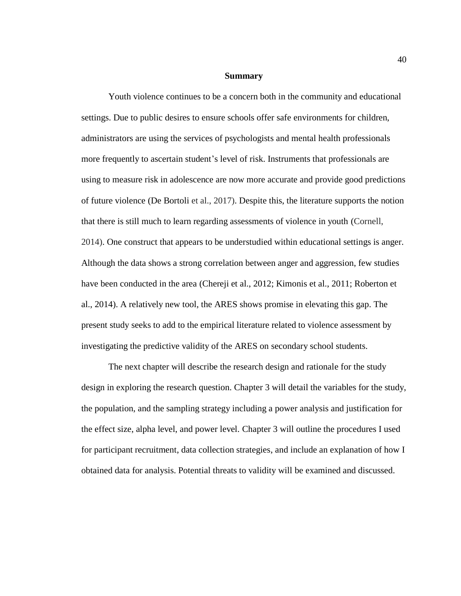### **Summary**

Youth violence continues to be a concern both in the community and educational settings. Due to public desires to ensure schools offer safe environments for children, administrators are using the services of psychologists and mental health professionals more frequently to ascertain student's level of risk. Instruments that professionals are using to measure risk in adolescence are now more accurate and provide good predictions of future violence (De Bortoli et al., 2017). Despite this, the literature supports the notion that there is still much to learn regarding assessments of violence in youth (Cornell, 2014). One construct that appears to be understudied within educational settings is anger. Although the data shows a strong correlation between anger and aggression, few studies have been conducted in the area (Chereji et al., 2012; Kimonis et al., 2011; Roberton et al., 2014). A relatively new tool, the ARES shows promise in elevating this gap. The present study seeks to add to the empirical literature related to violence assessment by investigating the predictive validity of the ARES on secondary school students.

The next chapter will describe the research design and rationale for the study design in exploring the research question. Chapter 3 will detail the variables for the study, the population, and the sampling strategy including a power analysis and justification for the effect size, alpha level, and power level. Chapter 3 will outline the procedures I used for participant recruitment, data collection strategies, and include an explanation of how I obtained data for analysis. Potential threats to validity will be examined and discussed.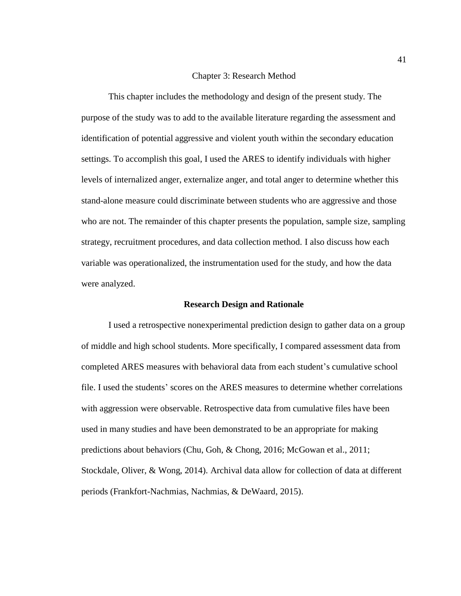# Chapter 3: Research Method

This chapter includes the methodology and design of the present study. The purpose of the study was to add to the available literature regarding the assessment and identification of potential aggressive and violent youth within the secondary education settings. To accomplish this goal, I used the ARES to identify individuals with higher levels of internalized anger, externalize anger, and total anger to determine whether this stand-alone measure could discriminate between students who are aggressive and those who are not. The remainder of this chapter presents the population, sample size, sampling strategy, recruitment procedures, and data collection method. I also discuss how each variable was operationalized, the instrumentation used for the study, and how the data were analyzed.

### **Research Design and Rationale**

I used a retrospective nonexperimental prediction design to gather data on a group of middle and high school students. More specifically, I compared assessment data from completed ARES measures with behavioral data from each student's cumulative school file. I used the students' scores on the ARES measures to determine whether correlations with aggression were observable. Retrospective data from cumulative files have been used in many studies and have been demonstrated to be an appropriate for making predictions about behaviors (Chu, Goh, & Chong, 2016; McGowan et al., 2011; Stockdale, Oliver, & Wong, 2014). Archival data allow for collection of data at different periods (Frankfort-Nachmias, Nachmias, & DeWaard, 2015).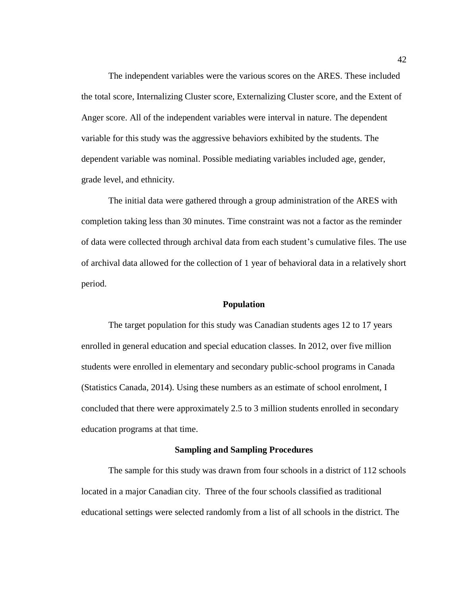The independent variables were the various scores on the ARES. These included the total score, Internalizing Cluster score, Externalizing Cluster score, and the Extent of Anger score. All of the independent variables were interval in nature. The dependent variable for this study was the aggressive behaviors exhibited by the students. The dependent variable was nominal. Possible mediating variables included age, gender, grade level, and ethnicity.

The initial data were gathered through a group administration of the ARES with completion taking less than 30 minutes. Time constraint was not a factor as the reminder of data were collected through archival data from each student's cumulative files. The use of archival data allowed for the collection of 1 year of behavioral data in a relatively short period.

# **Population**

The target population for this study was Canadian students ages 12 to 17 years enrolled in general education and special education classes. In 2012, over five million students were enrolled in elementary and secondary public-school programs in Canada (Statistics Canada, 2014). Using these numbers as an estimate of school enrolment, I concluded that there were approximately 2.5 to 3 million students enrolled in secondary education programs at that time.

#### **Sampling and Sampling Procedures**

The sample for this study was drawn from four schools in a district of 112 schools located in a major Canadian city. Three of the four schools classified as traditional educational settings were selected randomly from a list of all schools in the district. The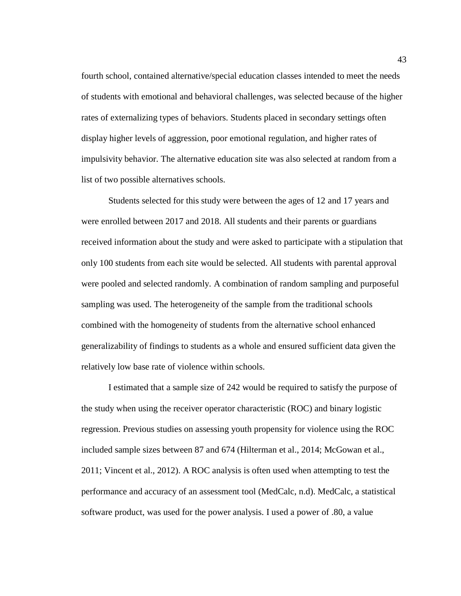fourth school, contained alternative/special education classes intended to meet the needs of students with emotional and behavioral challenges, was selected because of the higher rates of externalizing types of behaviors. Students placed in secondary settings often display higher levels of aggression, poor emotional regulation, and higher rates of impulsivity behavior. The alternative education site was also selected at random from a list of two possible alternatives schools.

Students selected for this study were between the ages of 12 and 17 years and were enrolled between 2017 and 2018. All students and their parents or guardians received information about the study and were asked to participate with a stipulation that only 100 students from each site would be selected. All students with parental approval were pooled and selected randomly. A combination of random sampling and purposeful sampling was used. The heterogeneity of the sample from the traditional schools combined with the homogeneity of students from the alternative school enhanced generalizability of findings to students as a whole and ensured sufficient data given the relatively low base rate of violence within schools.

I estimated that a sample size of 242 would be required to satisfy the purpose of the study when using the receiver operator characteristic (ROC) and binary logistic regression. Previous studies on assessing youth propensity for violence using the ROC included sample sizes between 87 and 674 (Hilterman et al., 2014; McGowan et al., 2011; Vincent et al., 2012). A ROC analysis is often used when attempting to test the performance and accuracy of an assessment tool (MedCalc, n.d). MedCalc, a statistical software product, was used for the power analysis. I used a power of .80, a value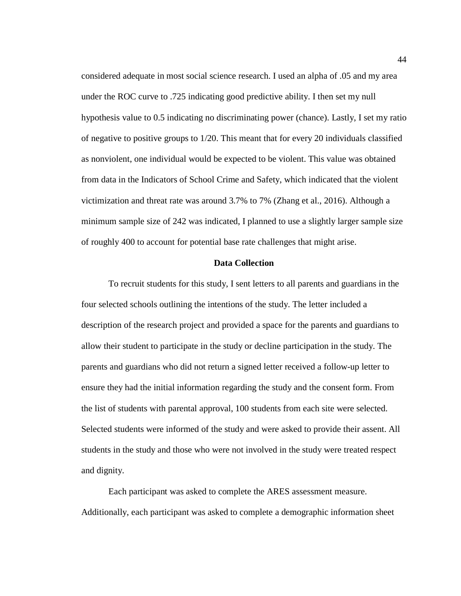considered adequate in most social science research. I used an alpha of .05 and my area under the ROC curve to .725 indicating good predictive ability. I then set my null hypothesis value to 0.5 indicating no discriminating power (chance). Lastly, I set my ratio of negative to positive groups to 1/20. This meant that for every 20 individuals classified as nonviolent, one individual would be expected to be violent. This value was obtained from data in the Indicators of School Crime and Safety, which indicated that the violent victimization and threat rate was around 3.7% to 7% (Zhang et al., 2016). Although a minimum sample size of 242 was indicated, I planned to use a slightly larger sample size of roughly 400 to account for potential base rate challenges that might arise.

# **Data Collection**

To recruit students for this study, I sent letters to all parents and guardians in the four selected schools outlining the intentions of the study. The letter included a description of the research project and provided a space for the parents and guardians to allow their student to participate in the study or decline participation in the study. The parents and guardians who did not return a signed letter received a follow-up letter to ensure they had the initial information regarding the study and the consent form. From the list of students with parental approval, 100 students from each site were selected. Selected students were informed of the study and were asked to provide their assent. All students in the study and those who were not involved in the study were treated respect and dignity.

Each participant was asked to complete the ARES assessment measure. Additionally, each participant was asked to complete a demographic information sheet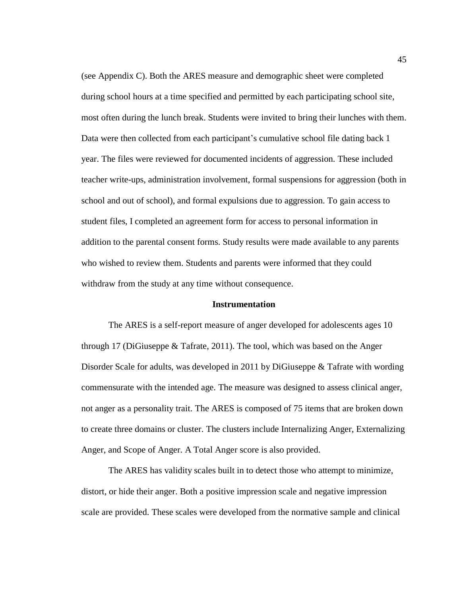(see Appendix C). Both the ARES measure and demographic sheet were completed during school hours at a time specified and permitted by each participating school site, most often during the lunch break. Students were invited to bring their lunches with them. Data were then collected from each participant's cumulative school file dating back 1 year. The files were reviewed for documented incidents of aggression. These included teacher write-ups, administration involvement, formal suspensions for aggression (both in school and out of school), and formal expulsions due to aggression. To gain access to student files, I completed an agreement form for access to personal information in addition to the parental consent forms. Study results were made available to any parents who wished to review them. Students and parents were informed that they could withdraw from the study at any time without consequence.

### **Instrumentation**

The ARES is a self-report measure of anger developed for adolescents ages 10 through 17 (DiGiuseppe & Tafrate, 2011). The tool, which was based on the Anger Disorder Scale for adults, was developed in 2011 by DiGiuseppe & Tafrate with wording commensurate with the intended age. The measure was designed to assess clinical anger, not anger as a personality trait*.* The ARES is composed of 75 items that are broken down to create three domains or cluster. The clusters include Internalizing Anger, Externalizing Anger, and Scope of Anger. A Total Anger score is also provided.

The ARES has validity scales built in to detect those who attempt to minimize, distort, or hide their anger. Both a positive impression scale and negative impression scale are provided. These scales were developed from the normative sample and clinical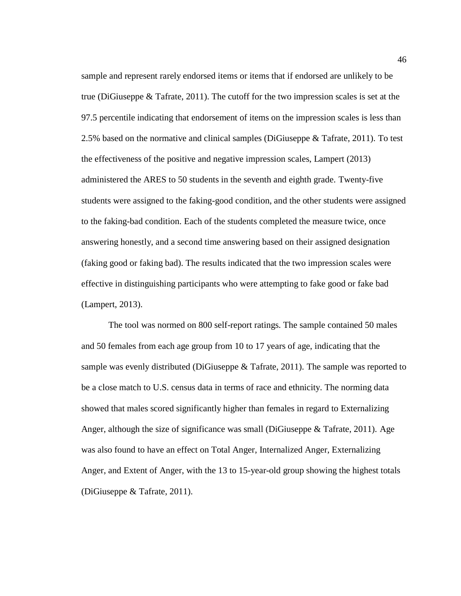sample and represent rarely endorsed items or items that if endorsed are unlikely to be true (DiGiuseppe & Tafrate, 2011). The cutoff for the two impression scales is set at the 97.5 percentile indicating that endorsement of items on the impression scales is less than 2.5% based on the normative and clinical samples (DiGiuseppe & Tafrate, 2011). To test the effectiveness of the positive and negative impression scales, Lampert (2013) administered the ARES to 50 students in the seventh and eighth grade. Twenty-five students were assigned to the faking-good condition, and the other students were assigned to the faking-bad condition. Each of the students completed the measure twice, once answering honestly, and a second time answering based on their assigned designation (faking good or faking bad). The results indicated that the two impression scales were effective in distinguishing participants who were attempting to fake good or fake bad (Lampert, 2013).

The tool was normed on 800 self-report ratings. The sample contained 50 males and 50 females from each age group from 10 to 17 years of age, indicating that the sample was evenly distributed (DiGiuseppe & Tafrate, 2011). The sample was reported to be a close match to U.S. census data in terms of race and ethnicity. The norming data showed that males scored significantly higher than females in regard to Externalizing Anger, although the size of significance was small (DiGiuseppe & Tafrate, 2011). Age was also found to have an effect on Total Anger, Internalized Anger, Externalizing Anger, and Extent of Anger, with the 13 to 15-year-old group showing the highest totals (DiGiuseppe & Tafrate, 2011).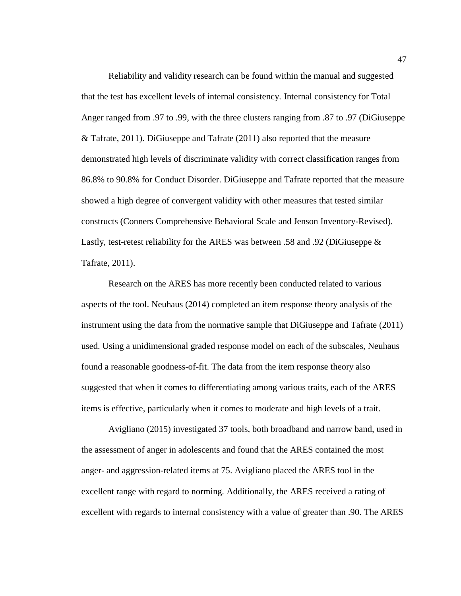Reliability and validity research can be found within the manual and suggested that the test has excellent levels of internal consistency. Internal consistency for Total Anger ranged from .97 to .99, with the three clusters ranging from .87 to .97 (DiGiuseppe & Tafrate, 2011). DiGiuseppe and Tafrate (2011) also reported that the measure demonstrated high levels of discriminate validity with correct classification ranges from 86.8% to 90.8% for Conduct Disorder. DiGiuseppe and Tafrate reported that the measure showed a high degree of convergent validity with other measures that tested similar constructs (Conners Comprehensive Behavioral Scale and Jenson Inventory-Revised). Lastly, test-retest reliability for the ARES was between .58 and .92 (DiGiuseppe & Tafrate, 2011).

Research on the ARES has more recently been conducted related to various aspects of the tool. Neuhaus (2014) completed an item response theory analysis of the instrument using the data from the normative sample that DiGiuseppe and Tafrate (2011) used. Using a unidimensional graded response model on each of the subscales, Neuhaus found a reasonable goodness-of-fit. The data from the item response theory also suggested that when it comes to differentiating among various traits, each of the ARES items is effective, particularly when it comes to moderate and high levels of a trait.

Avigliano (2015) investigated 37 tools, both broadband and narrow band, used in the assessment of anger in adolescents and found that the ARES contained the most anger- and aggression-related items at 75. Avigliano placed the ARES tool in the excellent range with regard to norming. Additionally, the ARES received a rating of excellent with regards to internal consistency with a value of greater than .90. The ARES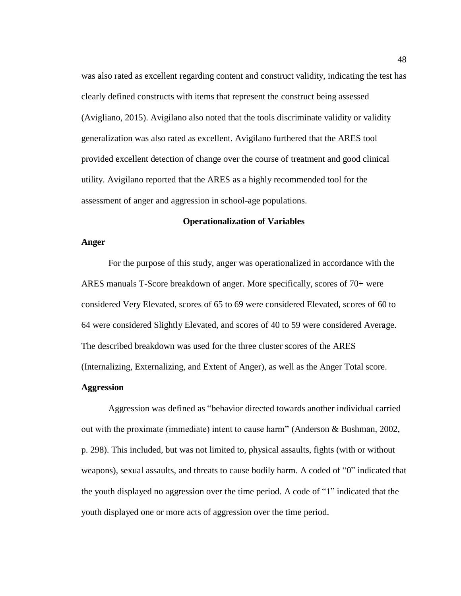was also rated as excellent regarding content and construct validity, indicating the test has clearly defined constructs with items that represent the construct being assessed (Avigliano, 2015). Avigilano also noted that the tools discriminate validity or validity generalization was also rated as excellent. Avigilano furthered that the ARES tool provided excellent detection of change over the course of treatment and good clinical utility. Avigilano reported that the ARES as a highly recommended tool for the assessment of anger and aggression in school-age populations.

# **Operationalization of Variables**

### **Anger**

For the purpose of this study, anger was operationalized in accordance with the ARES manuals T-Score breakdown of anger. More specifically, scores of 70+ were considered Very Elevated, scores of 65 to 69 were considered Elevated, scores of 60 to 64 were considered Slightly Elevated, and scores of 40 to 59 were considered Average. The described breakdown was used for the three cluster scores of the ARES (Internalizing, Externalizing, and Extent of Anger), as well as the Anger Total score. **Aggression**

Aggression was defined as "behavior directed towards another individual carried out with the proximate (immediate) intent to cause harm" (Anderson & Bushman, 2002, p. 298). This included, but was not limited to, physical assaults, fights (with or without weapons), sexual assaults, and threats to cause bodily harm. A coded of "0" indicated that the youth displayed no aggression over the time period. A code of "1" indicated that the youth displayed one or more acts of aggression over the time period.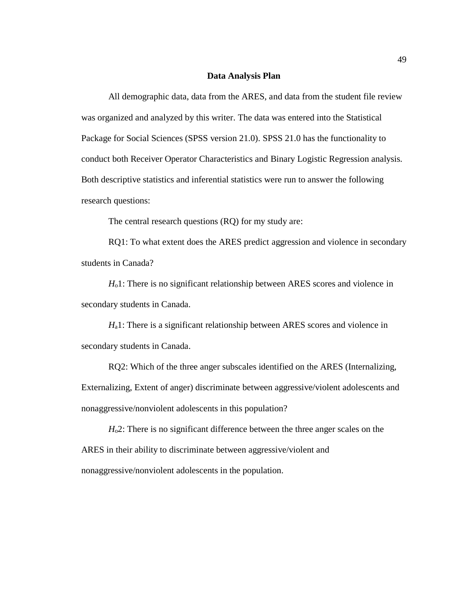# **Data Analysis Plan**

All demographic data, data from the ARES, and data from the student file review was organized and analyzed by this writer. The data was entered into the Statistical Package for Social Sciences (SPSS version 21.0). SPSS 21.0 has the functionality to conduct both Receiver Operator Characteristics and Binary Logistic Regression analysis. Both descriptive statistics and inferential statistics were run to answer the following research questions:

The central research questions (RQ) for my study are:

RQ1: To what extent does the ARES predict aggression and violence in secondary students in Canada?

*H*o1: There is no significant relationship between ARES scores and violence in secondary students in Canada.

*H*<sub>a</sub>1: There is a significant relationship between ARES scores and violence in secondary students in Canada.

RQ2: Which of the three anger subscales identified on the ARES (Internalizing, Externalizing, Extent of anger) discriminate between aggressive/violent adolescents and nonaggressive/nonviolent adolescents in this population?

*H*o2: There is no significant difference between the three anger scales on the ARES in their ability to discriminate between aggressive/violent and nonaggressive/nonviolent adolescents in the population.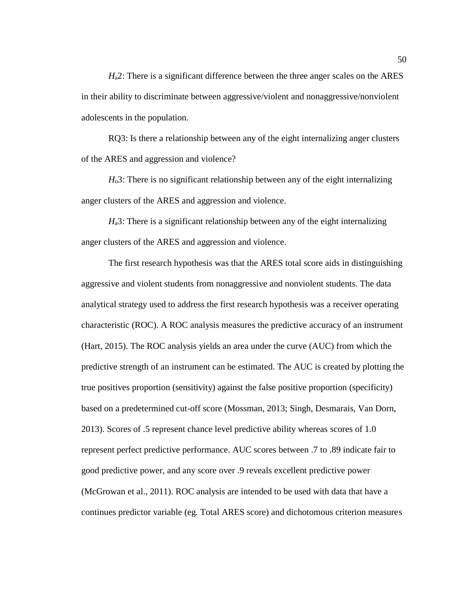*H*a2: There is a significant difference between the three anger scales on the ARES in their ability to discriminate between aggressive/violent and nonaggressive/nonviolent adolescents in the population.

RQ3: Is there a relationship between any of the eight internalizing anger clusters of the ARES and aggression and violence?

*H*o3: There is no significant relationship between any of the eight internalizing anger clusters of the ARES and aggression and violence.

*H*<sub>a</sub>3: There is a significant relationship between any of the eight internalizing anger clusters of the ARES and aggression and violence.

The first research hypothesis was that the ARES total score aids in distinguishing aggressive and violent students from nonaggressive and nonviolent students. The data analytical strategy used to address the first research hypothesis was a receiver operating characteristic (ROC). A ROC analysis measures the predictive accuracy of an instrument (Hart, 2015). The ROC analysis yields an area under the curve (AUC) from which the predictive strength of an instrument can be estimated. The AUC is created by plotting the true positives proportion (sensitivity) against the false positive proportion (specificity) based on a predetermined cut-off score (Mossman, 2013; Singh, Desmarais, Van Dorn, 2013). Scores of .5 represent chance level predictive ability whereas scores of 1.0 represent perfect predictive performance. AUC scores between .7 to .89 indicate fair to good predictive power, and any score over .9 reveals excellent predictive power (McGrowan et al., 2011). ROC analysis are intended to be used with data that have a continues predictor variable (eg. Total ARES score) and dichotomous criterion measures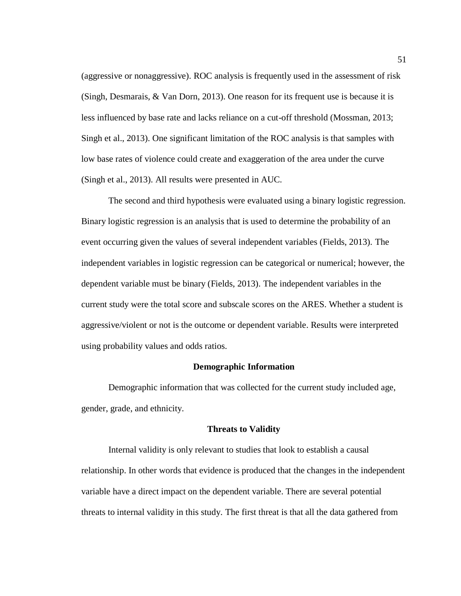(aggressive or nonaggressive). ROC analysis is frequently used in the assessment of risk (Singh, Desmarais, & Van Dorn, 2013). One reason for its frequent use is because it is less influenced by base rate and lacks reliance on a cut-off threshold (Mossman, 2013; Singh et al., 2013). One significant limitation of the ROC analysis is that samples with low base rates of violence could create and exaggeration of the area under the curve (Singh et al., 2013). All results were presented in AUC.

The second and third hypothesis were evaluated using a binary logistic regression. Binary logistic regression is an analysis that is used to determine the probability of an event occurring given the values of several independent variables (Fields, 2013). The independent variables in logistic regression can be categorical or numerical; however, the dependent variable must be binary (Fields, 2013). The independent variables in the current study were the total score and subscale scores on the ARES. Whether a student is aggressive/violent or not is the outcome or dependent variable. Results were interpreted using probability values and odds ratios.

### **Demographic Information**

Demographic information that was collected for the current study included age, gender, grade, and ethnicity.

### **Threats to Validity**

Internal validity is only relevant to studies that look to establish a causal relationship. In other words that evidence is produced that the changes in the independent variable have a direct impact on the dependent variable. There are several potential threats to internal validity in this study. The first threat is that all the data gathered from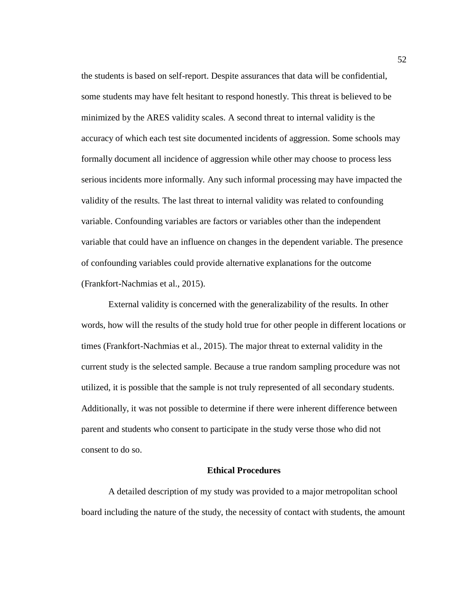the students is based on self-report. Despite assurances that data will be confidential, some students may have felt hesitant to respond honestly. This threat is believed to be minimized by the ARES validity scales. A second threat to internal validity is the accuracy of which each test site documented incidents of aggression. Some schools may formally document all incidence of aggression while other may choose to process less serious incidents more informally. Any such informal processing may have impacted the validity of the results. The last threat to internal validity was related to confounding variable. Confounding variables are factors or variables other than the independent variable that could have an influence on changes in the dependent variable. The presence of confounding variables could provide alternative explanations for the outcome (Frankfort-Nachmias et al., 2015).

External validity is concerned with the generalizability of the results. In other words, how will the results of the study hold true for other people in different locations or times (Frankfort-Nachmias et al., 2015). The major threat to external validity in the current study is the selected sample. Because a true random sampling procedure was not utilized, it is possible that the sample is not truly represented of all secondary students. Additionally, it was not possible to determine if there were inherent difference between parent and students who consent to participate in the study verse those who did not consent to do so.

### **Ethical Procedures**

A detailed description of my study was provided to a major metropolitan school board including the nature of the study, the necessity of contact with students, the amount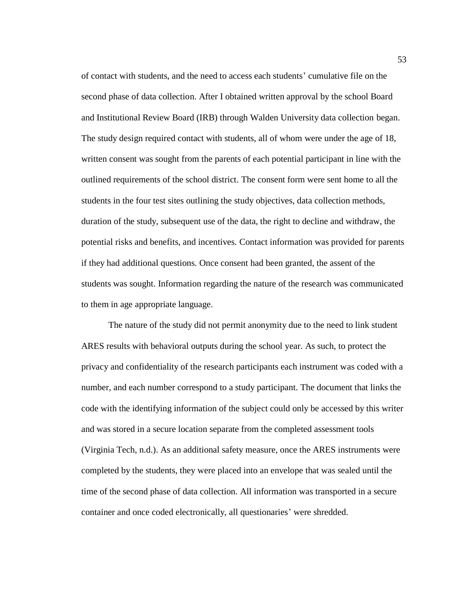of contact with students, and the need to access each students' cumulative file on the second phase of data collection. After I obtained written approval by the school Board and Institutional Review Board (IRB) through Walden University data collection began. The study design required contact with students, all of whom were under the age of 18, written consent was sought from the parents of each potential participant in line with the outlined requirements of the school district. The consent form were sent home to all the students in the four test sites outlining the study objectives, data collection methods, duration of the study, subsequent use of the data, the right to decline and withdraw, the potential risks and benefits, and incentives. Contact information was provided for parents if they had additional questions. Once consent had been granted, the assent of the students was sought. Information regarding the nature of the research was communicated to them in age appropriate language.

The nature of the study did not permit anonymity due to the need to link student ARES results with behavioral outputs during the school year. As such, to protect the privacy and confidentiality of the research participants each instrument was coded with a number, and each number correspond to a study participant. The document that links the code with the identifying information of the subject could only be accessed by this writer and was stored in a secure location separate from the completed assessment tools (Virginia Tech, n.d.). As an additional safety measure, once the ARES instruments were completed by the students, they were placed into an envelope that was sealed until the time of the second phase of data collection. All information was transported in a secure container and once coded electronically, all questionaries' were shredded.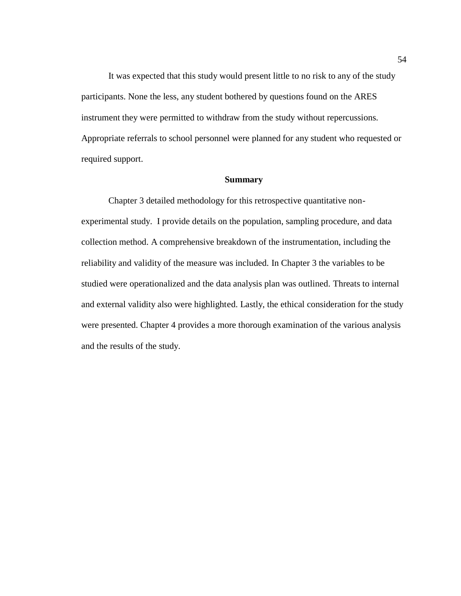It was expected that this study would present little to no risk to any of the study participants. None the less, any student bothered by questions found on the ARES instrument they were permitted to withdraw from the study without repercussions. Appropriate referrals to school personnel were planned for any student who requested or required support.

# **Summary**

Chapter 3 detailed methodology for this retrospective quantitative nonexperimental study. I provide details on the population, sampling procedure, and data collection method. A comprehensive breakdown of the instrumentation, including the reliability and validity of the measure was included. In Chapter 3 the variables to be studied were operationalized and the data analysis plan was outlined. Threats to internal and external validity also were highlighted. Lastly, the ethical consideration for the study were presented. Chapter 4 provides a more thorough examination of the various analysis and the results of the study.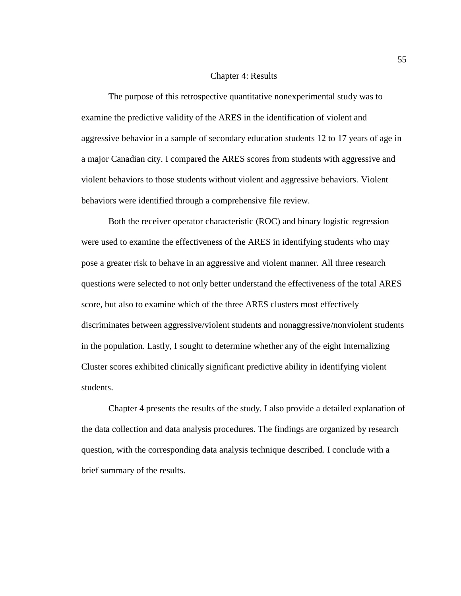## Chapter 4: Results

The purpose of this retrospective quantitative nonexperimental study was to examine the predictive validity of the ARES in the identification of violent and aggressive behavior in a sample of secondary education students 12 to 17 years of age in a major Canadian city. I compared the ARES scores from students with aggressive and violent behaviors to those students without violent and aggressive behaviors. Violent behaviors were identified through a comprehensive file review.

Both the receiver operator characteristic (ROC) and binary logistic regression were used to examine the effectiveness of the ARES in identifying students who may pose a greater risk to behave in an aggressive and violent manner. All three research questions were selected to not only better understand the effectiveness of the total ARES score, but also to examine which of the three ARES clusters most effectively discriminates between aggressive/violent students and nonaggressive/nonviolent students in the population. Lastly, I sought to determine whether any of the eight Internalizing Cluster scores exhibited clinically significant predictive ability in identifying violent students.

Chapter 4 presents the results of the study. I also provide a detailed explanation of the data collection and data analysis procedures. The findings are organized by research question, with the corresponding data analysis technique described. I conclude with a brief summary of the results.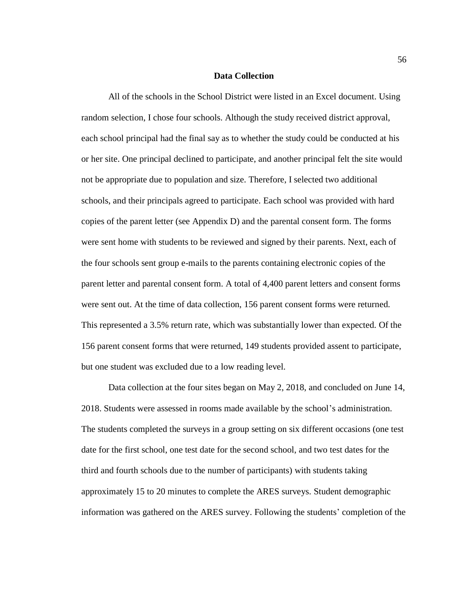### **Data Collection**

All of the schools in the School District were listed in an Excel document. Using random selection, I chose four schools. Although the study received district approval, each school principal had the final say as to whether the study could be conducted at his or her site. One principal declined to participate, and another principal felt the site would not be appropriate due to population and size. Therefore, I selected two additional schools, and their principals agreed to participate. Each school was provided with hard copies of the parent letter (see Appendix D) and the parental consent form. The forms were sent home with students to be reviewed and signed by their parents. Next, each of the four schools sent group e-mails to the parents containing electronic copies of the parent letter and parental consent form. A total of 4,400 parent letters and consent forms were sent out. At the time of data collection, 156 parent consent forms were returned. This represented a 3.5% return rate, which was substantially lower than expected*.* Of the 156 parent consent forms that were returned, 149 students provided assent to participate, but one student was excluded due to a low reading level.

Data collection at the four sites began on May 2, 2018, and concluded on June 14, 2018. Students were assessed in rooms made available by the school's administration. The students completed the surveys in a group setting on six different occasions (one test date for the first school, one test date for the second school, and two test dates for the third and fourth schools due to the number of participants) with students taking approximately 15 to 20 minutes to complete the ARES surveys. Student demographic information was gathered on the ARES survey. Following the students' completion of the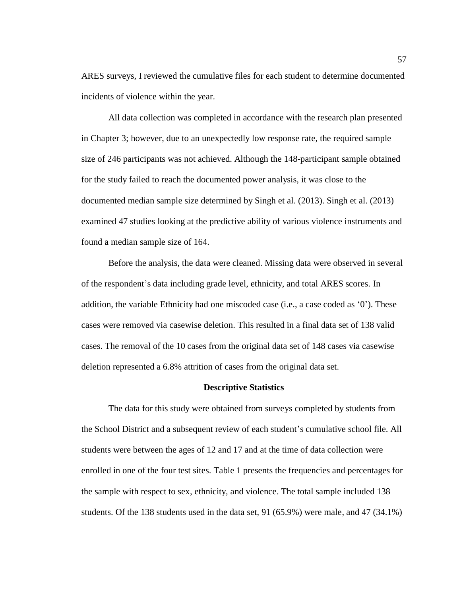ARES surveys, I reviewed the cumulative files for each student to determine documented incidents of violence within the year.

All data collection was completed in accordance with the research plan presented in Chapter 3; however, due to an unexpectedly low response rate, the required sample size of 246 participants was not achieved. Although the 148-participant sample obtained for the study failed to reach the documented power analysis*,* it was close to the documented median sample size determined by Singh et al. (2013). Singh et al. (2013) examined 47 studies looking at the predictive ability of various violence instruments and found a median sample size of 164.

Before the analysis, the data were cleaned. Missing data were observed in several of the respondent's data including grade level, ethnicity, and total ARES scores. In addition, the variable Ethnicity had one miscoded case (i.e., a case coded as '0'). These cases were removed via casewise deletion. This resulted in a final data set of 138 valid cases. The removal of the 10 cases from the original data set of 148 cases via casewise deletion represented a 6.8% attrition of cases from the original data set.

#### **Descriptive Statistics**

The data for this study were obtained from surveys completed by students from the School District and a subsequent review of each student's cumulative school file. All students were between the ages of 12 and 17 and at the time of data collection were enrolled in one of the four test sites. Table 1 presents the frequencies and percentages for the sample with respect to sex, ethnicity, and violence. The total sample included 138 students. Of the 138 students used in the data set, 91 (65.9%) were male, and 47 (34.1%)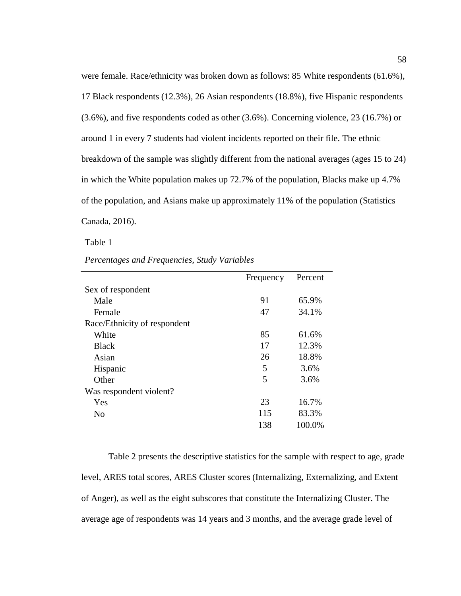were female. Race/ethnicity was broken down as follows: 85 White respondents (61.6%), 17 Black respondents (12.3%), 26 Asian respondents (18.8%), five Hispanic respondents (3.6%), and five respondents coded as other (3.6%). Concerning violence, 23 (16.7%) or around 1 in every 7 students had violent incidents reported on their file. The ethnic breakdown of the sample was slightly different from the national averages (ages 15 to 24) in which the White population makes up 72.7% of the population, Blacks make up 4.7% of the population, and Asians make up approximately 11% of the population (Statistics Canada, 2016).

Table 1

*Percentages and Frequencies, Study Variables*

|                              | Frequency | Percent |
|------------------------------|-----------|---------|
| Sex of respondent            |           |         |
| Male                         | 91        | 65.9%   |
| Female                       | 47        | 34.1%   |
| Race/Ethnicity of respondent |           |         |
| White                        | 85        | 61.6%   |
| <b>Black</b>                 | 17        | 12.3%   |
| Asian                        | 26        | 18.8%   |
| Hispanic                     | 5         | 3.6%    |
| Other                        | 5         | 3.6%    |
| Was respondent violent?      |           |         |
| Yes                          | 23        | 16.7%   |
| N <sub>o</sub>               | 115       | 83.3%   |
|                              | 138       | 100.0%  |

Table 2 presents the descriptive statistics for the sample with respect to age, grade level, ARES total scores, ARES Cluster scores (Internalizing, Externalizing, and Extent of Anger), as well as the eight subscores that constitute the Internalizing Cluster. The average age of respondents was 14 years and 3 months, and the average grade level of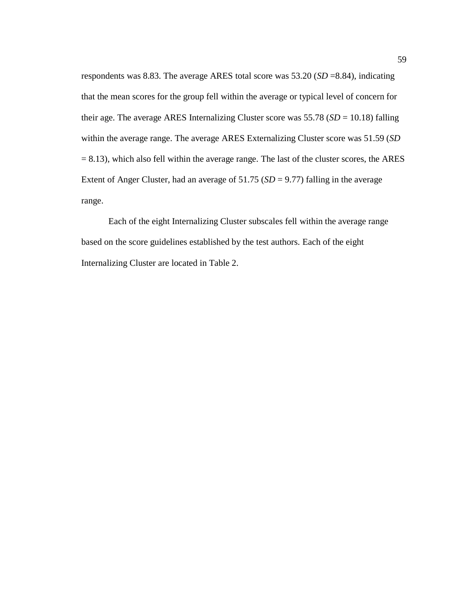respondents was 8.83. The average ARES total score was 53.20 (*SD* =8.84), indicating that the mean scores for the group fell within the average or typical level of concern for their age. The average ARES Internalizing Cluster score was  $55.78$  ( $SD = 10.18$ ) falling within the average range. The average ARES Externalizing Cluster score was 51.59 (*SD*  $= 8.13$ ), which also fell within the average range. The last of the cluster scores, the ARES Extent of Anger Cluster, had an average of  $51.75$  ( $SD = 9.77$ ) falling in the average range.

Each of the eight Internalizing Cluster subscales fell within the average range based on the score guidelines established by the test authors. Each of the eight Internalizing Cluster are located in Table 2.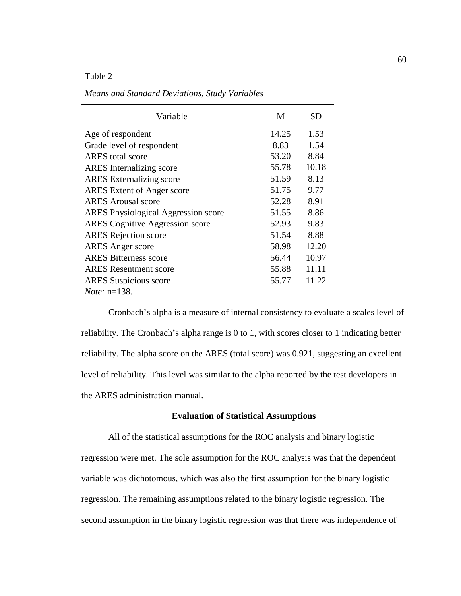# Table 2

*Means and Standard Deviations, Study Variables*

| Variable                                   | M     | <b>SD</b> |
|--------------------------------------------|-------|-----------|
| Age of respondent                          | 14.25 | 1.53      |
| Grade level of respondent                  | 8.83  | 1.54      |
| <b>ARES</b> total score                    | 53.20 | 8.84      |
| <b>ARES</b> Internalizing score            | 55.78 | 10.18     |
| <b>ARES</b> Externalizing score            | 51.59 | 8.13      |
| <b>ARES</b> Extent of Anger score          | 51.75 | 9.77      |
| <b>ARES</b> Arousal score                  | 52.28 | 8.91      |
| <b>ARES</b> Physiological Aggression score | 51.55 | 8.86      |
| <b>ARES</b> Cognitive Aggression score     | 52.93 | 9.83      |
| <b>ARES</b> Rejection score                | 51.54 | 8.88      |
| <b>ARES</b> Anger score                    | 58.98 | 12.20     |
| <b>ARES Bitterness score</b>               | 56.44 | 10.97     |
| <b>ARES</b> Resentment score               | 55.88 | 11.11     |
| <b>ARES</b> Suspicious score               | 55.77 | 11.22     |
| <i>Note</i> : $n=138$ .                    |       |           |

Cronbach's alpha is a measure of internal consistency to evaluate a scales level of reliability. The Cronbach's alpha range is 0 to 1, with scores closer to 1 indicating better reliability. The alpha score on the ARES (total score) was 0.921, suggesting an excellent level of reliability. This level was similar to the alpha reported by the test developers in the ARES administration manual.

### **Evaluation of Statistical Assumptions**

All of the statistical assumptions for the ROC analysis and binary logistic regression were met. The sole assumption for the ROC analysis was that the dependent variable was dichotomous, which was also the first assumption for the binary logistic regression. The remaining assumptions related to the binary logistic regression. The second assumption in the binary logistic regression was that there was independence of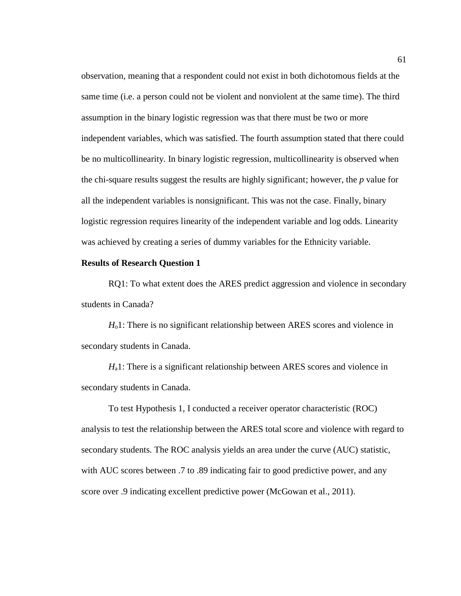observation, meaning that a respondent could not exist in both dichotomous fields at the same time (i.e. a person could not be violent and nonviolent at the same time). The third assumption in the binary logistic regression was that there must be two or more independent variables, which was satisfied. The fourth assumption stated that there could be no multicollinearity. In binary logistic regression, multicollinearity is observed when the chi-square results suggest the results are highly significant; however, the *p* value for all the independent variables is nonsignificant. This was not the case. Finally, binary logistic regression requires linearity of the independent variable and log odds. Linearity was achieved by creating a series of dummy variables for the Ethnicity variable.

# **Results of Research Question 1**

RQ1: To what extent does the ARES predict aggression and violence in secondary students in Canada?

*H*<sub>o</sub>1: There is no significant relationship between ARES scores and violence in secondary students in Canada.

*H*<sub>a</sub>1: There is a significant relationship between ARES scores and violence in secondary students in Canada.

To test Hypothesis 1, I conducted a receiver operator characteristic (ROC) analysis to test the relationship between the ARES total score and violence with regard to secondary students. The ROC analysis yields an area under the curve (AUC) statistic, with AUC scores between .7 to .89 indicating fair to good predictive power, and any score over .9 indicating excellent predictive power (McGowan et al., 2011).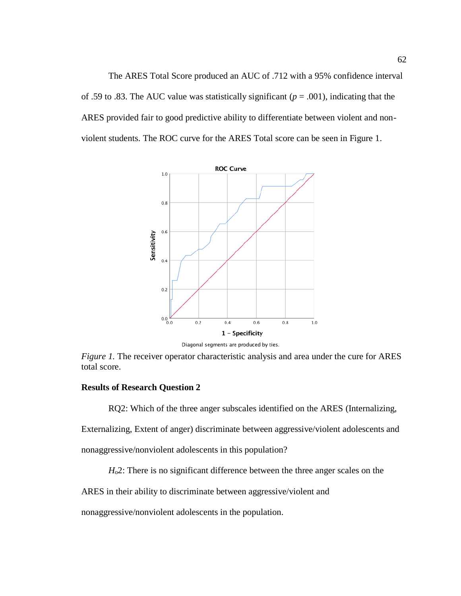The ARES Total Score produced an AUC of .712 with a 95% confidence interval of .59 to .83. The AUC value was statistically significant ( $p = .001$ ), indicating that the ARES provided fair to good predictive ability to differentiate between violent and nonviolent students. The ROC curve for the ARES Total score can be seen in Figure 1.



Diagonal segments are produced by ties.

*Figure 1.* The receiver operator characteristic analysis and area under the cure for ARES total score.

### **Results of Research Question 2**

RQ2: Which of the three anger subscales identified on the ARES (Internalizing,

Externalizing, Extent of anger) discriminate between aggressive/violent adolescents and

nonaggressive/nonviolent adolescents in this population?

*H*o2: There is no significant difference between the three anger scales on the

ARES in their ability to discriminate between aggressive/violent and

nonaggressive/nonviolent adolescents in the population.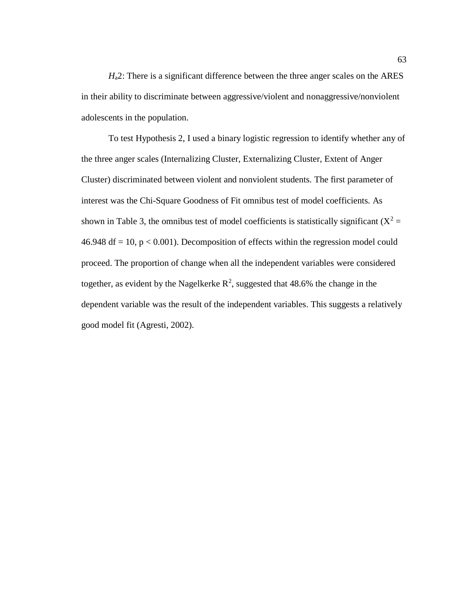*H*a2: There is a significant difference between the three anger scales on the ARES in their ability to discriminate between aggressive/violent and nonaggressive/nonviolent adolescents in the population.

To test Hypothesis 2, I used a binary logistic regression to identify whether any of the three anger scales (Internalizing Cluster, Externalizing Cluster, Extent of Anger Cluster) discriminated between violent and nonviolent students. The first parameter of interest was the Chi-Square Goodness of Fit omnibus test of model coefficients. As shown in Table 3, the omnibus test of model coefficients is statistically significant  $(X^2 =$ 46.948 df = 10,  $p < 0.001$ ). Decomposition of effects within the regression model could proceed. The proportion of change when all the independent variables were considered together, as evident by the Nagelkerke  $\mathbb{R}^2$ , suggested that 48.6% the change in the dependent variable was the result of the independent variables. This suggests a relatively good model fit (Agresti, 2002).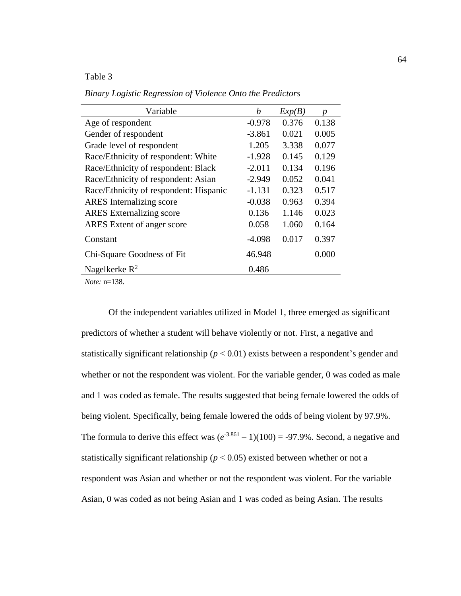# Table 3

| Variable                               | h        | Exp(B) |       |
|----------------------------------------|----------|--------|-------|
| Age of respondent                      | $-0.978$ | 0.376  | 0.138 |
| Gender of respondent                   | $-3.861$ | 0.021  | 0.005 |
| Grade level of respondent              | 1.205    | 3.338  | 0.077 |
| Race/Ethnicity of respondent: White    | $-1.928$ | 0.145  | 0.129 |
| Race/Ethnicity of respondent: Black    | $-2.011$ | 0.134  | 0.196 |
| Race/Ethnicity of respondent: Asian    | $-2.949$ | 0.052  | 0.041 |
| Race/Ethnicity of respondent: Hispanic | $-1.131$ | 0.323  | 0.517 |
| <b>ARES</b> Internalizing score        | $-0.038$ | 0.963  | 0.394 |
| <b>ARES</b> Externalizing score        | 0.136    | 1.146  | 0.023 |
| ARES Extent of anger score             | 0.058    | 1.060  | 0.164 |
| Constant                               | $-4.098$ | 0.017  | 0.397 |
| Chi-Square Goodness of Fit             | 46.948   |        | 0.000 |
| Nagelkerke $R^2$                       | 0.486    |        |       |

*Binary Logistic Regression of Violence Onto the Predictors*

*Note:* n=138.

Of the independent variables utilized in Model 1, three emerged as significant predictors of whether a student will behave violently or not. First, a negative and statistically significant relationship ( $p < 0.01$ ) exists between a respondent's gender and whether or not the respondent was violent. For the variable gender, 0 was coded as male and 1 was coded as female. The results suggested that being female lowered the odds of being violent. Specifically, being female lowered the odds of being violent by 97.9%. The formula to derive this effect was  $(e^{-3.861} - 1)(100) = -97.9\%$ . Second, a negative and statistically significant relationship ( $p < 0.05$ ) existed between whether or not a respondent was Asian and whether or not the respondent was violent. For the variable Asian, 0 was coded as not being Asian and 1 was coded as being Asian. The results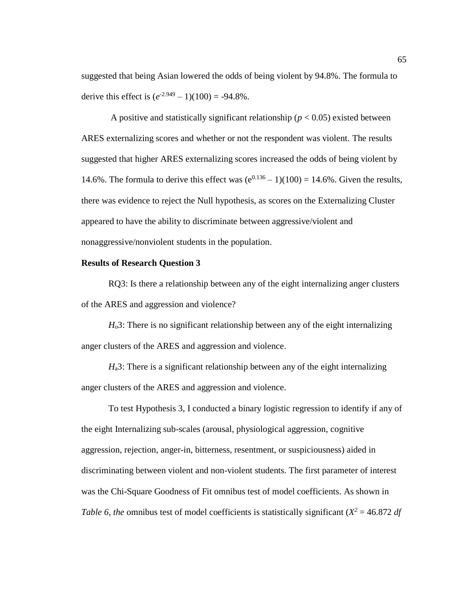suggested that being Asian lowered the odds of being violent by 94.8%. The formula to derive this effect is  $(e^{-2.949} - 1)(100) = -94.8\%$ .

A positive and statistically significant relationship ( $p < 0.05$ ) existed between ARES externalizing scores and whether or not the respondent was violent. The results suggested that higher ARES externalizing scores increased the odds of being violent by 14.6%. The formula to derive this effect was  $(e^{0.136} - 1)(100) = 14.6\%$ . Given the results, there was evidence to reject the Null hypothesis, as scores on the Externalizing Cluster appeared to have the ability to discriminate between aggressive/violent and nonaggressive/nonviolent students in the population.

## **Results of Research Question 3**

RQ3: Is there a relationship between any of the eight internalizing anger clusters of the ARES and aggression and violence?

*H*<sub>o</sub>3: There is no significant relationship between any of the eight internalizing anger clusters of the ARES and aggression and violence.

*H*<sub>a</sub>3: There is a significant relationship between any of the eight internalizing anger clusters of the ARES and aggression and violence.

To test Hypothesis 3, I conducted a binary logistic regression to identify if any of the eight Internalizing sub-scales (arousal, physiological aggression, cognitive aggression, rejection, anger-in, bitterness, resentment, or suspiciousness) aided in discriminating between violent and non-violent students. The first parameter of interest was the Chi-Square Goodness of Fit omnibus test of model coefficients. As shown in *Table 6, the omnibus test of model coefficients is statistically significant (* $X^2 = 46.872$  *<i>df*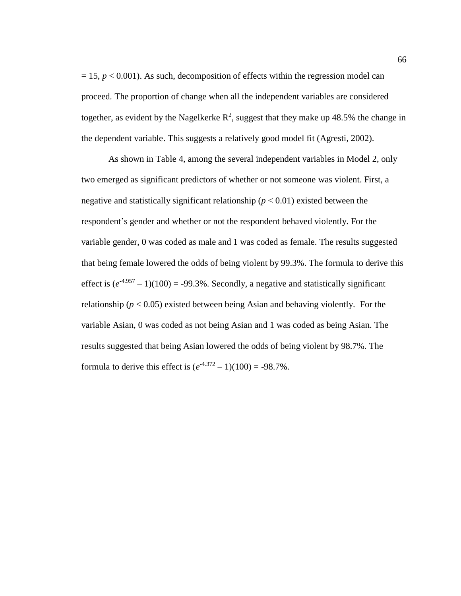$= 15$ ,  $p < 0.001$ ). As such, decomposition of effects within the regression model can proceed*.* The proportion of change when all the independent variables are considered together, as evident by the Nagelkerke  $\mathbb{R}^2$ , suggest that they make up 48.5% the change in the dependent variable. This suggests a relatively good model fit (Agresti, 2002).

As shown in Table 4, among the several independent variables in Model 2, only two emerged as significant predictors of whether or not someone was violent. First, a negative and statistically significant relationship  $(p < 0.01)$  existed between the respondent's gender and whether or not the respondent behaved violently. For the variable gender, 0 was coded as male and 1 was coded as female. The results suggested that being female lowered the odds of being violent by 99.3%. The formula to derive this effect is  $(e^{-4.957} - 1)(100) = -99.3\%$ . Secondly, a negative and statistically significant relationship ( $p < 0.05$ ) existed between being Asian and behaving violently. For the variable Asian, 0 was coded as not being Asian and 1 was coded as being Asian. The results suggested that being Asian lowered the odds of being violent by 98.7%. The formula to derive this effect is  $(e^{4.372} - 1)(100) = -98.7\%$ .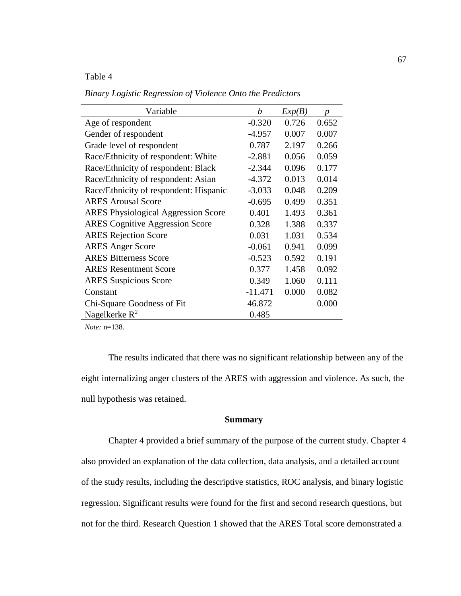# Table 4

| Variable                                   | b         | Exp(B) | Ŋ     |
|--------------------------------------------|-----------|--------|-------|
| Age of respondent                          | $-0.320$  | 0.726  | 0.652 |
| Gender of respondent                       | $-4.957$  | 0.007  | 0.007 |
| Grade level of respondent                  | 0.787     | 2.197  | 0.266 |
| Race/Ethnicity of respondent: White        | $-2.881$  | 0.056  | 0.059 |
| Race/Ethnicity of respondent: Black        | $-2.344$  | 0.096  | 0.177 |
| Race/Ethnicity of respondent: Asian        | $-4.372$  | 0.013  | 0.014 |
| Race/Ethnicity of respondent: Hispanic     | $-3.033$  | 0.048  | 0.209 |
| <b>ARES Arousal Score</b>                  | $-0.695$  | 0.499  | 0.351 |
| <b>ARES Physiological Aggression Score</b> | 0.401     | 1.493  | 0.361 |
| <b>ARES</b> Cognitive Aggression Score     | 0.328     | 1.388  | 0.337 |
| <b>ARES Rejection Score</b>                | 0.031     | 1.031  | 0.534 |
| <b>ARES</b> Anger Score                    | $-0.061$  | 0.941  | 0.099 |
| <b>ARES Bitterness Score</b>               | $-0.523$  | 0.592  | 0.191 |
| <b>ARES</b> Resentment Score               | 0.377     | 1.458  | 0.092 |
| <b>ARES Suspicious Score</b>               | 0.349     | 1.060  | 0.111 |
| Constant                                   | $-11.471$ | 0.000  | 0.082 |
| Chi-Square Goodness of Fit                 | 46.872    |        | 0.000 |
| Nagelkerke $R^2$                           | 0.485     |        |       |

*Binary Logistic Regression of Violence Onto the Predictors*

*Note:* n=138.

The results indicated that there was no significant relationship between any of the eight internalizing anger clusters of the ARES with aggression and violence. As such, the null hypothesis was retained.

## **Summary**

Chapter 4 provided a brief summary of the purpose of the current study. Chapter 4 also provided an explanation of the data collection, data analysis, and a detailed account of the study results, including the descriptive statistics, ROC analysis, and binary logistic regression. Significant results were found for the first and second research questions, but not for the third. Research Question 1 showed that the ARES Total score demonstrated a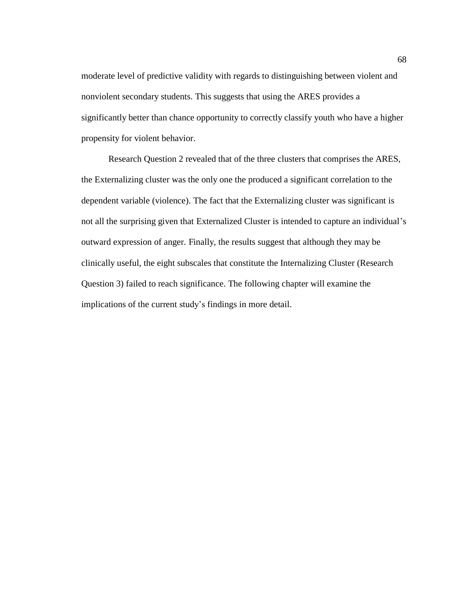moderate level of predictive validity with regards to distinguishing between violent and nonviolent secondary students. This suggests that using the ARES provides a significantly better than chance opportunity to correctly classify youth who have a higher propensity for violent behavior.

Research Question 2 revealed that of the three clusters that comprises the ARES, the Externalizing cluster was the only one the produced a significant correlation to the dependent variable (violence). The fact that the Externalizing cluster was significant is not all the surprising given that Externalized Cluster is intended to capture an individual's outward expression of anger. Finally, the results suggest that although they may be clinically useful, the eight subscales that constitute the Internalizing Cluster (Research Question 3) failed to reach significance. The following chapter will examine the implications of the current study's findings in more detail.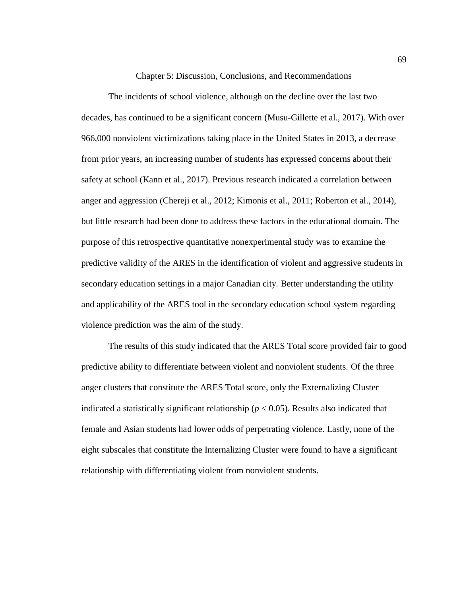Chapter 5: Discussion, Conclusions, and Recommendations

The incidents of school violence, although on the decline over the last two decades, has continued to be a significant concern (Musu-Gillette et al., 2017). With over 966,000 nonviolent victimizations taking place in the United States in 2013, a decrease from prior years, an increasing number of students has expressed concerns about their safety at school (Kann et al., 2017). Previous research indicated a correlation between anger and aggression (Chereji et al., 2012; Kimonis et al., 2011; Roberton et al., 2014), but little research had been done to address these factors in the educational domain. The purpose of this retrospective quantitative nonexperimental study was to examine the predictive validity of the ARES in the identification of violent and aggressive students in secondary education settings in a major Canadian city. Better understanding the utility and applicability of the ARES tool in the secondary education school system regarding violence prediction was the aim of the study.

The results of this study indicated that the ARES Total score provided fair to good predictive ability to differentiate between violent and nonviolent students. Of the three anger clusters that constitute the ARES Total score, only the Externalizing Cluster indicated a statistically significant relationship ( $p < 0.05$ ). Results also indicated that female and Asian students had lower odds of perpetrating violence. Lastly, none of the eight subscales that constitute the Internalizing Cluster were found to have a significant relationship with differentiating violent from nonviolent students.

69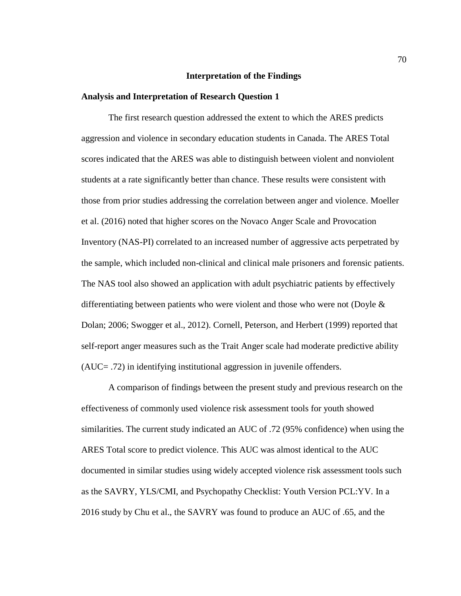### **Interpretation of the Findings**

## **Analysis and Interpretation of Research Question 1**

The first research question addressed the extent to which the ARES predicts aggression and violence in secondary education students in Canada. The ARES Total scores indicated that the ARES was able to distinguish between violent and nonviolent students at a rate significantly better than chance. These results were consistent with those from prior studies addressing the correlation between anger and violence. Moeller et al. (2016) noted that higher scores on the Novaco Anger Scale and Provocation Inventory (NAS-PI) correlated to an increased number of aggressive acts perpetrated by the sample, which included non-clinical and clinical male prisoners and forensic patients. The NAS tool also showed an application with adult psychiatric patients by effectively differentiating between patients who were violent and those who were not (Doyle  $\&$ Dolan; 2006; Swogger et al., 2012). Cornell, Peterson, and Herbert (1999) reported that self-report anger measures such as the Trait Anger scale had moderate predictive ability (AUC= .72) in identifying institutional aggression in juvenile offenders.

A comparison of findings between the present study and previous research on the effectiveness of commonly used violence risk assessment tools for youth showed similarities. The current study indicated an AUC of .72 (95% confidence) when using the ARES Total score to predict violence. This AUC was almost identical to the AUC documented in similar studies using widely accepted violence risk assessment tools such as the SAVRY, YLS/CMI, and Psychopathy Checklist: Youth Version PCL:YV. In a 2016 study by Chu et al., the SAVRY was found to produce an AUC of .65, and the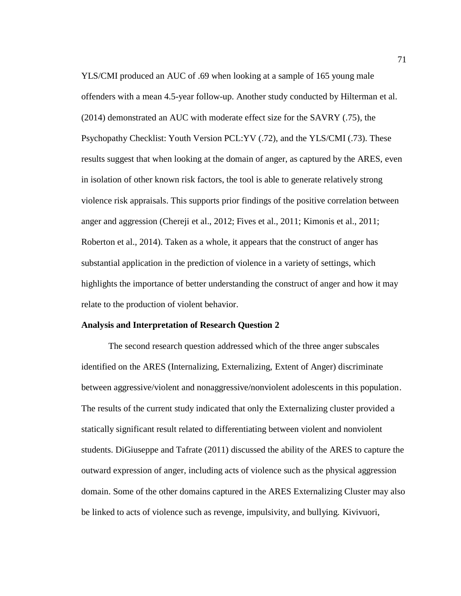YLS/CMI produced an AUC of .69 when looking at a sample of 165 young male offenders with a mean 4.5-year follow-up. Another study conducted by Hilterman et al. (2014) demonstrated an AUC with moderate effect size for the SAVRY (.75), the Psychopathy Checklist: Youth Version PCL:YV (.72), and the YLS/CMI (.73). These results suggest that when looking at the domain of anger, as captured by the ARES, even in isolation of other known risk factors, the tool is able to generate relatively strong violence risk appraisals. This supports prior findings of the positive correlation between anger and aggression (Chereji et al., 2012; Fives et al., 2011; Kimonis et al., 2011; Roberton et al., 2014). Taken as a whole, it appears that the construct of anger has substantial application in the prediction of violence in a variety of settings, which highlights the importance of better understanding the construct of anger and how it may relate to the production of violent behavior.

### **Analysis and Interpretation of Research Question 2**

The second research question addressed which of the three anger subscales identified on the ARES (Internalizing, Externalizing, Extent of Anger) discriminate between aggressive/violent and nonaggressive/nonviolent adolescents in this population. The results of the current study indicated that only the Externalizing cluster provided a statically significant result related to differentiating between violent and nonviolent students. DiGiuseppe and Tafrate (2011) discussed the ability of the ARES to capture the outward expression of anger, including acts of violence such as the physical aggression domain. Some of the other domains captured in the ARES Externalizing Cluster may also be linked to acts of violence such as revenge, impulsivity, and bullying. Kivivuori,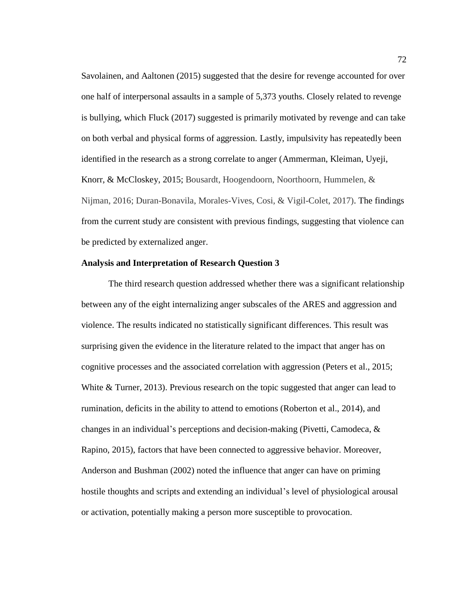Savolainen, and Aaltonen (2015) suggested that the desire for revenge accounted for over one half of interpersonal assaults in a sample of 5,373 youths. Closely related to revenge is bullying, which Fluck (2017) suggested is primarily motivated by revenge and can take on both verbal and physical forms of aggression. Lastly, impulsivity has repeatedly been identified in the research as a strong correlate to anger (Ammerman, Kleiman, Uyeji, Knorr, & McCloskey, 2015; Bousardt, Hoogendoorn, Noorthoorn, Hummelen, & Nijman, 2016; Duran-Bonavila, Morales-Vives, Cosi, & Vigil-Colet, 2017). The findings from the current study are consistent with previous findings, suggesting that violence can be predicted by externalized anger.

### **Analysis and Interpretation of Research Question 3**

The third research question addressed whether there was a significant relationship between any of the eight internalizing anger subscales of the ARES and aggression and violence. The results indicated no statistically significant differences. This result was surprising given the evidence in the literature related to the impact that anger has on cognitive processes and the associated correlation with aggression (Peters et al., 2015; White & Turner, 2013). Previous research on the topic suggested that anger can lead to rumination, deficits in the ability to attend to emotions (Roberton et al., 2014), and changes in an individual's perceptions and decision-making (Pivetti, Camodeca, & Rapino, 2015), factors that have been connected to aggressive behavior. Moreover, Anderson and Bushman (2002) noted the influence that anger can have on priming hostile thoughts and scripts and extending an individual's level of physiological arousal or activation, potentially making a person more susceptible to provocation.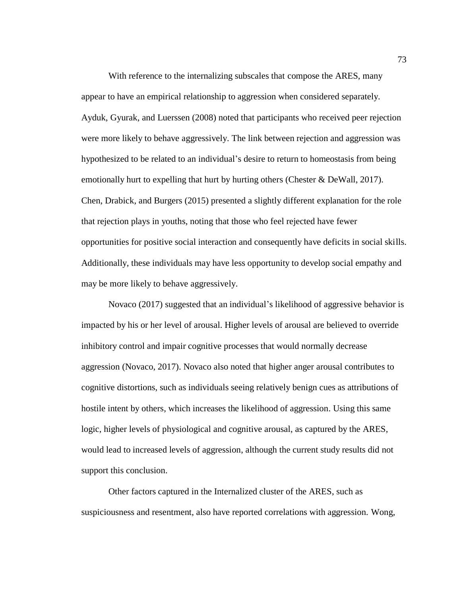With reference to the internalizing subscales that compose the ARES, many appear to have an empirical relationship to aggression when considered separately. Ayduk, Gyurak, and Luerssen (2008) noted that participants who received peer rejection were more likely to behave aggressively. The link between rejection and aggression was hypothesized to be related to an individual's desire to return to homeostasis from being emotionally hurt to expelling that hurt by hurting others (Chester & DeWall, 2017). Chen, Drabick, and Burgers (2015) presented a slightly different explanation for the role that rejection plays in youths, noting that those who feel rejected have fewer opportunities for positive social interaction and consequently have deficits in social skills. Additionally, these individuals may have less opportunity to develop social empathy and may be more likely to behave aggressively.

Novaco (2017) suggested that an individual's likelihood of aggressive behavior is impacted by his or her level of arousal. Higher levels of arousal are believed to override inhibitory control and impair cognitive processes that would normally decrease aggression (Novaco, 2017). Novaco also noted that higher anger arousal contributes to cognitive distortions, such as individuals seeing relatively benign cues as attributions of hostile intent by others, which increases the likelihood of aggression. Using this same logic, higher levels of physiological and cognitive arousal, as captured by the ARES, would lead to increased levels of aggression, although the current study results did not support this conclusion.

Other factors captured in the Internalized cluster of the ARES, such as suspiciousness and resentment, also have reported correlations with aggression. Wong,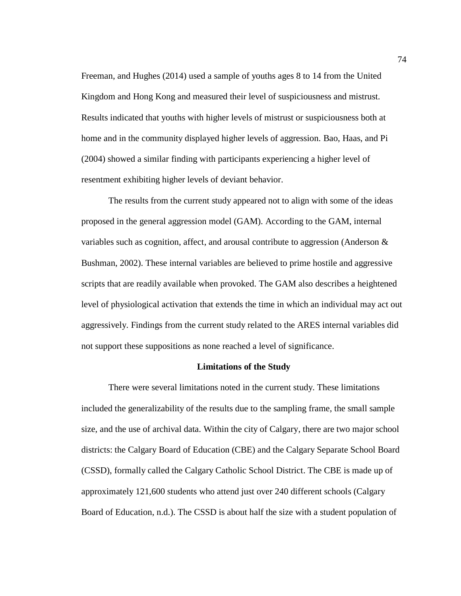Freeman, and Hughes (2014) used a sample of youths ages 8 to 14 from the United Kingdom and Hong Kong and measured their level of suspiciousness and mistrust. Results indicated that youths with higher levels of mistrust or suspiciousness both at home and in the community displayed higher levels of aggression. Bao, Haas, and Pi (2004) showed a similar finding with participants experiencing a higher level of resentment exhibiting higher levels of deviant behavior.

The results from the current study appeared not to align with some of the ideas proposed in the general aggression model (GAM). According to the GAM, internal variables such as cognition, affect, and arousal contribute to aggression (Anderson & Bushman, 2002). These internal variables are believed to prime hostile and aggressive scripts that are readily available when provoked. The GAM also describes a heightened level of physiological activation that extends the time in which an individual may act out aggressively. Findings from the current study related to the ARES internal variables did not support these suppositions as none reached a level of significance.

#### **Limitations of the Study**

There were several limitations noted in the current study. These limitations included the generalizability of the results due to the sampling frame, the small sample size, and the use of archival data. Within the city of Calgary, there are two major school districts: the Calgary Board of Education (CBE) and the Calgary Separate School Board (CSSD), formally called the Calgary Catholic School District. The CBE is made up of approximately 121,600 students who attend just over 240 different schools (Calgary Board of Education, n.d.). The CSSD is about half the size with a student population of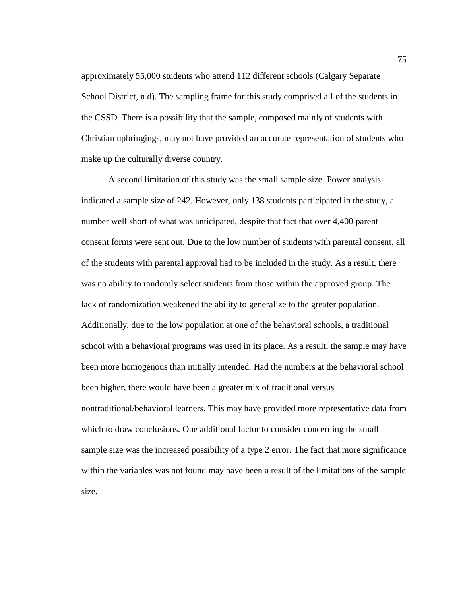approximately 55,000 students who attend 112 different schools (Calgary Separate School District, n.d). The sampling frame for this study comprised all of the students in the CSSD. There is a possibility that the sample, composed mainly of students with Christian upbringings, may not have provided an accurate representation of students who make up the culturally diverse country.

A second limitation of this study was the small sample size. Power analysis indicated a sample size of 242. However, only 138 students participated in the study, a number well short of what was anticipated, despite that fact that over 4,400 parent consent forms were sent out. Due to the low number of students with parental consent, all of the students with parental approval had to be included in the study. As a result, there was no ability to randomly select students from those within the approved group. The lack of randomization weakened the ability to generalize to the greater population. Additionally, due to the low population at one of the behavioral schools, a traditional school with a behavioral programs was used in its place. As a result, the sample may have been more homogenous than initially intended. Had the numbers at the behavioral school been higher, there would have been a greater mix of traditional versus nontraditional/behavioral learners. This may have provided more representative data from which to draw conclusions. One additional factor to consider concerning the small sample size was the increased possibility of a type 2 error. The fact that more significance within the variables was not found may have been a result of the limitations of the sample size.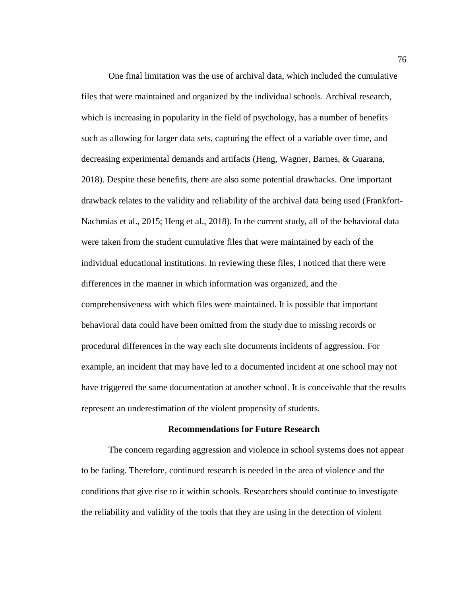One final limitation was the use of archival data, which included the cumulative files that were maintained and organized by the individual schools. Archival research, which is increasing in popularity in the field of psychology, has a number of benefits such as allowing for larger data sets, capturing the effect of a variable over time, and decreasing experimental demands and artifacts [\(Heng,](https://www-sciencedirect-com.ezp.waldenulibrary.org/science/article/pii/S0022103118300489?via%3Dihub#!) [Wagner,](https://www-sciencedirect-com.ezp.waldenulibrary.org/science/article/pii/S0022103118300489?via%3Dihub#!) Barnes, [& Guarana,](https://www-sciencedirect-com.ezp.waldenulibrary.org/science/article/pii/S0022103118300489?via%3Dihub#!) 2018). Despite these benefits, there are also some potential drawbacks. One important drawback relates to the validity and reliability of the archival data being used (Frankfort-Nachmias et al., 2015; [Heng](https://www-sciencedirect-com.ezp.waldenulibrary.org/science/article/pii/S0022103118300489?via%3Dihub#!) et al., 2018). In the current study, all of the behavioral data were taken from the student cumulative files that were maintained by each of the individual educational institutions. In reviewing these files, I noticed that there were differences in the manner in which information was organized, and the comprehensiveness with which files were maintained. It is possible that important behavioral data could have been omitted from the study due to missing records or procedural differences in the way each site documents incidents of aggression. For example, an incident that may have led to a documented incident at one school may not have triggered the same documentation at another school. It is conceivable that the results represent an underestimation of the violent propensity of students.

#### **Recommendations for Future Research**

The concern regarding aggression and violence in school systems does not appear to be fading. Therefore, continued research is needed in the area of violence and the conditions that give rise to it within schools. Researchers should continue to investigate the reliability and validity of the tools that they are using in the detection of violent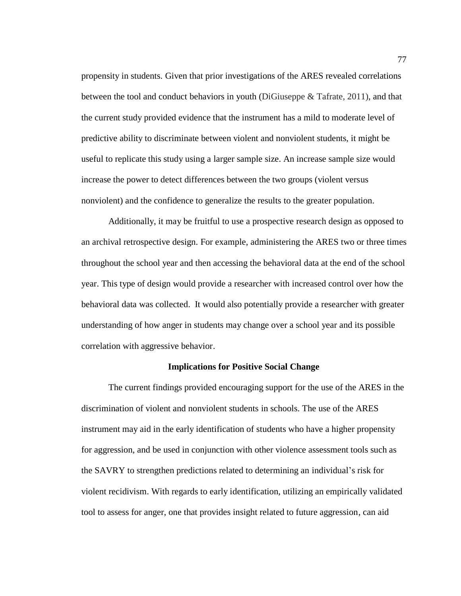propensity in students. Given that prior investigations of the ARES revealed correlations between the tool and conduct behaviors in youth (DiGiuseppe & Tafrate, 2011), and that the current study provided evidence that the instrument has a mild to moderate level of predictive ability to discriminate between violent and nonviolent students, it might be useful to replicate this study using a larger sample size. An increase sample size would increase the power to detect differences between the two groups (violent versus nonviolent) and the confidence to generalize the results to the greater population.

Additionally, it may be fruitful to use a prospective research design as opposed to an archival retrospective design. For example, administering the ARES two or three times throughout the school year and then accessing the behavioral data at the end of the school year. This type of design would provide a researcher with increased control over how the behavioral data was collected. It would also potentially provide a researcher with greater understanding of how anger in students may change over a school year and its possible correlation with aggressive behavior.

#### **Implications for Positive Social Change**

The current findings provided encouraging support for the use of the ARES in the discrimination of violent and nonviolent students in schools. The use of the ARES instrument may aid in the early identification of students who have a higher propensity for aggression, and be used in conjunction with other violence assessment tools such as the SAVRY to strengthen predictions related to determining an individual's risk for violent recidivism. With regards to early identification, utilizing an empirically validated tool to assess for anger, one that provides insight related to future aggression, can aid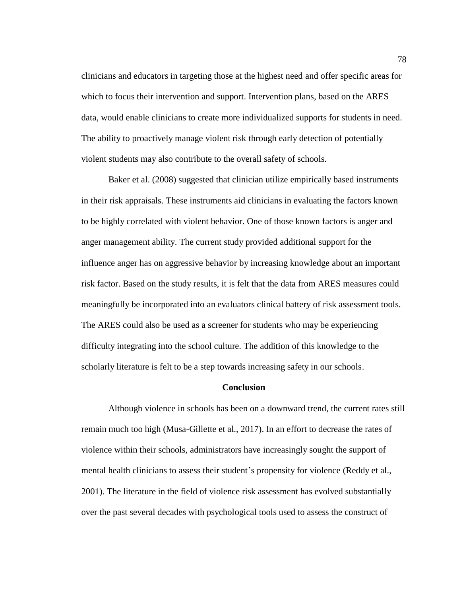clinicians and educators in targeting those at the highest need and offer specific areas for which to focus their intervention and support. Intervention plans, based on the ARES data, would enable clinicians to create more individualized supports for students in need. The ability to proactively manage violent risk through early detection of potentially violent students may also contribute to the overall safety of schools.

Baker et al. (2008) suggested that clinician utilize empirically based instruments in their risk appraisals. These instruments aid clinicians in evaluating the factors known to be highly correlated with violent behavior. One of those known factors is anger and anger management ability. The current study provided additional support for the influence anger has on aggressive behavior by increasing knowledge about an important risk factor. Based on the study results, it is felt that the data from ARES measures could meaningfully be incorporated into an evaluators clinical battery of risk assessment tools. The ARES could also be used as a screener for students who may be experiencing difficulty integrating into the school culture. The addition of this knowledge to the scholarly literature is felt to be a step towards increasing safety in our schools.

#### **Conclusion**

Although violence in schools has been on a downward trend, the current rates still remain much too high (Musa-Gillette et al., 2017). In an effort to decrease the rates of violence within their schools, administrators have increasingly sought the support of mental health clinicians to assess their student's propensity for violence (Reddy et al., 2001). The literature in the field of violence risk assessment has evolved substantially over the past several decades with psychological tools used to assess the construct of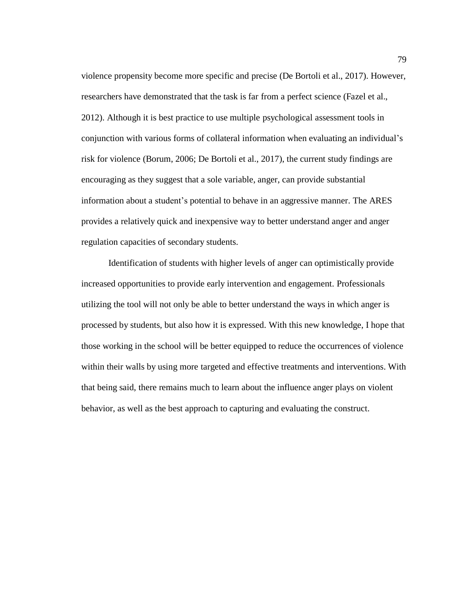violence propensity become more specific and precise (De Bortoli et al., 2017). However, researchers have demonstrated that the task is far from a perfect science (Fazel et al., 2012). Although it is best practice to use multiple psychological assessment tools in conjunction with various forms of collateral information when evaluating an individual's risk for violence (Borum, 2006; De Bortoli et al., 2017), the current study findings are encouraging as they suggest that a sole variable, anger, can provide substantial information about a student's potential to behave in an aggressive manner. The ARES provides a relatively quick and inexpensive way to better understand anger and anger regulation capacities of secondary students.

Identification of students with higher levels of anger can optimistically provide increased opportunities to provide early intervention and engagement. Professionals utilizing the tool will not only be able to better understand the ways in which anger is processed by students, but also how it is expressed. With this new knowledge, I hope that those working in the school will be better equipped to reduce the occurrences of violence within their walls by using more targeted and effective treatments and interventions. With that being said, there remains much to learn about the influence anger plays on violent behavior, as well as the best approach to capturing and evaluating the construct.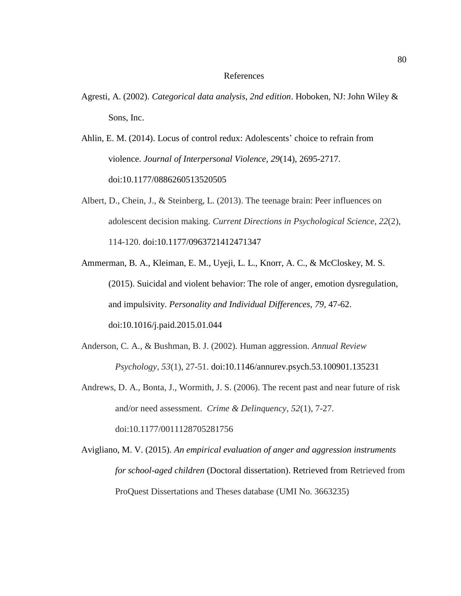### References

Agresti, A. (2002). *Categorical data analysis, 2nd edition*. Hoboken, NJ: John Wiley & Sons, Inc.

Ahlin, E. M. (2014). Locus of control redux: Adolescents' choice to refrain from violence. *Journal of Interpersonal Violence, 29*(14), 2695-2717. doi:10.1177/0886260513520505

- Albert, D., Chein, J., & Steinberg, L. (2013). The teenage brain: Peer influences on adolescent decision making. *Current Directions in Psychological Science*, *22*(2), 114-120. doi:10.1177/0963721412471347
- Ammerman, B. A., Kleiman, E. M., Uyeji, L. L., Knorr, A. C., & McCloskey, M. S. (2015). Suicidal and violent behavior: The role of anger, emotion dysregulation, and impulsivity. *Personality and Individual Differences, 79,* 47-62. [doi:10.1016/j.paid.2015.01.044](https://doi-org.ezp.waldenulibrary.org/10.1016/j.paid.2015.01.044)
- Anderson, C. A., & Bushman, B. J. (2002). Human aggression. *Annual Review Psychology, 53*(1), 27-51. doi:10.1146/annurev.psych.53.100901.135231
- Andrews, D. A., Bonta, J., Wormith, J. S. (2006). The recent past and near future of risk and/or need assessment. *Crime & Delinquency, 52*(1), 7-27. doi:10.1177/0011128705281756
- Avigliano, M. V. (2015). *An empirical evaluation of anger and aggression instruments for school-aged children* (Doctoral dissertation). Retrieved from Retrieved from ProQuest Dissertations and Theses database (UMI No. 3663235)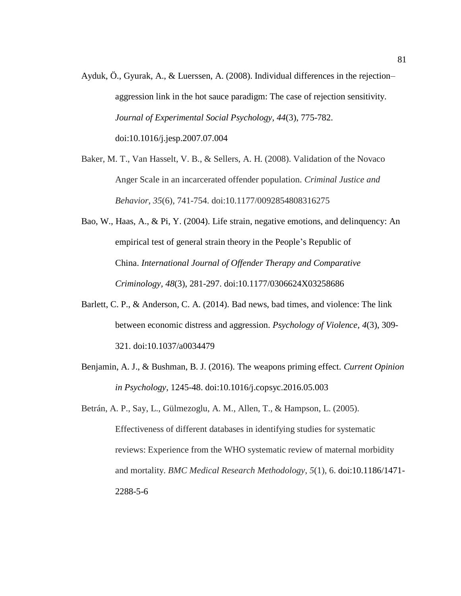- Ayduk, Ö., Gyurak, A., & Luerssen, A. (2008). Individual differences in the rejection– aggression link in the hot sauce paradigm: The case of rejection sensitivity. *Journal of Experimental Social Psychology, 44*(3), 775-782. doi:10.1016/j.jesp.2007.07.004
- Baker, M. T., Van Hasselt, V. B., & Sellers, A. H. (2008). Validation of the Novaco Anger Scale in an incarcerated offender population. *Criminal Justice and Behavior*, *35*(6), 741-754. doi:10.1177/0092854808316275
- Bao, W., Haas, A., & Pi, Y. (2004). Life strain, negative emotions, and delinquency: An empirical test of general strain theory in the People's Republic of China. *International Journal of Offender Therapy and Comparative Criminology, 48*(3), 281-297. doi:10.1177/0306624X03258686
- Barlett, C. P., & Anderson, C. A. (2014). Bad news, bad times, and violence: The link between economic distress and aggression. *Psychology of Violence, 4*(3), 309- 321. doi:10.1037/a0034479
- Benjamin, A. J., & Bushman, B. J. (2016). The weapons priming effect. *Current Opinion in Psychology*, 1245-48. doi:10.1016/j.copsyc.2016.05.003
- Betrán, A. P., Say, L., Gülmezoglu, A. M., Allen, T., & Hampson, L. (2005). Effectiveness of different databases in identifying studies for systematic reviews: Experience from the WHO systematic review of maternal morbidity and mortality. *BMC Medical Research Methodology*, *5*(1), 6. doi:10.1186/1471- 2288-5-6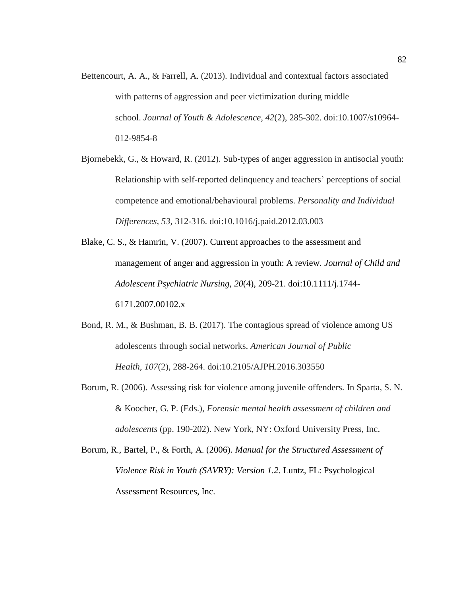- Bettencourt, A. A., & Farrell, A. (2013). Individual and contextual factors associated with patterns of aggression and peer victimization during middle school. *Journal of Youth & Adolescence, 42*(2), 285-302. doi:10.1007/s10964- 012-9854-8
- Bjornebekk, G., & Howard, R. (2012). Sub-types of anger aggression in antisocial youth: Relationship with self-reported delinquency and teachers' perceptions of social competence and emotional/behavioural problems. *Personality and Individual Differences, 53,* 312-316. doi:10.1016/j.paid.2012.03.003
- Blake, C. S., & Hamrin, V. (2007). Current approaches to the assessment and management of anger and aggression in youth: A review. *Journal of Child and Adolescent Psychiatric Nursing, 20*(4), 209-21. doi:10.1111/j.1744- 6171.2007.00102.x
- Bond, R. M., & Bushman, B. B. (2017). The contagious spread of violence among US adolescents through social networks. *American Journal of Public Health, 107*(2), 288-264. doi:10.2105/AJPH.2016.303550
- Borum, R. (2006). Assessing risk for violence among juvenile offenders. In Sparta, S. N. & Koocher, G. P. (Eds.), *Forensic mental health assessment of children and adolescents* (pp. 190-202). New York, NY: Oxford University Press, Inc.
- Borum, R., Bartel, P., & Forth, A. (2006). *Manual for the Structured Assessment of Violence Risk in Youth (SAVRY): Version 1.2.* Luntz, FL: Psychological Assessment Resources, Inc.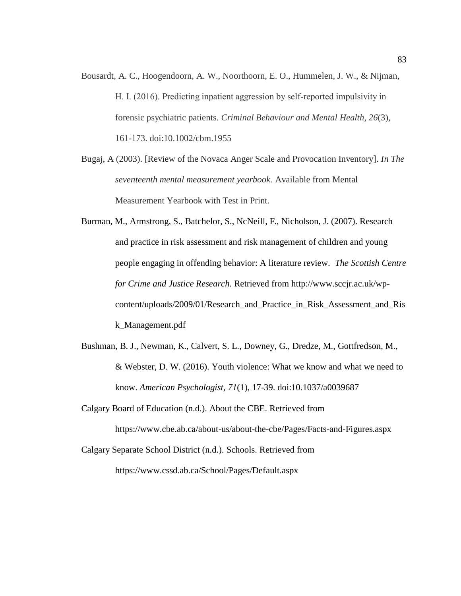- Bousardt, A. C., Hoogendoorn, A. W., Noorthoorn, E. O., Hummelen, J. W., & Nijman, H. I. (2016). Predicting inpatient aggression by self‐reported impulsivity in forensic psychiatric patients. *Criminal Behaviour and Mental Health*, *26*(3), 161-173. doi:10.1002/cbm.1955
- Bugaj, A (2003). [Review of the Novaca Anger Scale and Provocation Inventory]. *In The seventeenth mental measurement yearbook.* Available from Mental Measurement Yearbook with Test in Print.
- Burman, M., Armstrong, S., Batchelor, S., NcNeill, F., Nicholson, J. (2007). Research and practice in risk assessment and risk management of children and young people engaging in offending behavior: A literature review. *The Scottish Centre for Crime and Justice Research.* Retrieved from http://www.sccjr.ac.uk/wpcontent/uploads/2009/01/Research\_and\_Practice\_in\_Risk\_Assessment\_and\_Ris k\_Management.pdf
- Bushman, B. J., Newman, K., Calvert, S. L., Downey, G., Dredze, M., Gottfredson, M., & Webster, D. W. (2016). Youth violence: What we know and what we need to know. *American Psychologist, 71*(1), 17-39. doi:10.1037/a0039687
- Calgary Board of Education (n.d.). About the CBE. Retrieved from https://www.cbe.ab.ca/about-us/about-the-cbe/Pages/Facts-and-Figures.aspx
- Calgary Separate School District (n.d.). Schools. Retrieved from <https://www.cssd.ab.ca/School/Pages/Default.aspx>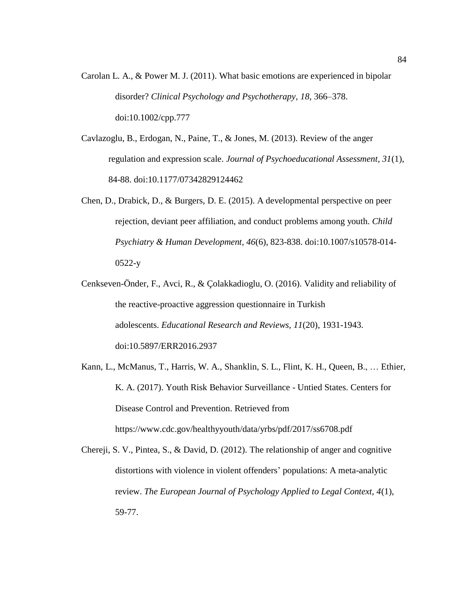- Carolan L. A., & Power M. J. (2011). What basic emotions are experienced in bipolar disorder? *Clinical Psychology and Psychotherapy, 18*, 366–378. doi:10.1002/cpp.777
- Cavlazoglu, B., Erdogan, N., Paine, T., & Jones, M. (2013). Review of the anger regulation and expression scale. *Journal of Psychoeducational Assessment, 31*(1), 84-88. doi:10.1177/07342829124462
- Chen, D., Drabick, D., & Burgers, D. E. (2015). A developmental perspective on peer rejection, deviant peer affiliation, and conduct problems among youth. *Child Psychiatry & Human Development, 46*(6), 823-838. doi:10.1007/s10578-014- 0522-y
- Cenkseven-Önder, F., Avci, R., & Çolakkadioglu, O. (2016). Validity and reliability of the reactive-proactive aggression questionnaire in Turkish adolescents. *Educational Research and Reviews, 11*(20), 1931-1943. doi:10.5897/ERR2016.2937
- Kann, L., McManus, T., Harris, W. A., Shanklin, S. L., Flint, K. H., Queen, B., … Ethier, K. A. (2017). Youth Risk Behavior Surveillance - Untied States. Centers for Disease Control and Prevention. Retrieved from https://www.cdc.gov/healthyyouth/data/yrbs/pdf/2017/ss6708.pdf
- Chereji, S. V., Pintea, S., & David, D. (2012). The relationship of anger and cognitive distortions with violence in violent offenders' populations: A meta-analytic review. *The European Journal of Psychology Applied to Legal Context, 4*(1), 59-77.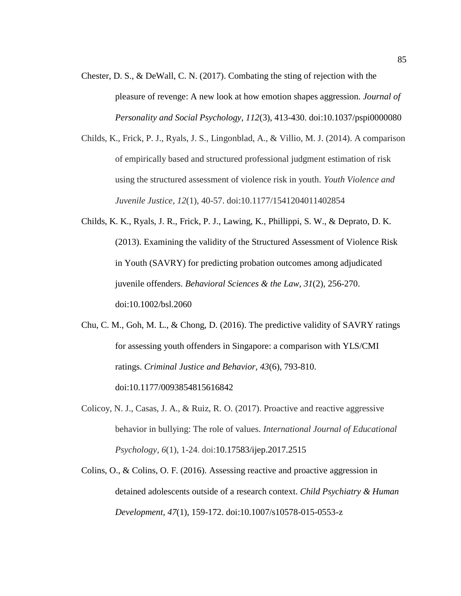- Chester, D. S., & DeWall, C. N. (2017). Combating the sting of rejection with the pleasure of revenge: A new look at how emotion shapes aggression. *Journal of Personality and Social Psychology, 112*(3), 413-430. doi:10.1037/pspi0000080
- Childs, K., Frick, P. J., Ryals, J. S., Lingonblad, A., & Villio, M. J. (2014). A comparison of empirically based and structured professional judgment estimation of risk using the structured assessment of violence risk in youth. *Youth Violence and Juvenile Justice*, *12*(1), 40-57. doi:10.1177/1541204011402854
- Childs, K. K., Ryals, J. R., Frick, P. J., Lawing, K., Phillippi, S. W., & Deprato, D. K. (2013). Examining the validity of the Structured Assessment of Violence Risk in Youth (SAVRY) for predicting probation outcomes among adjudicated juvenile offenders. *Behavioral Sciences & the Law, 31*(2), 256-270. doi:10.1002/bsl.2060
- Chu, C. M., Goh, M. L., & Chong, D. (2016). The predictive validity of SAVRY ratings for assessing youth offenders in Singapore: a comparison with YLS/CMI ratings. *Criminal Justice and Behavior, 43*(6), 793-810. doi:10.1177/0093854815616842
- Colicoy, N. J., Casas, J. A., & Ruiz, R. O. (2017). Proactive and reactive aggressive behavior in bullying: The role of values. *International Journal of Educational Psychology, 6*(1), 1-24. doi:10.17583/ijep.2017.2515
- Colins, O., & Colins, O. F. (2016). Assessing reactive and proactive aggression in detained adolescents outside of a research context. *Child Psychiatry & Human Development, 47*(1), 159-172. doi:10.1007/s10578-015-0553-z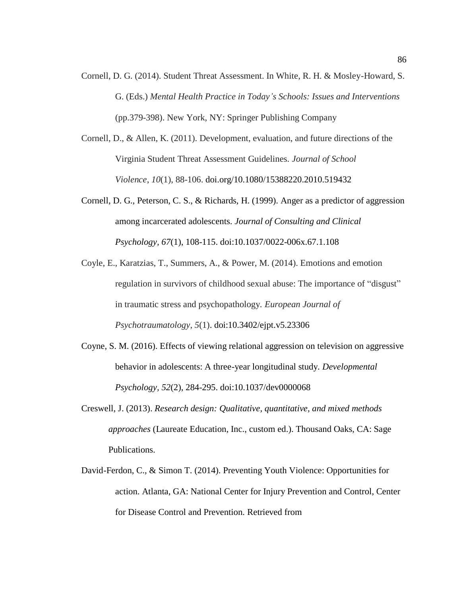- Cornell, D. G. (2014). Student Threat Assessment. In White, R. H. & Mosley-Howard, S. G. (Eds.) *Mental Health Practice in Today's Schools: Issues and Interventions* (pp.379-398). New York, NY: Springer Publishing Company
- Cornell, D., & Allen, K. (2011). Development, evaluation, and future directions of the Virginia Student Threat Assessment Guidelines. *Journal of School Violence*, *10*(1), 88-106. doi.org/10.1080/15388220.2010.519432
- Cornell, D. G., Peterson, C. S., & Richards, H. (1999). Anger as a predictor of aggression among incarcerated adolescents. *Journal of Consulting and Clinical Psychology, 67*(1), 108-115. doi:10.1037/0022-006x.67.1.108
- Coyle, E., Karatzias, T., Summers, A., & Power, M. (2014). Emotions and emotion regulation in survivors of childhood sexual abuse: The importance of "disgust" in traumatic stress and psychopathology. *European Journal of Psychotraumatology*, *5*(1). doi:10.3402/ejpt.v5.23306
- Coyne, S. M. (2016). Effects of viewing relational aggression on television on aggressive behavior in adolescents: A three-year longitudinal study. *Developmental Psychology, 52*(2), 284-295. doi:10.1037/dev0000068
- Creswell, J. (2013). *Research design: Qualitative, quantitative, and mixed methods approaches* (Laureate Education, Inc., custom ed.). Thousand Oaks, CA: Sage Publications.
- David-Ferdon, C., & Simon T. (2014). Preventing Youth Violence: Opportunities for action. Atlanta, GA: National Center for Injury Prevention and Control, Center for Disease Control and Prevention. Retrieved from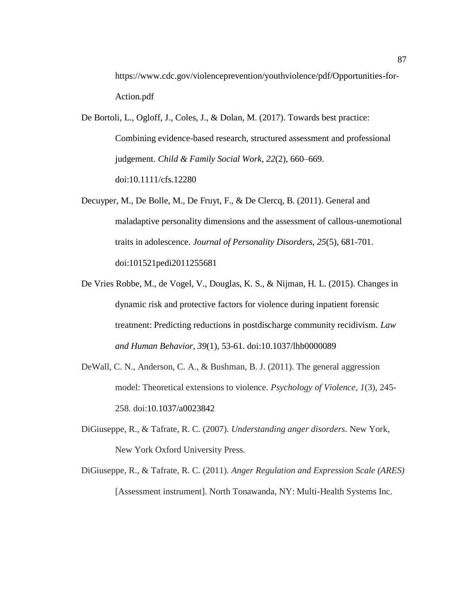https://www.cdc.gov/violenceprevention/youthviolence/pdf/Opportunities-for-Action.pdf

De Bortoli, L., Ogloff, J., Coles, J., & Dolan, M. (2017). Towards best practice: Combining evidence-based research, structured assessment and professional judgement. *Child & Family Social Work, 22*(2), 660–669. doi:10.1111/cfs.12280

- Decuyper, M., De Bolle, M., De Fruyt, F., & De Clercq, B. (2011). General and maladaptive personality dimensions and the assessment of callous-unemotional traits in adolescence. *Journal of Personality Disorders, 25*(5), 681-701. doi:101521pedi2011255681
- De Vries Robbe, M., de Vogel, V., Douglas, K. S., & Nijman, H. L. (2015). Changes in dynamic risk and protective factors for violence during inpatient forensic treatment: Predicting reductions in postdischarge community recidivism. *Law and Human Behavior, 39*(1), 53-61. doi:10.1037/lhb0000089
- DeWall, C. N., Anderson, C. A., & Bushman, B. J. (2011). The general aggression model: Theoretical extensions to violence. *Psychology of Violence*, *1*(3), 245- 258. doi:10.1037/a0023842
- DiGiuseppe, R., & Tafrate, R. C. (2007). *Understanding anger disorders*. New York, New York Oxford University Press.
- DiGiuseppe, R., & Tafrate, R. C. (2011). *Anger Regulation and Expression Scale (ARES)* [Assessment instrument]. North Tonawanda, NY: Multi-Health Systems Inc.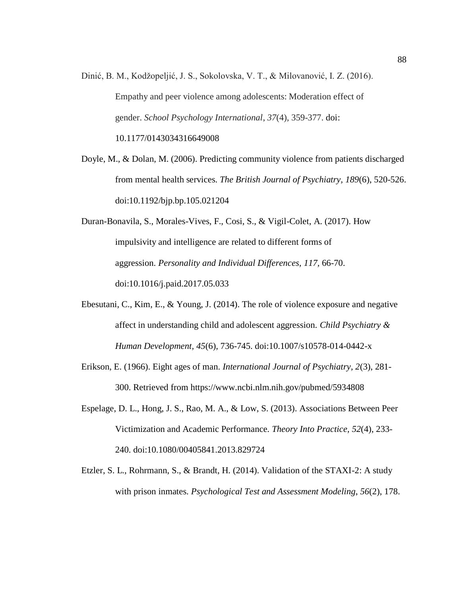- Dinić, B. M., Kodžopeljić, J. S., Sokolovska, V. T., & Milovanović, I. Z. (2016). Empathy and peer violence among adolescents: Moderation effect of gender. *School Psychology International*, *37*(4), 359-377. doi: 10.1177/0143034316649008
- Doyle, M., & Dolan, M. (2006). Predicting community violence from patients discharged from mental health services. *The British Journal of Psychiatry, 189*(6), 520-526. doi:10.1192/bjp.bp.105.021204
- Duran-Bonavila, S., Morales-Vives, F., Cosi, S., & Vigil-Colet, A. (2017). How impulsivity and intelligence are related to different forms of aggression. *Personality and Individual Differences, 117,* 66-70. doi:10.1016/j.paid.2017.05.033
- Ebesutani, C., Kim, E., & Young, J. (2014). The role of violence exposure and negative affect in understanding child and adolescent aggression. *Child Psychiatry & Human Development, 45*(6), 736-745. doi:10.1007/s10578-014-0442-x
- Erikson, E. (1966). Eight ages of man. *International Journal of Psychiatry, 2*(3), 281- 300. Retrieved from https://www.ncbi.nlm.nih.gov/pubmed/5934808
- Espelage, D. L., Hong, J. S., Rao, M. A., & Low, S. (2013). Associations Between Peer Victimization and Academic Performance. *Theory Into Practice, 52*(4), 233- 240. doi:10.1080/00405841.2013.829724
- Etzler, S. L., Rohrmann, S., & Brandt, H. (2014). Validation of the STAXI-2: A study with prison inmates. *Psychological Test and Assessment Modeling*, *56*(2), 178.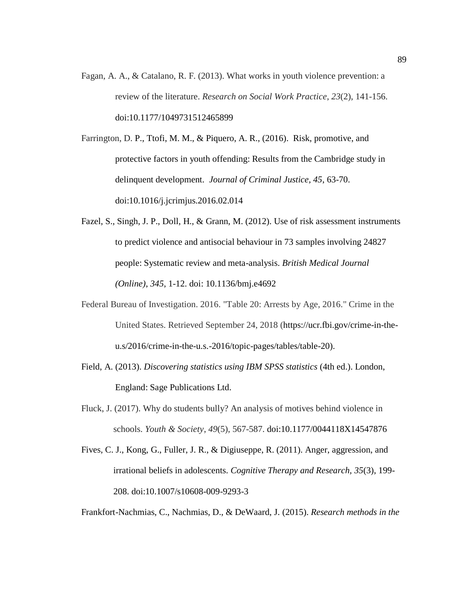Fagan, A. A., & Catalano, R. F. (2013). What works in youth violence prevention: a review of the literature. *Research on Social Work Practice*, *23*(2), 141-156. doi:10.1177/1049731512465899

Farrington, D. P., Ttofi, M. M., & Piquero, A. R., (2016). Risk, promotive, and protective factors in youth offending: Results from the Cambridge study in delinquent development. *Journal of Criminal Justice, 45*, 63-70. doi:10.1016/j.jcrimjus.2016.02.014

- Fazel, S., Singh, J. P., Doll, H., & Grann, M. (2012). Use of risk assessment instruments to predict violence and antisocial behaviour in 73 samples involving 24827 people: Systematic review and meta-analysis. *British Medical Journal (Online)*, *345*, 1-12. doi: 10.1136/bmj.e4692
- Federal Bureau of Investigation. 2016. "Table 20: Arrests by Age, 2016." Crime in the United States. Retrieved September 24, 2018 (https://ucr.fbi.gov/crime-in-theu.s/2016/crime-in-the-u.s.-2016/topic-pages/tables/table-20).
- Field, A. (2013). *Discovering statistics using IBM SPSS statistics* (4th ed.). London, England: Sage Publications Ltd.
- Fluck, J. (2017). Why do students bully? An analysis of motives behind violence in schools. *Youth & Society*, *49*(5), 567-587. doi:10.1177/0044118X14547876
- Fives, C. J., Kong, G., Fuller, J. R., & Digiuseppe, R. (2011). Anger, aggression, and irrational beliefs in adolescents. *Cognitive Therapy and Research, 35*(3), 199- 208. doi:10.1007/s10608-009-9293-3

Frankfort-Nachmias, C., Nachmias, D., & DeWaard, J. (2015). *Research methods in the*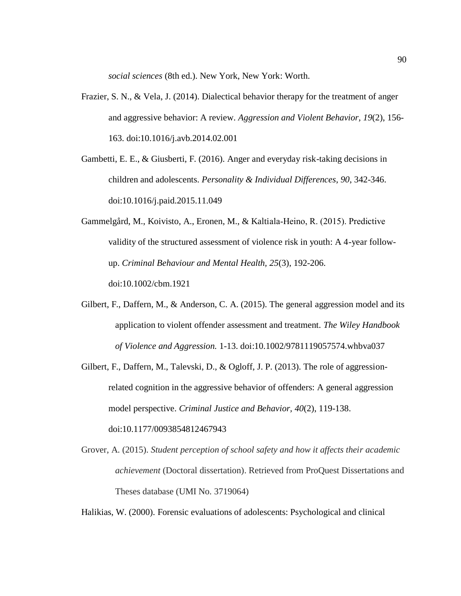*social sciences* (8th ed.). New York, New York: Worth.

- Frazier, S. N., & Vela, J. (2014). Dialectical behavior therapy for the treatment of anger and aggressive behavior: A review. *Aggression and Violent Behavior, 19*(2), 156- 163. doi:10.1016/j.avb.2014.02.001
- Gambetti, E. E., & Giusberti, F. (2016). Anger and everyday risk-taking decisions in children and adolescents. *Personality & Individual Differences*, *90*, 342-346. doi:10.1016/j.paid.2015.11.049
- Gammelgård, M., Koivisto, A., Eronen, M., & Kaltiala‐Heino, R. (2015). Predictive validity of the structured assessment of violence risk in youth: A 4-year followup. *Criminal Behaviour and Mental Health, 25*(3), 192-206. doi:10.1002/cbm.1921
- Gilbert, F., Daffern, M., & Anderson, C. A. (2015). The general aggression model and its application to violent offender assessment and treatment. *The Wiley Handbook of Violence and Aggression.* 1-13. doi:10.1002/9781119057574.whbva037
- Gilbert, F., Daffern, M., Talevski, D., & Ogloff, J. P. (2013). The role of aggressionrelated cognition in the aggressive behavior of offenders: A general aggression model perspective. *Criminal Justice and Behavior, 40*(2), 119-138. doi:10.1177/0093854812467943
- Grover, A. (2015). *Student perception of school safety and how it affects their academic achievement* (Doctoral dissertation). Retrieved from ProQuest Dissertations and Theses database (UMI No. 3719064)

Halikias, W. (2000). Forensic evaluations of adolescents: Psychological and clinical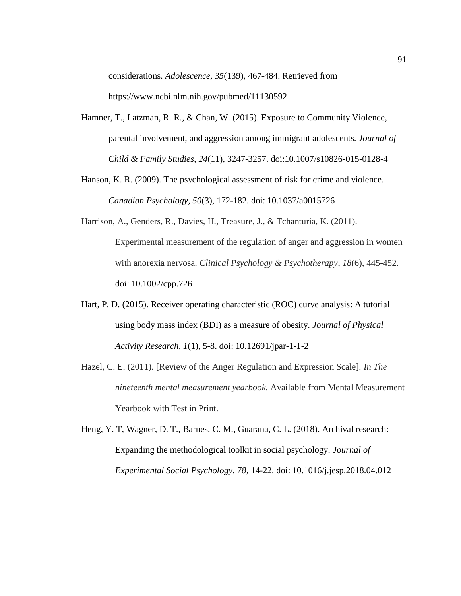considerations. *Adolescence, 35*(139), 467-484. Retrieved from https://www.ncbi.nlm.nih.gov/pubmed/11130592

Hamner, T., Latzman, R. R., & Chan, W. (2015). Exposure to Community Violence, parental involvement, and aggression among immigrant adolescents. *Journal of Child & Family Studies, 24*(11), 3247-3257. doi:10.1007/s10826-015-0128-4

- Hanson, K. R. (2009). The psychological assessment of risk for crime and violence. *Canadian Psychology, 50*(3), 172-182. doi: 10.1037/a0015726
- Harrison, A., Genders, R., Davies, H., Treasure, J., & Tchanturia, K. (2011). Experimental measurement of the regulation of anger and aggression in women with anorexia nervosa. *Clinical Psychology & Psychotherapy*, *18*(6), 445-452. doi: 10.1002/cpp.726
- Hart, P. D. (2015). Receiver operating characteristic (ROC) curve analysis: A tutorial using body mass index (BDI) as a measure of obesity. *Journal of Physical Activity Research, 1*(1), 5-8. doi: 10.12691/jpar-1-1-2
- Hazel, C. E. (2011). [Review of the Anger Regulation and Expression Scale]. *In The nineteenth mental measurement yearbook.* Available from Mental Measurement Yearbook with Test in Print.
- [Heng,](https://www-sciencedirect-com.ezp.waldenulibrary.org/science/article/pii/S0022103118300489?via%3Dihub#!) [Y. T, Wagner,](https://www-sciencedirect-com.ezp.waldenulibrary.org/science/article/pii/S0022103118300489?via%3Dihub#!) D. T., Barnes, [C. M., Guarana,](https://www-sciencedirect-com.ezp.waldenulibrary.org/science/article/pii/S0022103118300489?via%3Dihub#!) C. L. (2018). Archival research: Expanding the methodological toolkit in social psychology. *Journal of Experimental Social Psychology, 78*, 14-22. doi: 10.1016/j.jesp.2018.04.012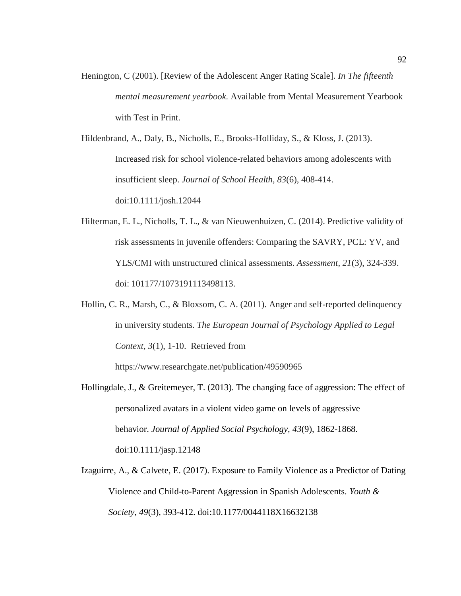Henington, C (2001). [Review of the Adolescent Anger Rating Scale]. *In The fifteenth mental measurement yearbook.* Available from Mental Measurement Yearbook with Test in Print.

Hildenbrand, A., Daly, B., Nicholls, E., Brooks-Holliday, S., & Kloss, J. (2013). Increased risk for school violence-related behaviors among adolescents with insufficient sleep. *Journal of School Health, 83*(6), 408-414. doi:10.1111/josh.12044

- Hilterman, E. L., Nicholls, T. L., & van Nieuwenhuizen, C. (2014). Predictive validity of risk assessments in juvenile offenders: Comparing the SAVRY, PCL: YV, and YLS/CMI with unstructured clinical assessments. *Assessment, 21*(3), 324-339. doi: 101177/1073191113498113.
- Hollin, C. R., Marsh, C., & Bloxsom, C. A. (2011). Anger and self-reported delinquency in university students. *The European Journal of Psychology Applied to Legal Context*, *3*(1), 1-10. Retrieved from

https://www.researchgate.net/publication/49590965

- Hollingdale, J., & Greitemeyer, T. (2013). The changing face of aggression: The effect of personalized avatars in a violent video game on levels of aggressive behavior. *Journal of Applied Social Psychology, 43*(9), 1862-1868. doi:10.1111/jasp.12148
- Izaguirre, A., & Calvete, E. (2017). Exposure to Family Violence as a Predictor of Dating Violence and Child-to-Parent Aggression in Spanish Adolescents. *Youth & Society, 49*(3), 393-412. doi:10.1177/0044118X16632138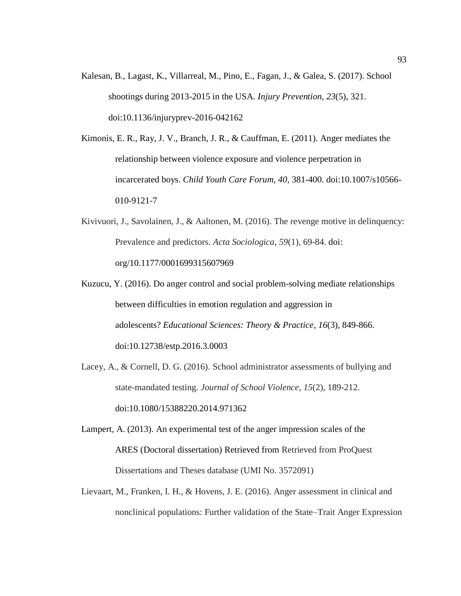- Kalesan, B., Lagast, K., Villarreal, M., Pino, E., Fagan, J., & Galea, S. (2017). School shootings during 2013-2015 in the USA. *Injury Prevention, 23*(5), 321. doi:10.1136/injuryprev-2016-042162
- Kimonis, E. R., Ray, J. V., Branch, J. R., & Cauffman, E. (2011). Anger mediates the relationship between violence exposure and violence perpetration in incarcerated boys. *Child Youth Care Forum, 40*, 381-400. doi:10.1007/s10566- 010-9121-7
- Kivivuori, J., Savolainen, J., & Aaltonen, M. (2016). The revenge motive in delinquency: Prevalence and predictors. *Acta Sociologica*, *59*(1), 69-84. doi: org/10.1177/0001699315607969
- Kuzucu, Y. (2016). Do anger control and social problem-solving mediate relationships between difficulties in emotion regulation and aggression in adolescents? *Educational Sciences: Theory & Practice, 16*(3), 849-866. doi:10.12738/estp.2016.3.0003
- Lacey, A., & Cornell, D. G. (2016). School administrator assessments of bullying and state-mandated testing. *Journal of School Violence*, *15*(2), 189-212. doi:10.1080/15388220.2014.971362
- Lampert, A. (2013). An experimental test of the anger impression scales of the ARES (Doctoral dissertation) Retrieved from Retrieved from ProQuest Dissertations and Theses database (UMI No. 3572091)
- Lievaart, M., Franken, I. H., & Hovens, J. E. (2016). Anger assessment in clinical and nonclinical populations: Further validation of the State–Trait Anger Expression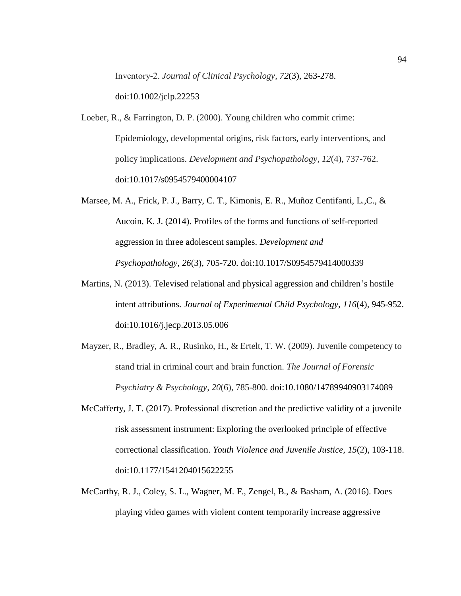Inventory‐2. *Journal of Clinical Psychology*, *72*(3), 263-278.

doi:10.1002/jclp.22253

- Loeber, R., & Farrington, D. P. (2000). Young children who commit crime: Epidemiology, developmental origins, risk factors, early interventions, and policy implications. *Development and Psychopathology*, *12*(4), 737-762. doi:10.1017/s0954579400004107
- Marsee, M. A., Frick, P. J., Barry, C. T., Kimonis, E. R., Muñoz Centifanti, L.,C., & Aucoin, K. J. (2014). Profiles of the forms and functions of self-reported aggression in three adolescent samples. *Development and Psychopathology, 26*(3), 705-720. doi:10.1017/S0954579414000339
- Martins, N. (2013). Televised relational and physical aggression and children's hostile intent attributions. *Journal of Experimental Child Psychology, 116*(4), 945-952. doi:10.1016/j.jecp.2013.05.006
- Mayzer, R., Bradley, A. R., Rusinko, H., & Ertelt, T. W. (2009). Juvenile competency to stand trial in criminal court and brain function. *The Journal of Forensic Psychiatry & Psychology*, *20*(6), 785-800. doi:10.1080/14789940903174089
- McCafferty, J. T. (2017). Professional discretion and the predictive validity of a juvenile risk assessment instrument: Exploring the overlooked principle of effective correctional classification. *Youth Violence and Juvenile Justice, 15*(2), 103-118. doi:10.1177/1541204015622255
- McCarthy, R. J., Coley, S. L., Wagner, M. F., Zengel, B., & Basham, A. (2016). Does playing video games with violent content temporarily increase aggressive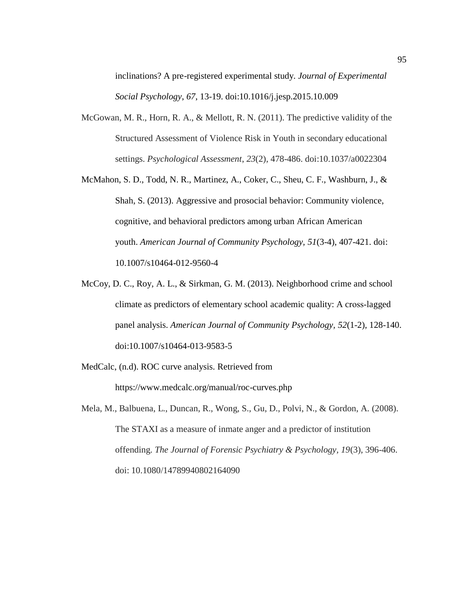inclinations? A pre-registered experimental study. *Journal of Experimental Social Psychology*, *67*, 13-19. doi:10.1016/j.jesp.2015.10.009

- McGowan, M. R., Horn, R. A., & Mellott, R. N. (2011). The predictive validity of the Structured Assessment of Violence Risk in Youth in secondary educational settings. *Psychological Assessment*, *23*(2), 478-486. doi:10.1037/a0022304
- McMahon, S. D., Todd, N. R., Martinez, A., Coker, C., Sheu, C. F., Washburn, J., & Shah, S. (2013). Aggressive and prosocial behavior: Community violence, cognitive, and behavioral predictors among urban African American youth. *American Journal of Community Psychology, 51*(3-4), 407-421. doi: 10.1007/s10464-012-9560-4
- McCoy, D. C., Roy, A. L., & Sirkman, G. M. (2013). Neighborhood crime and school climate as predictors of elementary school academic quality: A cross‐lagged panel analysis. *American Journal of Community Psychology, 52*(1-2), 128-140. doi:10.1007/s10464-013-9583-5
- MedCalc, (n.d). ROC curve analysis. Retrieved from https://www.medcalc.org/manual/roc-curves.php
- Mela, M., Balbuena, L., Duncan, R., Wong, S., Gu, D., Polvi, N., & Gordon, A. (2008). The STAXI as a measure of inmate anger and a predictor of institution offending. *The Journal of Forensic Psychiatry & Psychology, 19*(3), 396-406. doi: 10.1080/14789940802164090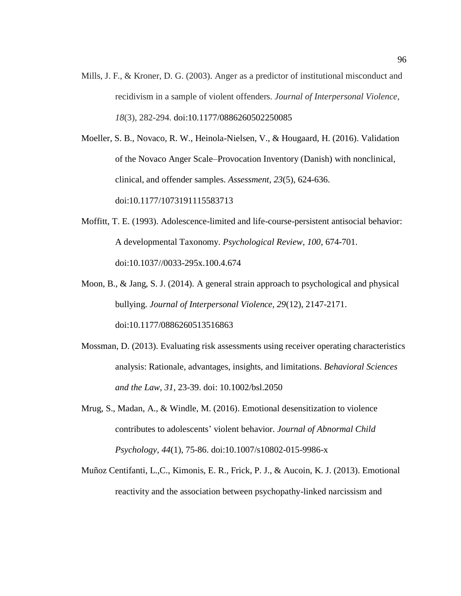Mills, J. F., & Kroner, D. G. (2003). Anger as a predictor of institutional misconduct and recidivism in a sample of violent offenders. *Journal of Interpersonal Violence, 18*(3), 282-294. doi:10.1177/0886260502250085

Moeller, S. B., Novaco, R. W., Heinola-Nielsen, V., & Hougaard, H. (2016). Validation of the Novaco Anger Scale–Provocation Inventory (Danish) with nonclinical, clinical, and offender samples. *Assessment, 23*(5), 624-636. doi:10.1177/1073191115583713

- Moffitt, T. E. (1993). Adolescence-limited and life-course-persistent antisocial behavior: A developmental Taxonomy. *Psychological Review, 100*, 674-701. doi:10.1037//0033-295x.100.4.674
- Moon, B., & Jang, S. J. (2014). A general strain approach to psychological and physical bullying. *Journal of Interpersonal Violence, 29*(12), 2147-2171. doi:10.1177/0886260513516863
- Mossman, D. (2013). Evaluating risk assessments using receiver operating characteristics analysis: Rationale, advantages, insights, and limitations. *Behavioral Sciences and the Law, 31*, 23-39. doi: 10.1002/bsl.2050
- Mrug, S., Madan, A., & Windle, M. (2016). Emotional desensitization to violence contributes to adolescents' violent behavior. *Journal of Abnormal Child Psychology, 44*(1), 75-86. doi:10.1007/s10802-015-9986-x
- Muñoz Centifanti, L.,C., Kimonis, E. R., Frick, P. J., & Aucoin, K. J. (2013). Emotional reactivity and the association between psychopathy-linked narcissism and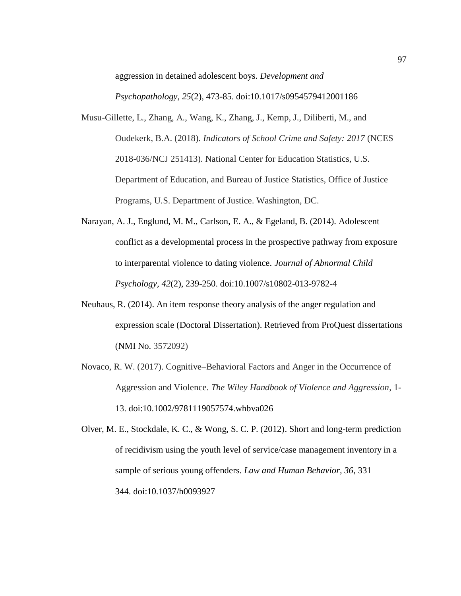aggression in detained adolescent boys. *Development and* 

*Psychopathology, 25*(2), 473-85. doi:10.1017/s0954579412001186

- Musu-Gillette, L., Zhang, A., Wang, K., Zhang, J., Kemp, J., Diliberti, M., and Oudekerk, B.A. (2018). *Indicators of School Crime and Safety: 2017* (NCES 2018-036/NCJ 251413). National Center for Education Statistics, U.S. Department of Education, and Bureau of Justice Statistics, Office of Justice Programs, U.S. Department of Justice. Washington, DC.
- Narayan, A. J., Englund, M. M., Carlson, E. A., & Egeland, B. (2014). Adolescent conflict as a developmental process in the prospective pathway from exposure to interparental violence to dating violence. *Journal of Abnormal Child Psychology, 42*(2), 239-250. doi[:10.1007/s10802-013-9782-4](https://dx.doi.org/10.1007%2Fs10802-013-9782-4)
- Neuhaus, R. (2014). An item response theory analysis of the anger regulation and expression scale (Doctoral Dissertation). Retrieved from ProQuest dissertations (NMI No. 3572092)
- Novaco, R. W. (2017). Cognitive–Behavioral Factors and Anger in the Occurrence of Aggression and Violence. *The Wiley Handbook of Violence and Aggression*, 1- 13. doi:10.1002/9781119057574.whbva026
- Olver, M. E., Stockdale, K. C., & Wong, S. C. P. (2012). Short and long-term prediction of recidivism using the youth level of service/case management inventory in a sample of serious young offenders. *Law and Human Behavior, 36*, 331– 344. doi:10.1037/h0093927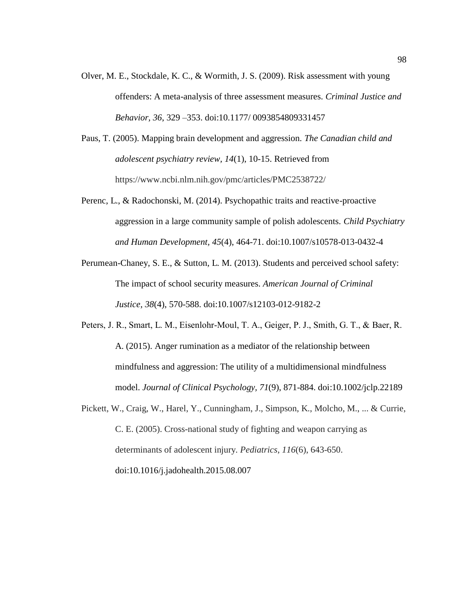- Olver, M. E., Stockdale, K. C., & Wormith, J. S. (2009). Risk assessment with young offenders: A meta-analysis of three assessment measures. *Criminal Justice and Behavior, 36*, 329 –353. doi:10.1177/ 0093854809331457
- Paus, T. (2005). Mapping brain development and aggression. *The Canadian child and adolescent psychiatry review, 14*(1), 10-15. Retrieved from https://www.ncbi.nlm.nih.gov/pmc/articles/PMC2538722/
- Perenc, L., & Radochonski, M. (2014). Psychopathic traits and reactive-proactive aggression in a large community sample of polish adolescents. *Child Psychiatry and Human Development, 45*(4), 464-71. doi:10.1007/s10578-013-0432-4
- Perumean-Chaney, S. E., & Sutton, L. M. (2013). Students and perceived school safety: The impact of school security measures. *American Journal of Criminal Justice, 38*(4), 570-588. doi:10.1007/s12103-012-9182-2
- Peters, J. R., Smart, L. M., Eisenlohr‐Moul, T. A., Geiger, P. J., Smith, G. T., & Baer, R. A. (2015). Anger rumination as a mediator of the relationship between mindfulness and aggression: The utility of a multidimensional mindfulness model. *Journal of Clinical Psychology, 71*(9), 871-884. doi:10.1002/jclp.22189
- Pickett, W., Craig, W., Harel, Y., Cunningham, J., Simpson, K., Molcho, M., ... & Currie, C. E. (2005). Cross-national study of fighting and weapon carrying as determinants of adolescent injury. *Pediatrics*, *116*(6), 643-650. doi:10.1016/j.jadohealth.2015.08.007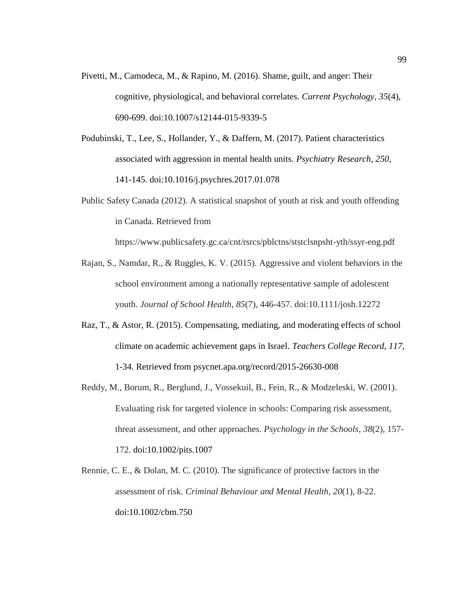- Pivetti, M., Camodeca, M., & Rapino, M. (2016). Shame, guilt, and anger: Their cognitive, physiological, and behavioral correlates. *Current Psychology, 35*(4), 690-699. doi:10.1007/s12144-015-9339-5
- Podubinski, T., Lee, S., Hollander, Y., & Daffern, M. (2017). Patient characteristics associated with aggression in mental health units. *Psychiatry Research*, *250,* 141-145. doi:10.1016/j.psychres.2017.01.078
- Public Safety Canada (2012). A statistical snapshot of youth at risk and youth offending in Canada. Retrieved from

https://www.publicsafety.gc.ca/cnt/rsrcs/pblctns/ststclsnpsht-yth/ssyr-eng.pdf

- Rajan, S., Namdar, R., & Ruggles, K. V. (2015). Aggressive and violent behaviors in the school environment among a nationally representative sample of adolescent youth. *Journal of School Health, 85*(7), 446-457. doi:10.1111/josh.12272
- Raz, T., & Astor, R. (2015). Compensating, mediating, and moderating effects of school climate on academic achievement gaps in Israel. *Teachers College Record, 117*, 1-34. Retrieved from psycnet.apa.org/record/2015-26630-008
- Reddy, M., Borum, R., Berglund, J., Vossekuil, B., Fein, R., & Modzeleski, W. (2001). Evaluating risk for targeted violence in schools: Comparing risk assessment, threat assessment, and other approaches. *Psychology in the Schools*, *38*(2), 157- 172. doi:10.1002/pits.1007
- Rennie, C. E., & Dolan, M. C. (2010). The significance of protective factors in the assessment of risk. *Criminal Behaviour and Mental Health*, *20*(1), 8-22. doi:10.1002/cbm.750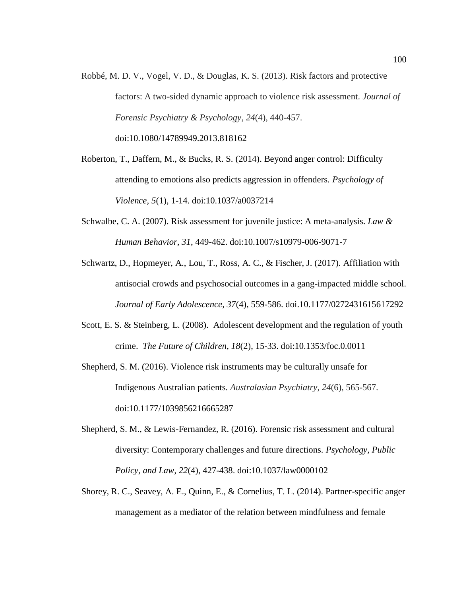Robbé, M. D. V., Vogel, V. D., & Douglas, K. S. (2013). Risk factors and protective factors: A two-sided dynamic approach to violence risk assessment. *Journal of Forensic Psychiatry & Psychology*, *24*(4), 440-457. doi:10.1080/14789949.2013.818162

Roberton, T., Daffern, M., & Bucks, R. S. (2014). Beyond anger control: Difficulty attending to emotions also predicts aggression in offenders. *Psychology of Violence, 5*(1), 1-14. doi:10.1037/a0037214

- Schwalbe, C. A. (2007). Risk assessment for juvenile justice: A meta-analysis. *Law & Human Behavior, 31*, 449-462. doi:10.1007/s10979-006-9071-7
- Schwartz, D., Hopmeyer, A., Lou, T., Ross, A. C., & Fischer, J. (2017). Affiliation with antisocial crowds and psychosocial outcomes in a gang-impacted middle school. *Journal of Early Adolescence, 37*(4), 559-586. doi.10.1177/0272431615617292
- Scott, E. S. & Steinberg, L. (2008). Adolescent development and the regulation of youth crime. *The Future of Children, 18*(2), 15-33. doi:10.1353/foc.0.0011
- Shepherd, S. M. (2016). Violence risk instruments may be culturally unsafe for Indigenous Australian patients. *Australasian Psychiatry*, *24*(6), 565-567. doi:10.1177/1039856216665287
- Shepherd, S. M., & Lewis-Fernandez, R. (2016). Forensic risk assessment and cultural diversity: Contemporary challenges and future directions. *Psychology, Public Policy, and Law, 22*(4), 427-438. doi:10.1037/law0000102
- Shorey, R. C., Seavey, A. E., Quinn, E., & Cornelius, T. L. (2014). Partner-specific anger management as a mediator of the relation between mindfulness and female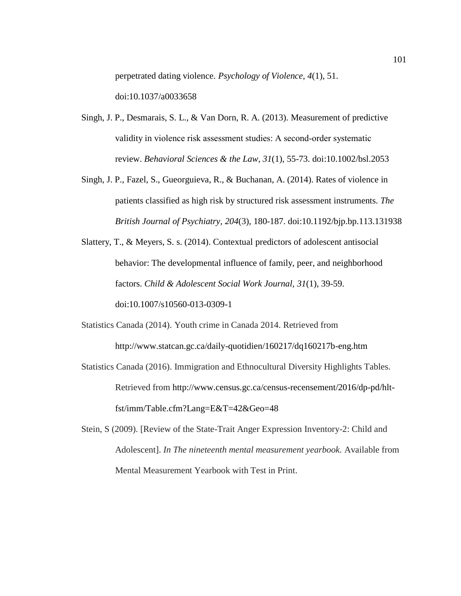perpetrated dating violence. *Psychology of Violence, 4*(1), 51.

doi:10.1037/a0033658

- Singh, J. P., Desmarais, S. L., & Van Dorn, R. A. (2013). Measurement of predictive validity in violence risk assessment studies: A second‐order systematic review. *Behavioral Sciences & the Law, 31*(1), 55-73. doi:10.1002/bsl.2053
- Singh, J. P., Fazel, S., Gueorguieva, R., & Buchanan, A. (2014). Rates of violence in patients classified as high risk by structured risk assessment instruments. *The British Journal of Psychiatry, 204*(3), 180-187. doi:10.1192/bjp.bp.113.131938
- Slattery, T., & Meyers, S. s. (2014). Contextual predictors of adolescent antisocial behavior: The developmental influence of family, peer, and neighborhood factors. *Child & Adolescent Social Work Journal, 31*(1), 39-59. doi:10.1007/s10560-013-0309-1
- Statistics Canada (2014). Youth crime in Canada 2014. Retrieved from <http://www.statcan.gc.ca/daily-quotidien/160217/dq160217b-eng.htm>
- Statistics Canada (2016). Immigration and Ethnocultural Diversity Highlights Tables. Retrieved from [http://www.census.gc.ca/census-recensement/2016/dp-pd/hlt](http://www.census.gc.ca/census-recensement/2016/dp-pd/hlt-fst/imm/Table.cfm?Lang=E&T=42&Geo=48)[fst/imm/Table.cfm?Lang=E&T=42&Geo=48](http://www.census.gc.ca/census-recensement/2016/dp-pd/hlt-fst/imm/Table.cfm?Lang=E&T=42&Geo=48)
- Stein, S (2009). [Review of the State-Trait Anger Expression Inventory-2: Child and Adolescent]. *In The nineteenth mental measurement yearbook.* Available from Mental Measurement Yearbook with Test in Print.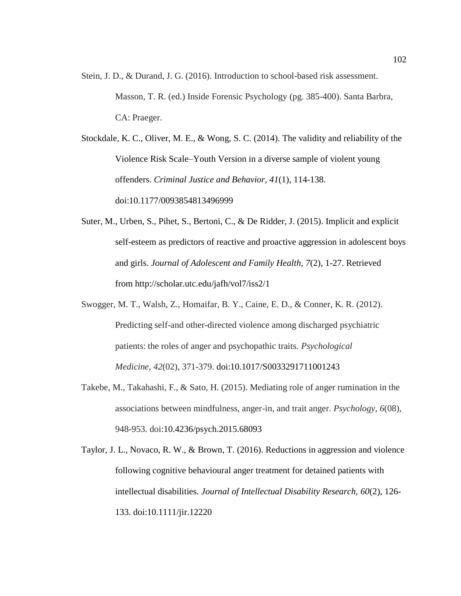Stein, J. D., & Durand, J. G. (2016). Introduction to school-based risk assessment. Masson, T. R. (ed.) Inside Forensic Psychology (pg. 385-400). Santa Barbra, CA: Praeger.

Stockdale, K. C., Oliver, M. E., & Wong, S. C. (2014). The validity and reliability of the Violence Risk Scale–Youth Version in a diverse sample of violent young offenders. *Criminal Justice and Behavior, 41*(1), 114-138. doi:10.1177/0093854813496999

- Suter, M., Urben, S., Pihet, S., Bertoni, C., & De Ridder, J. (2015). Implicit and explicit self-esteem as predictors of reactive and proactive aggression in adolescent boys and girls. *Journal of Adolescent and Family Health, 7*(2), 1-27. Retrieved from http://scholar.utc.edu/jafh/vol7/iss2/1
- Swogger, M. T., Walsh, Z., Homaifar, B. Y., Caine, E. D., & Conner, K. R. (2012). Predicting self-and other-directed violence among discharged psychiatric patients: the roles of anger and psychopathic traits. *Psychological Medicine*, *42*(02), 371-379. doi:10.1017/S0033291711001243
- Takebe, M., Takahashi, F., & Sato, H. (2015). Mediating role of anger rumination in the associations between mindfulness, anger-in, and trait anger. *Psychology*, *6*(08), 948-953. doi:10.4236/psych.2015.68093
- Taylor, J. L., Novaco, R. W., & Brown, T. (2016). Reductions in aggression and violence following cognitive behavioural anger treatment for detained patients with intellectual disabilities. *Journal of Intellectual Disability Research, 60*(2), 126- 133. doi:10.1111/jir.12220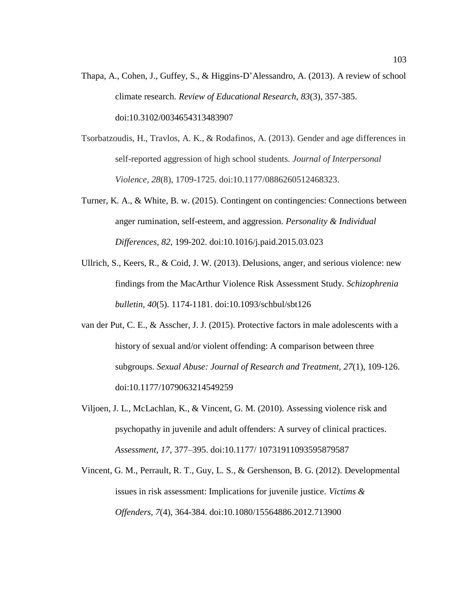- Thapa, A., Cohen, J., Guffey, S., & Higgins-D'Alessandro, A. (2013). A review of school climate research. *Review of Educational Research, 83*(3), 357-385. doi:10.3102/0034654313483907
- Tsorbatzoudis, H., Travlos, A. K., & Rodafinos, A. (2013). Gender and age differences in self-reported aggression of high school students. *Journal of Interpersonal Violence, 28*(8), 1709-1725. doi:10.1177/0886260512468323.
- Turner, K. A., & White, B. w. (2015). Contingent on contingencies: Connections between anger rumination, self-esteem, and aggression. *Personality & Individual Differences, 82*, 199-202. doi:10.1016/j.paid.2015.03.023
- Ullrich, S., Keers, R., & Coid, J. W. (2013). Delusions, anger, and serious violence: new findings from the MacArthur Violence Risk Assessment Study. *Schizophrenia bulletin, 40*(5). 1174-1181. doi:10.1093/schbul/sbt126
- van der Put, C. E., & Asscher, J. J. (2015). Protective factors in male adolescents with a history of sexual and/or violent offending: A comparison between three subgroups. *Sexual Abuse: Journal of Research and Treatment, 27*(1), 109-126. doi:10.1177/1079063214549259
- Viljoen, J. L., McLachlan, K., & Vincent, G. M. (2010). Assessing violence risk and psychopathy in juvenile and adult offenders: A survey of clinical practices. *Assessment, 17*, 377–395. doi:10.1177/ 10731911093595879587
- Vincent, G. M., Perrault, R. T., Guy, L. S., & Gershenson, B. G. (2012). Developmental issues in risk assessment: Implications for juvenile justice. *Victims & Offenders, 7*(4), 364-384. doi:10.1080/15564886.2012.713900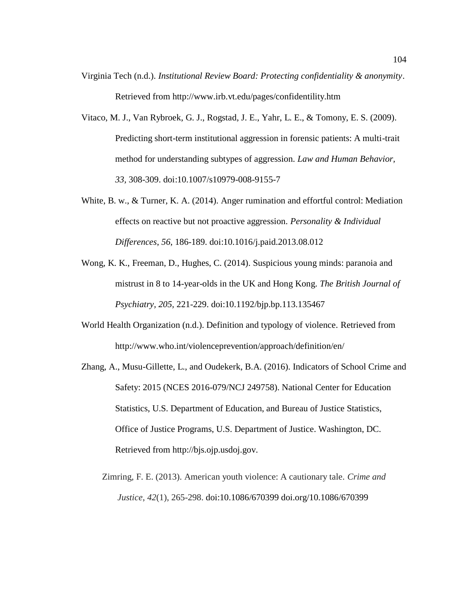- Virginia Tech (n.d.). *Institutional Review Board: Protecting confidentiality & anonymity*. Retrieved from http://www.irb.vt.edu/pages/confidentility.htm
- Vitaco, M. J., Van Rybroek, G. J., Rogstad, J. E., Yahr, L. E., & Tomony, E. S. (2009). Predicting short-term institutional aggression in forensic patients: A multi-trait method for understanding subtypes of aggression. *Law and Human Behavior, 33,* 308-309. doi:10.1007/s10979-008-9155-7
- White, B. w., & Turner, K. A. (2014). Anger rumination and effortful control: Mediation effects on reactive but not proactive aggression. *Personality & Individual Differences*, *56*, 186-189. doi:10.1016/j.paid.2013.08.012
- Wong, K. K., Freeman, D., Hughes, C. (2014). Suspicious young minds: paranoia and mistrust in 8 to 14-year-olds in the UK and Hong Kong. *The British Journal of Psychiatry, 205,* 221-229. doi:10.1192/bjp.bp.113.135467
- World Health Organization (n.d.). Definition and typology of violence. Retrieved from http://www.who.int/violenceprevention/approach/definition/en/
- Zhang, A., Musu-Gillette, L., and Oudekerk, B.A. (2016). Indicators of School Crime and Safety: 2015 (NCES 2016-079/NCJ 249758). National Center for Education Statistics, U.S. Department of Education, and Bureau of Justice Statistics, Office of Justice Programs, U.S. Department of Justice. Washington, DC. Retrieved from http://bjs.ojp.usdoj.gov.
	- Zimring, F. E. (2013). American youth violence: A cautionary tale. *Crime and Justice*, *42*(1), 265-298. doi:10.1086/670399 doi.org/10.1086/670399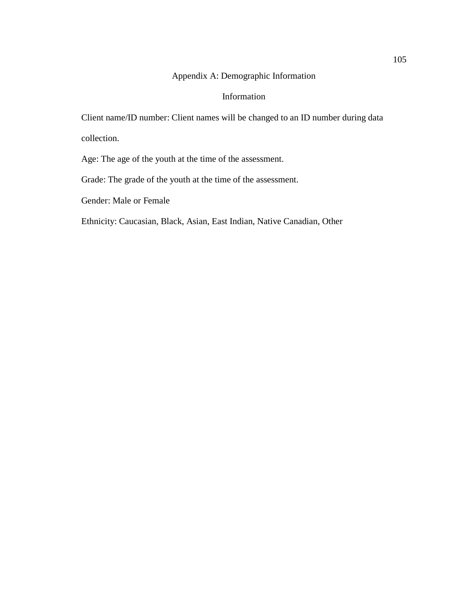## Appendix A: Demographic Information

## Information

Client name/ID number: Client names will be changed to an ID number during data collection.

Age: The age of the youth at the time of the assessment.

Grade: The grade of the youth at the time of the assessment.

Gender: Male or Female

Ethnicity: Caucasian, Black, Asian, East Indian, Native Canadian, Other